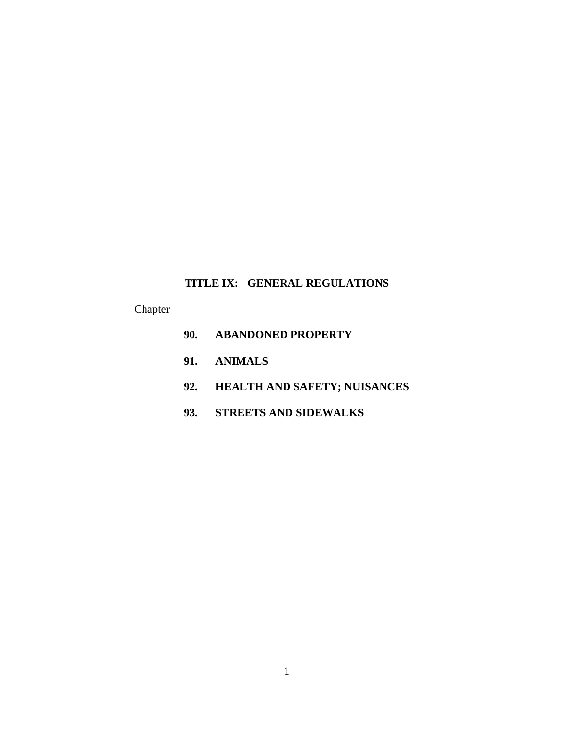# **TITLE IX: GENERAL REGULATIONS**

Chapter

| 90. ABANDONED PROPERTY           |
|----------------------------------|
| 91. ANIMALS                      |
| 92. HEALTH AND SAFETY; NUISANCES |
| 93. STREETS AND SIDEWALKS        |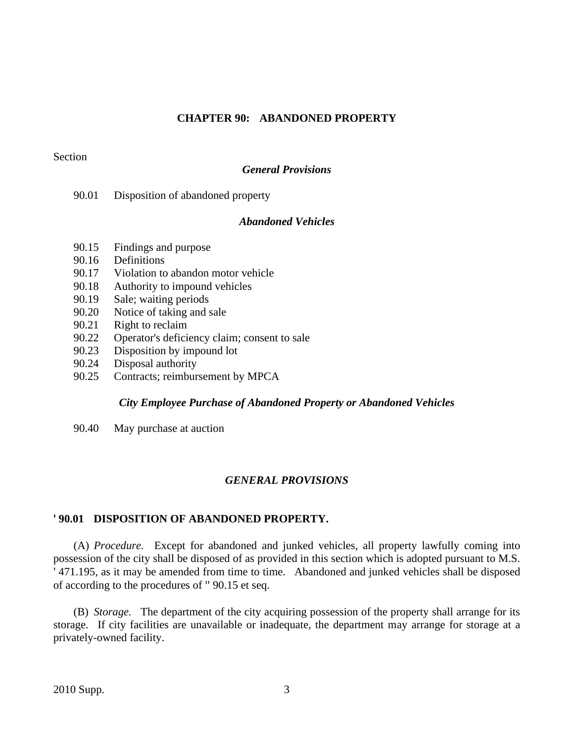# **CHAPTER 90: ABANDONED PROPERTY**

# Section

# *General Provisions*

90.01 Disposition of abandoned property

# *Abandoned Vehicles*

- 90.15 Findings and purpose
- 90.16 Definitions
- 90.17 Violation to abandon motor vehicle
- 90.18 Authority to impound vehicles
- 90.19 Sale; waiting periods
- 90.20 Notice of taking and sale
- 90.21 Right to reclaim
- 90.22 Operator's deficiency claim; consent to sale
- 90.23 Disposition by impound lot
- 90.24 Disposal authority
- 90.25 Contracts; reimbursement by MPCA

## *City Employee Purchase of Abandoned Property or Abandoned Vehicles*

90.40 May purchase at auction

# *GENERAL PROVISIONS*

# **' 90.01 DISPOSITION OF ABANDONED PROPERTY.**

(A) *Procedure.* Except for abandoned and junked vehicles, all property lawfully coming into possession of the city shall be disposed of as provided in this section which is adopted pursuant to M.S. ' 471.195, as it may be amended from time to time. Abandoned and junked vehicles shall be disposed of according to the procedures of '' 90.15 et seq.

(B) *Storage.* The department of the city acquiring possession of the property shall arrange for its storage. If city facilities are unavailable or inadequate, the department may arrange for storage at a privately-owned facility.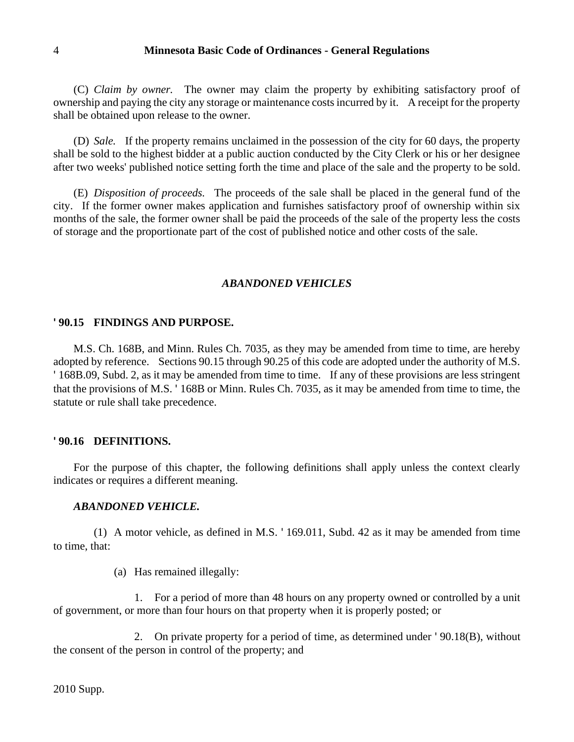(C) *Claim by owner.* The owner may claim the property by exhibiting satisfactory proof of ownership and paying the city any storage or maintenance costs incurred by it. A receipt for the property shall be obtained upon release to the owner.

(D) *Sale.* If the property remains unclaimed in the possession of the city for 60 days, the property shall be sold to the highest bidder at a public auction conducted by the City Clerk or his or her designee after two weeks' published notice setting forth the time and place of the sale and the property to be sold.

(E) *Disposition of proceeds.* The proceeds of the sale shall be placed in the general fund of the city. If the former owner makes application and furnishes satisfactory proof of ownership within six months of the sale, the former owner shall be paid the proceeds of the sale of the property less the costs of storage and the proportionate part of the cost of published notice and other costs of the sale.

# *ABANDONED VEHICLES*

#### **' 90.15 FINDINGS AND PURPOSE.**

M.S. Ch. 168B, and Minn. Rules Ch. 7035, as they may be amended from time to time, are hereby adopted by reference. Sections 90.15 through 90.25 of this code are adopted under the authority of M.S. ' 168B.09, Subd. 2, as it may be amended from time to time. If any of these provisions are less stringent that the provisions of M.S. ' 168B or Minn. Rules Ch. 7035, as it may be amended from time to time, the statute or rule shall take precedence.

#### **' 90.16 DEFINITIONS.**

For the purpose of this chapter, the following definitions shall apply unless the context clearly indicates or requires a different meaning.

# *ABANDONED VEHICLE.*

(1) A motor vehicle, as defined in M.S. ' 169.011, Subd. 42 as it may be amended from time to time, that:

(a) Has remained illegally:

1. For a period of more than 48 hours on any property owned or controlled by a unit of government, or more than four hours on that property when it is properly posted; or

2. On private property for a period of time, as determined under ' 90.18(B), without the consent of the person in control of the property; and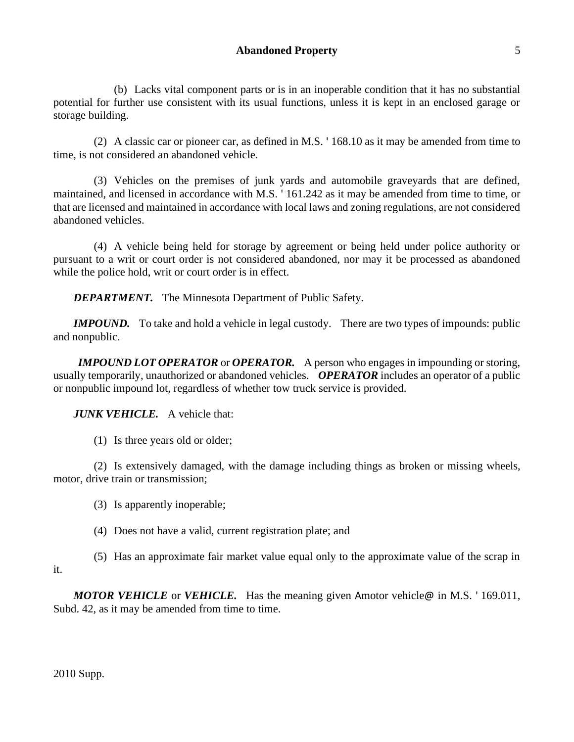(b) Lacks vital component parts or is in an inoperable condition that it has no substantial potential for further use consistent with its usual functions, unless it is kept in an enclosed garage or storage building.

(2) A classic car or pioneer car, as defined in M.S. ' 168.10 as it may be amended from time to time, is not considered an abandoned vehicle.

(3) Vehicles on the premises of junk yards and automobile graveyards that are defined, maintained, and licensed in accordance with M.S. ' 161.242 as it may be amended from time to time, or that are licensed and maintained in accordance with local laws and zoning regulations, are not considered abandoned vehicles.

(4) A vehicle being held for storage by agreement or being held under police authority or pursuant to a writ or court order is not considered abandoned, nor may it be processed as abandoned while the police hold, writ or court order is in effect.

*DEPARTMENT.* The Minnesota Department of Public Safety.

*IMPOUND.* To take and hold a vehicle in legal custody. There are two types of impounds: public and nonpublic.

*IMPOUND LOT OPERATOR* or *OPERATOR.* A person who engages in impounding or storing, usually temporarily, unauthorized or abandoned vehicles. *OPERATOR* includes an operator of a public or nonpublic impound lot, regardless of whether tow truck service is provided.

# *JUNK VEHICLE.* A vehicle that:

(1) Is three years old or older;

(2) Is extensively damaged, with the damage including things as broken or missing wheels, motor, drive train or transmission;

(3) Is apparently inoperable;

(4) Does not have a valid, current registration plate; and

(5) Has an approximate fair market value equal only to the approximate value of the scrap in it.

*MOTOR VEHICLE* or *VEHICLE.* Has the meaning given Amotor vehicle@ in M.S. ' 169.011, Subd. 42, as it may be amended from time to time.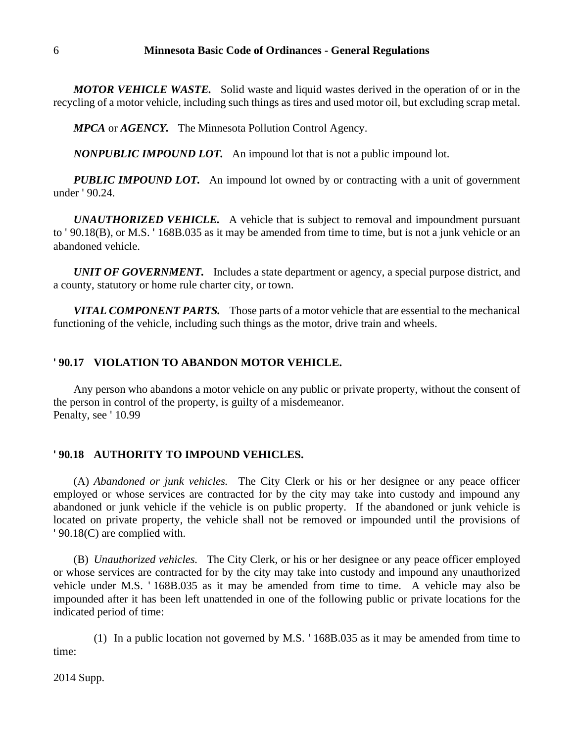*MOTOR VEHICLE WASTE.* Solid waste and liquid wastes derived in the operation of or in the recycling of a motor vehicle, including such things as tires and used motor oil, but excluding scrap metal.

*MPCA* or *AGENCY.* The Minnesota Pollution Control Agency.

*NONPUBLIC IMPOUND LOT.* An impound lot that is not a public impound lot.

*PUBLIC IMPOUND LOT.* An impound lot owned by or contracting with a unit of government under ' 90.24.

*UNAUTHORIZED VEHICLE.* A vehicle that is subject to removal and impoundment pursuant to ' 90.18(B), or M.S. ' 168B.035 as it may be amended from time to time, but is not a junk vehicle or an abandoned vehicle.

*UNIT OF GOVERNMENT.* Includes a state department or agency, a special purpose district, and a county, statutory or home rule charter city, or town.

*VITAL COMPONENT PARTS.* Those parts of a motor vehicle that are essential to the mechanical functioning of the vehicle, including such things as the motor, drive train and wheels.

# **' 90.17 VIOLATION TO ABANDON MOTOR VEHICLE.**

Any person who abandons a motor vehicle on any public or private property, without the consent of the person in control of the property, is guilty of a misdemeanor. Penalty, see '10.99

# **' 90.18 AUTHORITY TO IMPOUND VEHICLES.**

(A) *Abandoned or junk vehicles.* The City Clerk or his or her designee or any peace officer employed or whose services are contracted for by the city may take into custody and impound any abandoned or junk vehicle if the vehicle is on public property. If the abandoned or junk vehicle is located on private property, the vehicle shall not be removed or impounded until the provisions of ' 90.18(C) are complied with.

(B) *Unauthorized vehicles.* The City Clerk, or his or her designee or any peace officer employed or whose services are contracted for by the city may take into custody and impound any unauthorized vehicle under M.S. ' 168B.035 as it may be amended from time to time. A vehicle may also be impounded after it has been left unattended in one of the following public or private locations for the indicated period of time:

(1) In a public location not governed by M.S. ' 168B.035 as it may be amended from time to time: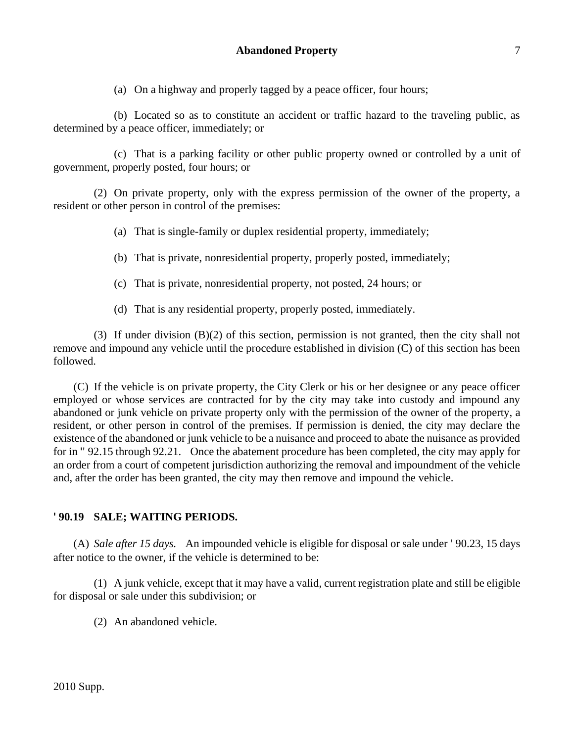(a) On a highway and properly tagged by a peace officer, four hours;

(b) Located so as to constitute an accident or traffic hazard to the traveling public, as determined by a peace officer, immediately; or

(c) That is a parking facility or other public property owned or controlled by a unit of government, properly posted, four hours; or

(2) On private property, only with the express permission of the owner of the property, a resident or other person in control of the premises:

- (a) That is single-family or duplex residential property, immediately;
- (b) That is private, nonresidential property, properly posted, immediately;
- (c) That is private, nonresidential property, not posted, 24 hours; or
- (d) That is any residential property, properly posted, immediately.

(3) If under division (B)(2) of this section, permission is not granted, then the city shall not remove and impound any vehicle until the procedure established in division (C) of this section has been followed.

(C) If the vehicle is on private property, the City Clerk or his or her designee or any peace officer employed or whose services are contracted for by the city may take into custody and impound any abandoned or junk vehicle on private property only with the permission of the owner of the property, a resident, or other person in control of the premises. If permission is denied, the city may declare the existence of the abandoned or junk vehicle to be a nuisance and proceed to abate the nuisance as provided for in '' 92.15 through 92.21. Once the abatement procedure has been completed, the city may apply for an order from a court of competent jurisdiction authorizing the removal and impoundment of the vehicle and, after the order has been granted, the city may then remove and impound the vehicle.

# **' 90.19 SALE; WAITING PERIODS.**

(A) *Sale after 15 days.* An impounded vehicle is eligible for disposal or sale under ' 90.23, 15 days after notice to the owner, if the vehicle is determined to be:

(1) A junk vehicle, except that it may have a valid, current registration plate and still be eligible for disposal or sale under this subdivision; or

(2) An abandoned vehicle.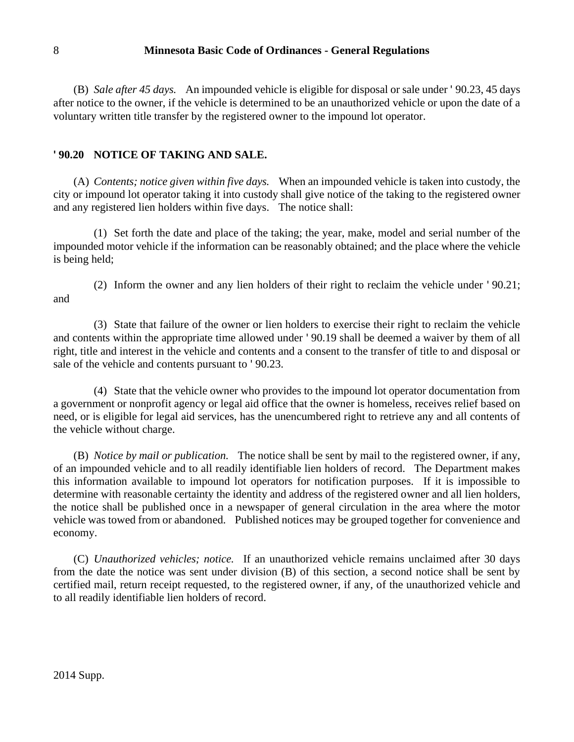(B) *Sale after 45 days.* An impounded vehicle is eligible for disposal or sale under ' 90.23, 45 days after notice to the owner, if the vehicle is determined to be an unauthorized vehicle or upon the date of a voluntary written title transfer by the registered owner to the impound lot operator.

## **' 90.20 NOTICE OF TAKING AND SALE.**

(A) *Contents; notice given within five days.* When an impounded vehicle is taken into custody, the city or impound lot operator taking it into custody shall give notice of the taking to the registered owner and any registered lien holders within five days. The notice shall:

(1) Set forth the date and place of the taking; the year, make, model and serial number of the impounded motor vehicle if the information can be reasonably obtained; and the place where the vehicle is being held;

(2) Inform the owner and any lien holders of their right to reclaim the vehicle under ' 90.21; and

(3) State that failure of the owner or lien holders to exercise their right to reclaim the vehicle and contents within the appropriate time allowed under ' 90.19 shall be deemed a waiver by them of all right, title and interest in the vehicle and contents and a consent to the transfer of title to and disposal or sale of the vehicle and contents pursuant to ' 90.23.

(4) State that the vehicle owner who provides to the impound lot operator documentation from a government or nonprofit agency or legal aid office that the owner is homeless, receives relief based on need, or is eligible for legal aid services, has the unencumbered right to retrieve any and all contents of the vehicle without charge.

(B) *Notice by mail or publication.* The notice shall be sent by mail to the registered owner, if any, of an impounded vehicle and to all readily identifiable lien holders of record. The Department makes this information available to impound lot operators for notification purposes. If it is impossible to determine with reasonable certainty the identity and address of the registered owner and all lien holders, the notice shall be published once in a newspaper of general circulation in the area where the motor vehicle was towed from or abandoned. Published notices may be grouped together for convenience and economy.

(C) *Unauthorized vehicles; notice.* If an unauthorized vehicle remains unclaimed after 30 days from the date the notice was sent under division (B) of this section, a second notice shall be sent by certified mail, return receipt requested, to the registered owner, if any, of the unauthorized vehicle and to all readily identifiable lien holders of record.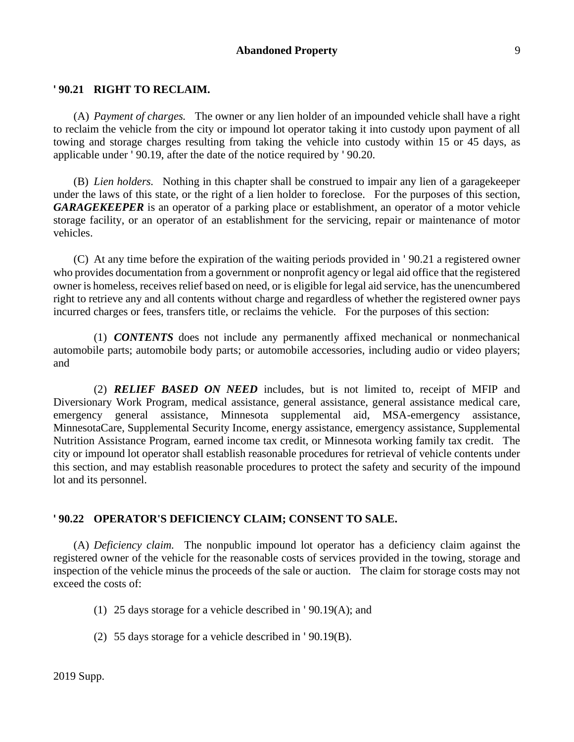## **' 90.21 RIGHT TO RECLAIM.**

(A) *Payment of charges.* The owner or any lien holder of an impounded vehicle shall have a right to reclaim the vehicle from the city or impound lot operator taking it into custody upon payment of all towing and storage charges resulting from taking the vehicle into custody within 15 or 45 days, as applicable under ' 90.19, after the date of the notice required by ' 90.20.

(B) *Lien holders.* Nothing in this chapter shall be construed to impair any lien of a garagekeeper under the laws of this state, or the right of a lien holder to foreclose. For the purposes of this section, *GARAGEKEEPER* is an operator of a parking place or establishment, an operator of a motor vehicle storage facility, or an operator of an establishment for the servicing, repair or maintenance of motor vehicles.

(C) At any time before the expiration of the waiting periods provided in ' 90.21 a registered owner who provides documentation from a government or nonprofit agency or legal aid office that the registered owner is homeless, receives relief based on need, or is eligible for legal aid service, has the unencumbered right to retrieve any and all contents without charge and regardless of whether the registered owner pays incurred charges or fees, transfers title, or reclaims the vehicle. For the purposes of this section:

(1) *CONTENTS* does not include any permanently affixed mechanical or nonmechanical automobile parts; automobile body parts; or automobile accessories, including audio or video players; and

(2) *RELIEF BASED ON NEED* includes, but is not limited to, receipt of MFIP and Diversionary Work Program, medical assistance, general assistance, general assistance medical care, emergency general assistance, Minnesota supplemental aid, MSA-emergency assistance, MinnesotaCare, Supplemental Security Income, energy assistance, emergency assistance, Supplemental Nutrition Assistance Program, earned income tax credit, or Minnesota working family tax credit. The city or impound lot operator shall establish reasonable procedures for retrieval of vehicle contents under this section, and may establish reasonable procedures to protect the safety and security of the impound lot and its personnel.

### **' 90.22 OPERATOR'S DEFICIENCY CLAIM; CONSENT TO SALE.**

(A) *Deficiency claim.* The nonpublic impound lot operator has a deficiency claim against the registered owner of the vehicle for the reasonable costs of services provided in the towing, storage and inspection of the vehicle minus the proceeds of the sale or auction. The claim for storage costs may not exceed the costs of:

(1) 25 days storage for a vehicle described in ' 90.19(A); and

(2) 55 days storage for a vehicle described in ' 90.19(B).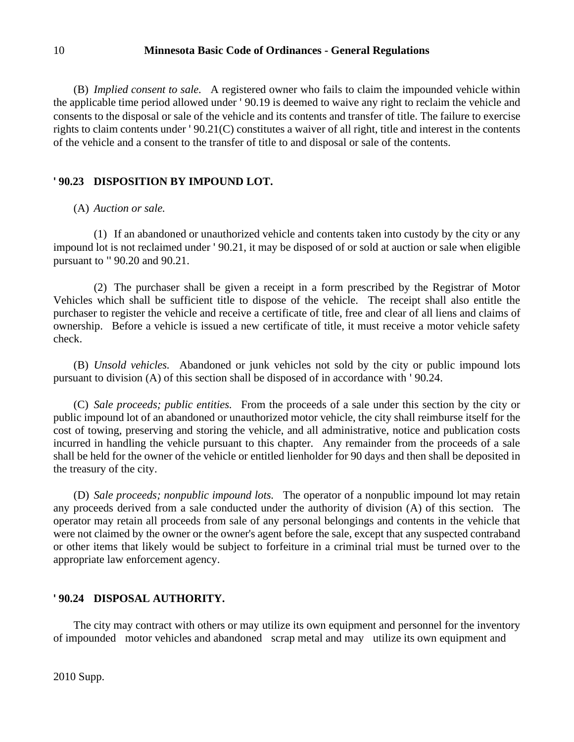(B) *Implied consent to sale.* A registered owner who fails to claim the impounded vehicle within the applicable time period allowed under ' 90.19 is deemed to waive any right to reclaim the vehicle and consents to the disposal or sale of the vehicle and its contents and transfer of title. The failure to exercise rights to claim contents under ' 90.21(C) constitutes a waiver of all right, title and interest in the contents of the vehicle and a consent to the transfer of title to and disposal or sale of the contents.

# **' 90.23 DISPOSITION BY IMPOUND LOT.**

# (A) *Auction or sale.*

(1) If an abandoned or unauthorized vehicle and contents taken into custody by the city or any impound lot is not reclaimed under ' 90.21, it may be disposed of or sold at auction or sale when eligible pursuant to '' 90.20 and 90.21.

(2) The purchaser shall be given a receipt in a form prescribed by the Registrar of Motor Vehicles which shall be sufficient title to dispose of the vehicle. The receipt shall also entitle the purchaser to register the vehicle and receive a certificate of title, free and clear of all liens and claims of ownership. Before a vehicle is issued a new certificate of title, it must receive a motor vehicle safety check.

(B) *Unsold vehicles.* Abandoned or junk vehicles not sold by the city or public impound lots pursuant to division (A) of this section shall be disposed of in accordance with ' 90.24.

(C) *Sale proceeds; public entities.* From the proceeds of a sale under this section by the city or public impound lot of an abandoned or unauthorized motor vehicle, the city shall reimburse itself for the cost of towing, preserving and storing the vehicle, and all administrative, notice and publication costs incurred in handling the vehicle pursuant to this chapter. Any remainder from the proceeds of a sale shall be held for the owner of the vehicle or entitled lienholder for 90 days and then shall be deposited in the treasury of the city.

(D) *Sale proceeds; nonpublic impound lots.* The operator of a nonpublic impound lot may retain any proceeds derived from a sale conducted under the authority of division (A) of this section. The operator may retain all proceeds from sale of any personal belongings and contents in the vehicle that were not claimed by the owner or the owner's agent before the sale, except that any suspected contraband or other items that likely would be subject to forfeiture in a criminal trial must be turned over to the appropriate law enforcement agency.

# **' 90.24 DISPOSAL AUTHORITY.**

The city may contract with others or may utilize its own equipment and personnel for the inventory of impounded motor vehicles and abandoned scrap metal and may utilize its own equipment and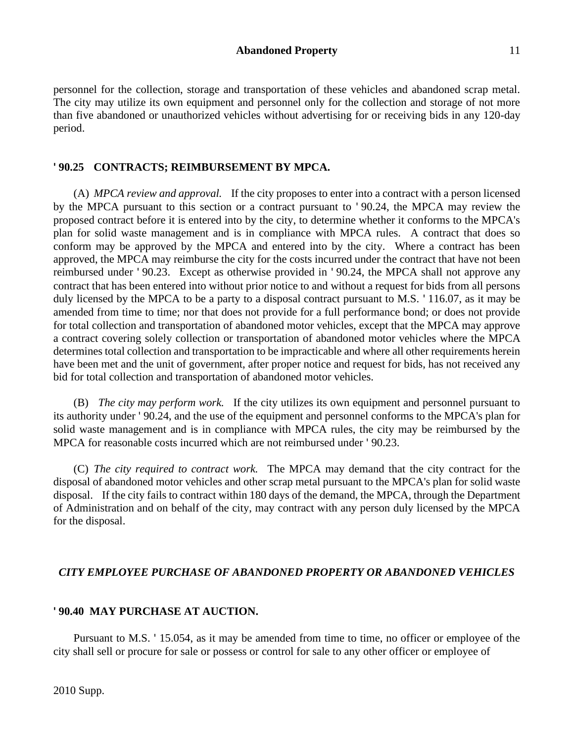personnel for the collection, storage and transportation of these vehicles and abandoned scrap metal. The city may utilize its own equipment and personnel only for the collection and storage of not more than five abandoned or unauthorized vehicles without advertising for or receiving bids in any 120-day period.

# **' 90.25 CONTRACTS; REIMBURSEMENT BY MPCA.**

(A) *MPCA review and approval.* If the city proposes to enter into a contract with a person licensed by the MPCA pursuant to this section or a contract pursuant to ' 90.24, the MPCA may review the proposed contract before it is entered into by the city, to determine whether it conforms to the MPCA's plan for solid waste management and is in compliance with MPCA rules. A contract that does so conform may be approved by the MPCA and entered into by the city. Where a contract has been approved, the MPCA may reimburse the city for the costs incurred under the contract that have not been reimbursed under ' 90.23. Except as otherwise provided in ' 90.24, the MPCA shall not approve any contract that has been entered into without prior notice to and without a request for bids from all persons duly licensed by the MPCA to be a party to a disposal contract pursuant to M.S. ' 116.07, as it may be amended from time to time; nor that does not provide for a full performance bond; or does not provide for total collection and transportation of abandoned motor vehicles, except that the MPCA may approve a contract covering solely collection or transportation of abandoned motor vehicles where the MPCA determines total collection and transportation to be impracticable and where all other requirements herein have been met and the unit of government, after proper notice and request for bids, has not received any bid for total collection and transportation of abandoned motor vehicles.

(B) *The city may perform work.* If the city utilizes its own equipment and personnel pursuant to its authority under ' 90.24, and the use of the equipment and personnel conforms to the MPCA's plan for solid waste management and is in compliance with MPCA rules, the city may be reimbursed by the MPCA for reasonable costs incurred which are not reimbursed under ' 90.23.

(C) *The city required to contract work.* The MPCA may demand that the city contract for the disposal of abandoned motor vehicles and other scrap metal pursuant to the MPCA's plan for solid waste disposal. If the city fails to contract within 180 days of the demand, the MPCA, through the Department of Administration and on behalf of the city, may contract with any person duly licensed by the MPCA for the disposal.

# *CITY EMPLOYEE PURCHASE OF ABANDONED PROPERTY OR ABANDONED VEHICLES*

## **' 90.40 MAY PURCHASE AT AUCTION.**

Pursuant to M.S. ' 15.054, as it may be amended from time to time, no officer or employee of the city shall sell or procure for sale or possess or control for sale to any other officer or employee of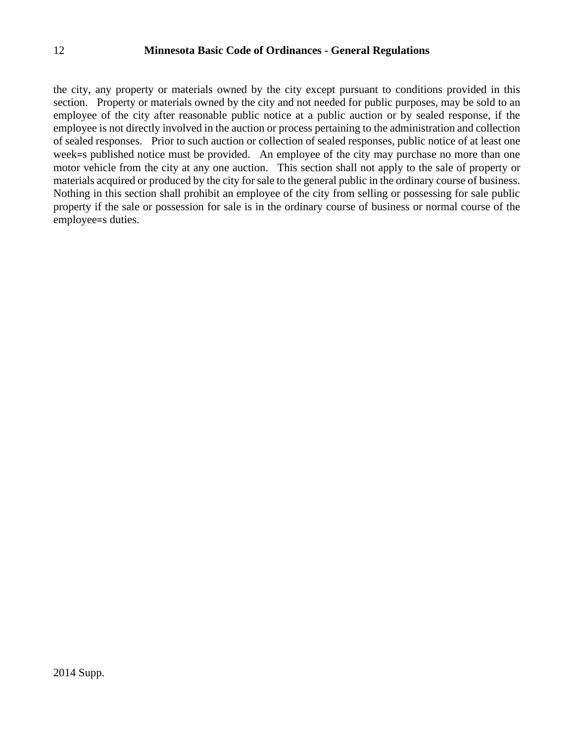the city, any property or materials owned by the city except pursuant to conditions provided in this section. Property or materials owned by the city and not needed for public purposes, may be sold to an employee of the city after reasonable public notice at a public auction or by sealed response, if the employee is not directly involved in the auction or process pertaining to the administration and collection of sealed responses. Prior to such auction or collection of sealed responses, public notice of at least one week=s published notice must be provided. An employee of the city may purchase no more than one motor vehicle from the city at any one auction. This section shall not apply to the sale of property or materials acquired or produced by the city for sale to the general public in the ordinary course of business. Nothing in this section shall prohibit an employee of the city from selling or possessing for sale public property if the sale or possession for sale is in the ordinary course of business or normal course of the employee=s duties.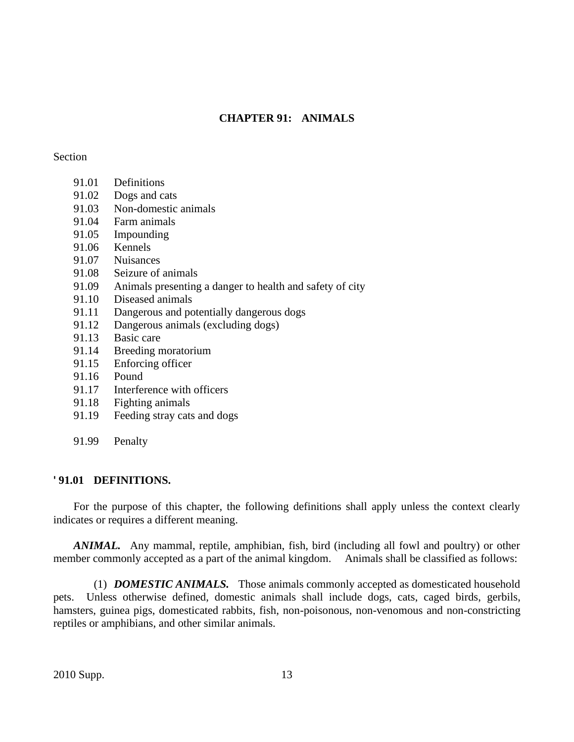# **CHAPTER 91: ANIMALS**

## Section

- 91.01 Definitions
- 91.02 Dogs and cats
- 91.03 Non-domestic animals
- 91.04 Farm animals
- 91.05 Impounding
- 91.06 Kennels
- 91.07 Nuisances
- 91.08 Seizure of animals
- 91.09 Animals presenting a danger to health and safety of city
- 91.10 Diseased animals
- 91.11 Dangerous and potentially dangerous dogs
- 91.12 Dangerous animals (excluding dogs)
- 91.13 Basic care
- 91.14 Breeding moratorium
- 91.15 Enforcing officer
- 91.16 Pound
- 91.17 Interference with officers
- 91.18 Fighting animals
- 91.19 Feeding stray cats and dogs
- 91.99 Penalty

# **' 91.01 DEFINITIONS.**

For the purpose of this chapter, the following definitions shall apply unless the context clearly indicates or requires a different meaning.

*ANIMAL.* Any mammal, reptile, amphibian, fish, bird (including all fowl and poultry) or other member commonly accepted as a part of the animal kingdom. Animals shall be classified as follows:

(1) *DOMESTIC ANIMALS.* Those animals commonly accepted as domesticated household pets. Unless otherwise defined, domestic animals shall include dogs, cats, caged birds, gerbils, hamsters, guinea pigs, domesticated rabbits, fish, non-poisonous, non-venomous and non-constricting reptiles or amphibians, and other similar animals.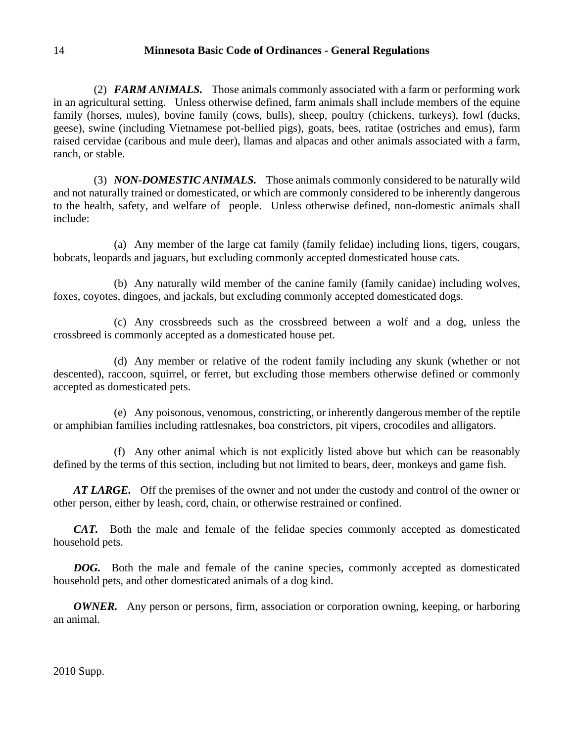(2) *FARM ANIMALS.* Those animals commonly associated with a farm or performing work in an agricultural setting. Unless otherwise defined, farm animals shall include members of the equine family (horses, mules), bovine family (cows, bulls), sheep, poultry (chickens, turkeys), fowl (ducks, geese), swine (including Vietnamese pot-bellied pigs), goats, bees, ratitae (ostriches and emus), farm raised cervidae (caribous and mule deer), llamas and alpacas and other animals associated with a farm, ranch, or stable.

(3) *NON-DOMESTIC ANIMALS.* Those animals commonly considered to be naturally wild and not naturally trained or domesticated, or which are commonly considered to be inherently dangerous to the health, safety, and welfare of people. Unless otherwise defined, non-domestic animals shall include:

(a) Any member of the large cat family (family felidae) including lions, tigers, cougars, bobcats, leopards and jaguars, but excluding commonly accepted domesticated house cats.

(b) Any naturally wild member of the canine family (family canidae) including wolves, foxes, coyotes, dingoes, and jackals, but excluding commonly accepted domesticated dogs.

(c) Any crossbreeds such as the crossbreed between a wolf and a dog, unless the crossbreed is commonly accepted as a domesticated house pet.

(d) Any member or relative of the rodent family including any skunk (whether or not descented), raccoon, squirrel, or ferret, but excluding those members otherwise defined or commonly accepted as domesticated pets.

(e) Any poisonous, venomous, constricting, or inherently dangerous member of the reptile or amphibian families including rattlesnakes, boa constrictors, pit vipers, crocodiles and alligators.

(f) Any other animal which is not explicitly listed above but which can be reasonably defined by the terms of this section, including but not limited to bears, deer, monkeys and game fish.

*AT LARGE.* Off the premises of the owner and not under the custody and control of the owner or other person, either by leash, cord, chain, or otherwise restrained or confined.

*CAT.* Both the male and female of the felidae species commonly accepted as domesticated household pets.

*DOG.* Both the male and female of the canine species, commonly accepted as domesticated household pets, and other domesticated animals of a dog kind.

*OWNER.* Any person or persons, firm, association or corporation owning, keeping, or harboring an animal.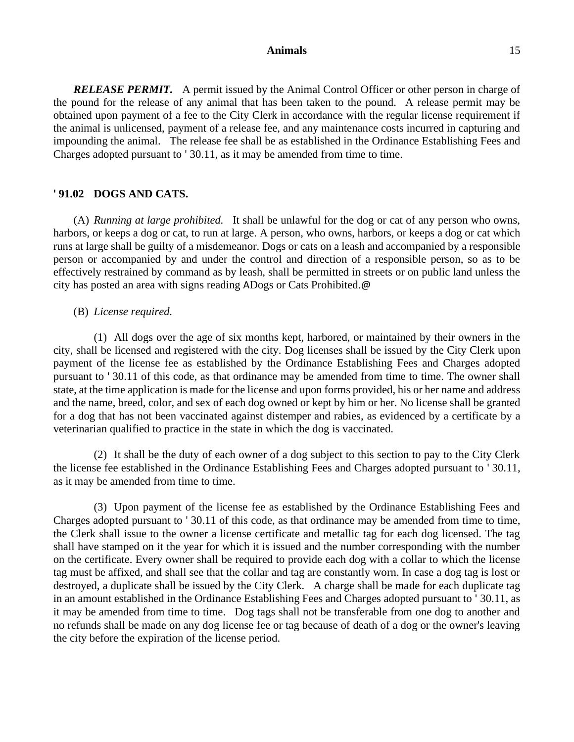*RELEASE PERMIT.* A permit issued by the Animal Control Officer or other person in charge of the pound for the release of any animal that has been taken to the pound. A release permit may be obtained upon payment of a fee to the City Clerk in accordance with the regular license requirement if the animal is unlicensed, payment of a release fee, and any maintenance costs incurred in capturing and impounding the animal. The release fee shall be as established in the Ordinance Establishing Fees and Charges adopted pursuant to ' 30.11, as it may be amended from time to time.

### **' 91.02 DOGS AND CATS.**

(A) *Running at large prohibited.* It shall be unlawful for the dog or cat of any person who owns, harbors, or keeps a dog or cat, to run at large. A person, who owns, harbors, or keeps a dog or cat which runs at large shall be guilty of a misdemeanor. Dogs or cats on a leash and accompanied by a responsible person or accompanied by and under the control and direction of a responsible person, so as to be effectively restrained by command as by leash, shall be permitted in streets or on public land unless the city has posted an area with signs reading ADogs or Cats Prohibited.@

#### (B) *License required.*

(1) All dogs over the age of six months kept, harbored, or maintained by their owners in the city, shall be licensed and registered with the city. Dog licenses shall be issued by the City Clerk upon payment of the license fee as established by the Ordinance Establishing Fees and Charges adopted pursuant to ' 30.11 of this code, as that ordinance may be amended from time to time. The owner shall state, at the time application is made for the license and upon forms provided, his or her name and address and the name, breed, color, and sex of each dog owned or kept by him or her. No license shall be granted for a dog that has not been vaccinated against distemper and rabies, as evidenced by a certificate by a veterinarian qualified to practice in the state in which the dog is vaccinated.

(2) It shall be the duty of each owner of a dog subject to this section to pay to the City Clerk the license fee established in the Ordinance Establishing Fees and Charges adopted pursuant to ' 30.11, as it may be amended from time to time.

(3) Upon payment of the license fee as established by the Ordinance Establishing Fees and Charges adopted pursuant to ' 30.11 of this code, as that ordinance may be amended from time to time, the Clerk shall issue to the owner a license certificate and metallic tag for each dog licensed. The tag shall have stamped on it the year for which it is issued and the number corresponding with the number on the certificate. Every owner shall be required to provide each dog with a collar to which the license tag must be affixed, and shall see that the collar and tag are constantly worn. In case a dog tag is lost or destroyed, a duplicate shall be issued by the City Clerk. A charge shall be made for each duplicate tag in an amount established in the Ordinance Establishing Fees and Charges adopted pursuant to ' 30.11, as it may be amended from time to time. Dog tags shall not be transferable from one dog to another and no refunds shall be made on any dog license fee or tag because of death of a dog or the owner's leaving the city before the expiration of the license period.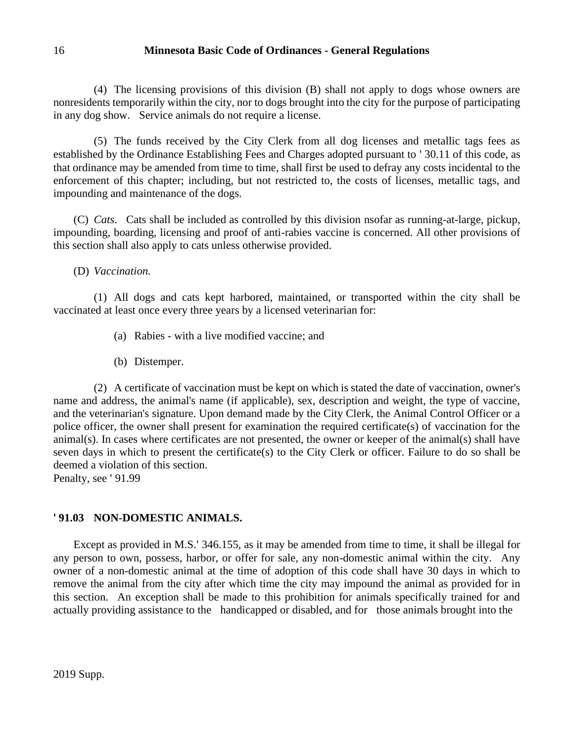(4) The licensing provisions of this division (B) shall not apply to dogs whose owners are nonresidents temporarily within the city, nor to dogs brought into the city for the purpose of participating in any dog show. Service animals do not require a license.

(5) The funds received by the City Clerk from all dog licenses and metallic tags fees as established by the Ordinance Establishing Fees and Charges adopted pursuant to ' 30.11 of this code, as that ordinance may be amended from time to time, shall first be used to defray any costs incidental to the enforcement of this chapter; including, but not restricted to, the costs of licenses, metallic tags, and impounding and maintenance of the dogs.

(C) *Cats*. Cats shall be included as controlled by this division nsofar as running-at-large, pickup, impounding, boarding, licensing and proof of anti-rabies vaccine is concerned. All other provisions of this section shall also apply to cats unless otherwise provided.

(D) *Vaccination.*

(1) All dogs and cats kept harbored, maintained, or transported within the city shall be vaccinated at least once every three years by a licensed veterinarian for:

- (a) Rabies with a live modified vaccine; and
- (b) Distemper.

(2) A certificate of vaccination must be kept on which is stated the date of vaccination, owner's name and address, the animal's name (if applicable), sex, description and weight, the type of vaccine, and the veterinarian's signature. Upon demand made by the City Clerk, the Animal Control Officer or a police officer, the owner shall present for examination the required certificate(s) of vaccination for the animal(s). In cases where certificates are not presented, the owner or keeper of the animal(s) shall have seven days in which to present the certificate(s) to the City Clerk or officer. Failure to do so shall be deemed a violation of this section.

Penalty, see ' 91.99

# **' 91.03 NON-DOMESTIC ANIMALS.**

Except as provided in M.S.' 346.155, as it may be amended from time to time, it shall be illegal for any person to own, possess, harbor, or offer for sale, any non-domestic animal within the city. Any owner of a non-domestic animal at the time of adoption of this code shall have 30 days in which to remove the animal from the city after which time the city may impound the animal as provided for in this section. An exception shall be made to this prohibition for animals specifically trained for and actually providing assistance to the handicapped or disabled, and for those animals brought into the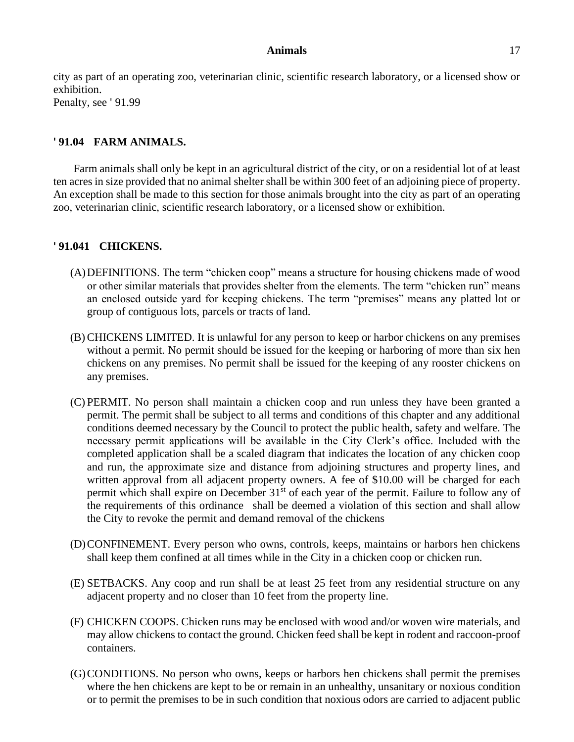city as part of an operating zoo, veterinarian clinic, scientific research laboratory, or a licensed show or exhibition. Penalty, see ' 91.99

# **' 91.04 FARM ANIMALS.**

Farm animals shall only be kept in an agricultural district of the city, or on a residential lot of at least ten acres in size provided that no animal shelter shall be within 300 feet of an adjoining piece of property. An exception shall be made to this section for those animals brought into the city as part of an operating zoo, veterinarian clinic, scientific research laboratory, or a licensed show or exhibition.

## **' 91.041 CHICKENS.**

- (A)DEFINITIONS. The term "chicken coop" means a structure for housing chickens made of wood or other similar materials that provides shelter from the elements. The term "chicken run" means an enclosed outside yard for keeping chickens. The term "premises" means any platted lot or group of contiguous lots, parcels or tracts of land.
- (B) CHICKENS LIMITED. It is unlawful for any person to keep or harbor chickens on any premises without a permit. No permit should be issued for the keeping or harboring of more than six hen chickens on any premises. No permit shall be issued for the keeping of any rooster chickens on any premises.
- (C) PERMIT. No person shall maintain a chicken coop and run unless they have been granted a permit. The permit shall be subject to all terms and conditions of this chapter and any additional conditions deemed necessary by the Council to protect the public health, safety and welfare. The necessary permit applications will be available in the City Clerk's office. Included with the completed application shall be a scaled diagram that indicates the location of any chicken coop and run, the approximate size and distance from adjoining structures and property lines, and written approval from all adjacent property owners. A fee of \$10.00 will be charged for each permit which shall expire on December 31<sup>st</sup> of each year of the permit. Failure to follow any of the requirements of this ordinance shall be deemed a violation of this section and shall allow the City to revoke the permit and demand removal of the chickens
- (D)CONFINEMENT. Every person who owns, controls, keeps, maintains or harbors hen chickens shall keep them confined at all times while in the City in a chicken coop or chicken run.
- (E) SETBACKS. Any coop and run shall be at least 25 feet from any residential structure on any adjacent property and no closer than 10 feet from the property line.
- (F) CHICKEN COOPS. Chicken runs may be enclosed with wood and/or woven wire materials, and may allow chickens to contact the ground. Chicken feed shall be kept in rodent and raccoon-proof containers.
- (G)CONDITIONS. No person who owns, keeps or harbors hen chickens shall permit the premises where the hen chickens are kept to be or remain in an unhealthy, unsanitary or noxious condition or to permit the premises to be in such condition that noxious odors are carried to adjacent public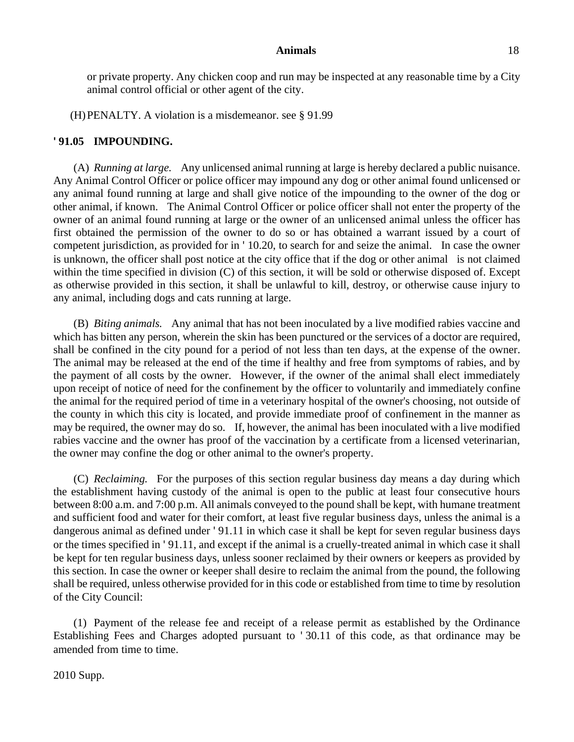or private property. Any chicken coop and run may be inspected at any reasonable time by a City animal control official or other agent of the city.

(H)PENALTY. A violation is a misdemeanor. see § 91.99

# **' 91.05 IMPOUNDING.**

(A) *Running at large.* Any unlicensed animal running at large is hereby declared a public nuisance. Any Animal Control Officer or police officer may impound any dog or other animal found unlicensed or any animal found running at large and shall give notice of the impounding to the owner of the dog or other animal, if known. The Animal Control Officer or police officer shall not enter the property of the owner of an animal found running at large or the owner of an unlicensed animal unless the officer has first obtained the permission of the owner to do so or has obtained a warrant issued by a court of competent jurisdiction, as provided for in ' 10.20, to search for and seize the animal. In case the owner is unknown, the officer shall post notice at the city office that if the dog or other animal is not claimed within the time specified in division (C) of this section, it will be sold or otherwise disposed of. Except as otherwise provided in this section, it shall be unlawful to kill, destroy, or otherwise cause injury to any animal, including dogs and cats running at large.

(B) *Biting animals.* Any animal that has not been inoculated by a live modified rabies vaccine and which has bitten any person, wherein the skin has been punctured or the services of a doctor are required, shall be confined in the city pound for a period of not less than ten days, at the expense of the owner. The animal may be released at the end of the time if healthy and free from symptoms of rabies, and by the payment of all costs by the owner. However, if the owner of the animal shall elect immediately upon receipt of notice of need for the confinement by the officer to voluntarily and immediately confine the animal for the required period of time in a veterinary hospital of the owner's choosing, not outside of the county in which this city is located, and provide immediate proof of confinement in the manner as may be required, the owner may do so. If, however, the animal has been inoculated with a live modified rabies vaccine and the owner has proof of the vaccination by a certificate from a licensed veterinarian, the owner may confine the dog or other animal to the owner's property.

(C) *Reclaiming.* For the purposes of this section regular business day means a day during which the establishment having custody of the animal is open to the public at least four consecutive hours between 8:00 a.m. and 7:00 p.m. All animals conveyed to the pound shall be kept, with humane treatment and sufficient food and water for their comfort, at least five regular business days, unless the animal is a dangerous animal as defined under ' 91.11 in which case it shall be kept for seven regular business days or the times specified in ' 91.11, and except if the animal is a cruelly-treated animal in which case it shall be kept for ten regular business days, unless sooner reclaimed by their owners or keepers as provided by this section. In case the owner or keeper shall desire to reclaim the animal from the pound, the following shall be required, unless otherwise provided for in this code or established from time to time by resolution of the City Council:

(1) Payment of the release fee and receipt of a release permit as established by the Ordinance Establishing Fees and Charges adopted pursuant to ' 30.11 of this code, as that ordinance may be amended from time to time.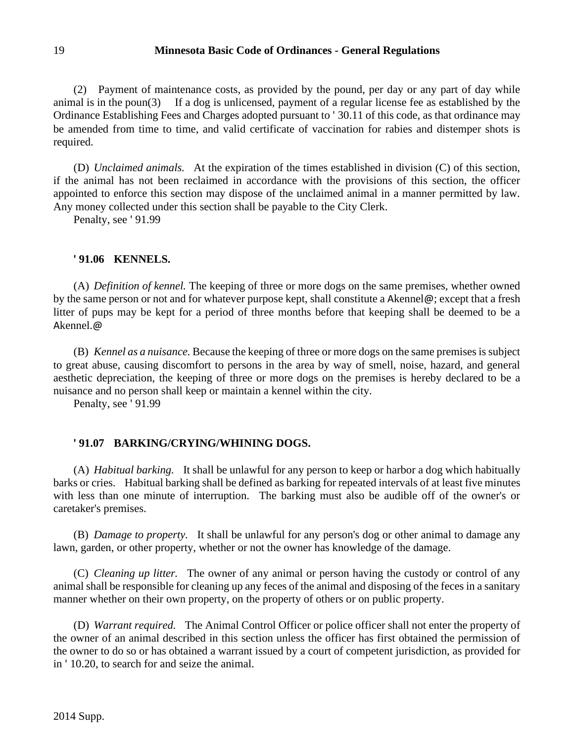(2) Payment of maintenance costs, as provided by the pound, per day or any part of day while animal is in the poun(3) If a dog is unlicensed, payment of a regular license fee as established by the Ordinance Establishing Fees and Charges adopted pursuant to ' 30.11 of this code, as that ordinance may be amended from time to time, and valid certificate of vaccination for rabies and distemper shots is required.

(D) *Unclaimed animals.* At the expiration of the times established in division (C) of this section, if the animal has not been reclaimed in accordance with the provisions of this section, the officer appointed to enforce this section may dispose of the unclaimed animal in a manner permitted by law. Any money collected under this section shall be payable to the City Clerk.

Penalty, see ' 91.99

# **' 91.06 KENNELS.**

(A) *Definition of kennel.* The keeping of three or more dogs on the same premises, whether owned by the same person or not and for whatever purpose kept, shall constitute a Akennel@; except that a fresh litter of pups may be kept for a period of three months before that keeping shall be deemed to be a Akennel.@

(B) *Kennel as a nuisance.* Because the keeping of three or more dogs on the same premises is subject to great abuse, causing discomfort to persons in the area by way of smell, noise, hazard, and general aesthetic depreciation, the keeping of three or more dogs on the premises is hereby declared to be a nuisance and no person shall keep or maintain a kennel within the city.

Penalty, see ' 91.99

# **' 91.07 BARKING/CRYING/WHINING DOGS.**

(A) *Habitual barking.* It shall be unlawful for any person to keep or harbor a dog which habitually barks or cries. Habitual barking shall be defined as barking for repeated intervals of at least five minutes with less than one minute of interruption. The barking must also be audible off of the owner's or caretaker's premises.

(B) *Damage to property.* It shall be unlawful for any person's dog or other animal to damage any lawn, garden, or other property, whether or not the owner has knowledge of the damage.

(C) *Cleaning up litter.* The owner of any animal or person having the custody or control of any animal shall be responsible for cleaning up any feces of the animal and disposing of the feces in a sanitary manner whether on their own property, on the property of others or on public property.

(D) *Warrant required.* The Animal Control Officer or police officer shall not enter the property of the owner of an animal described in this section unless the officer has first obtained the permission of the owner to do so or has obtained a warrant issued by a court of competent jurisdiction, as provided for in ' 10.20, to search for and seize the animal.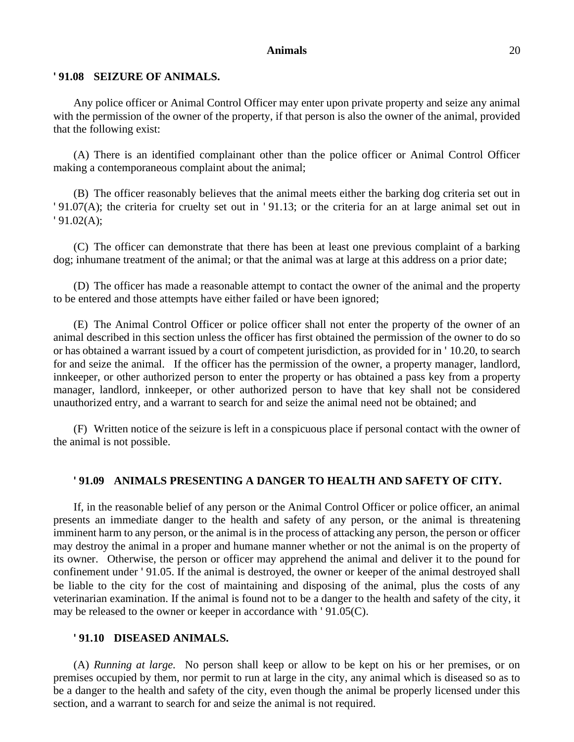#### **' 91.08 SEIZURE OF ANIMALS.**

Any police officer or Animal Control Officer may enter upon private property and seize any animal with the permission of the owner of the property, if that person is also the owner of the animal, provided that the following exist:

(A) There is an identified complainant other than the police officer or Animal Control Officer making a contemporaneous complaint about the animal;

(B) The officer reasonably believes that the animal meets either the barking dog criteria set out in ' 91.07(A); the criteria for cruelty set out in ' 91.13; or the criteria for an at large animal set out in ' 91.02(A);

(C) The officer can demonstrate that there has been at least one previous complaint of a barking dog; inhumane treatment of the animal; or that the animal was at large at this address on a prior date;

(D) The officer has made a reasonable attempt to contact the owner of the animal and the property to be entered and those attempts have either failed or have been ignored;

(E) The Animal Control Officer or police officer shall not enter the property of the owner of an animal described in this section unless the officer has first obtained the permission of the owner to do so or has obtained a warrant issued by a court of competent jurisdiction, as provided for in ' 10.20, to search for and seize the animal. If the officer has the permission of the owner, a property manager, landlord, innkeeper, or other authorized person to enter the property or has obtained a pass key from a property manager, landlord, innkeeper, or other authorized person to have that key shall not be considered unauthorized entry, and a warrant to search for and seize the animal need not be obtained; and

(F) Written notice of the seizure is left in a conspicuous place if personal contact with the owner of the animal is not possible.

#### **' 91.09 ANIMALS PRESENTING A DANGER TO HEALTH AND SAFETY OF CITY.**

If, in the reasonable belief of any person or the Animal Control Officer or police officer, an animal presents an immediate danger to the health and safety of any person, or the animal is threatening imminent harm to any person, or the animal is in the process of attacking any person, the person or officer may destroy the animal in a proper and humane manner whether or not the animal is on the property of its owner. Otherwise, the person or officer may apprehend the animal and deliver it to the pound for confinement under ' 91.05. If the animal is destroyed, the owner or keeper of the animal destroyed shall be liable to the city for the cost of maintaining and disposing of the animal, plus the costs of any veterinarian examination. If the animal is found not to be a danger to the health and safety of the city, it may be released to the owner or keeper in accordance with ' 91.05(C).

### **' 91.10 DISEASED ANIMALS.**

(A) *Running at large.* No person shall keep or allow to be kept on his or her premises, or on premises occupied by them, nor permit to run at large in the city, any animal which is diseased so as to be a danger to the health and safety of the city, even though the animal be properly licensed under this section, and a warrant to search for and seize the animal is not required.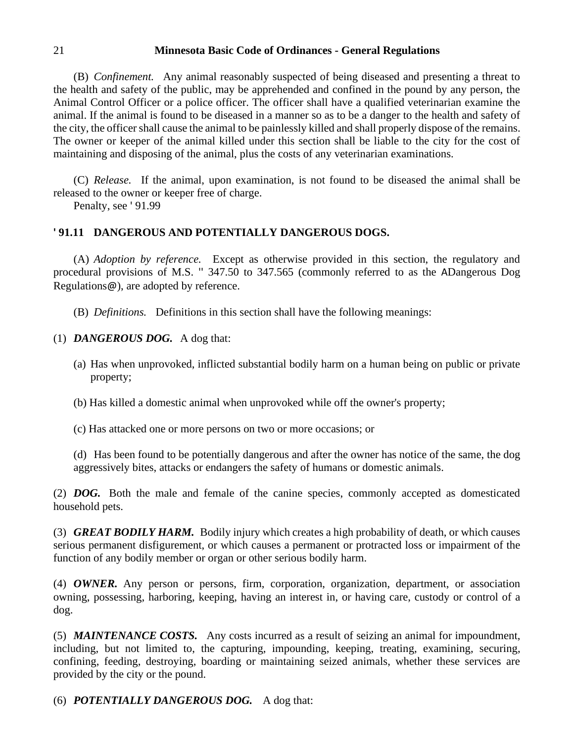(B) *Confinement.* Any animal reasonably suspected of being diseased and presenting a threat to the health and safety of the public, may be apprehended and confined in the pound by any person, the Animal Control Officer or a police officer. The officer shall have a qualified veterinarian examine the animal. If the animal is found to be diseased in a manner so as to be a danger to the health and safety of the city, the officer shall cause the animal to be painlessly killed and shall properly dispose of the remains. The owner or keeper of the animal killed under this section shall be liable to the city for the cost of maintaining and disposing of the animal, plus the costs of any veterinarian examinations.

(C) *Release.* If the animal, upon examination, is not found to be diseased the animal shall be released to the owner or keeper free of charge.

Penalty, see ' 91.99

# **' 91.11 DANGEROUS AND POTENTIALLY DANGEROUS DOGS.**

(A) *Adoption by reference.* Except as otherwise provided in this section, the regulatory and procedural provisions of M.S. '' 347.50 to 347.565 (commonly referred to as the ADangerous Dog Regulations@), are adopted by reference.

(B) *Definitions.* Definitions in this section shall have the following meanings:

(1) *DANGEROUS DOG.* A dog that:

- (a) Has when unprovoked, inflicted substantial bodily harm on a human being on public or private property;
- (b) Has killed a domestic animal when unprovoked while off the owner's property;
- (c) Has attacked one or more persons on two or more occasions; or

(d) Has been found to be potentially dangerous and after the owner has notice of the same, the dog aggressively bites, attacks or endangers the safety of humans or domestic animals.

(2) *DOG.* Both the male and female of the canine species, commonly accepted as domesticated household pets.

(3) *GREAT BODILY HARM.* Bodily injury which creates a high probability of death, or which causes serious permanent disfigurement, or which causes a permanent or protracted loss or impairment of the function of any bodily member or organ or other serious bodily harm.

(4) *OWNER.* Any person or persons, firm, corporation, organization, department, or association owning, possessing, harboring, keeping, having an interest in, or having care, custody or control of a dog.

(5) *MAINTENANCE COSTS.* Any costs incurred as a result of seizing an animal for impoundment, including, but not limited to, the capturing, impounding, keeping, treating, examining, securing, confining, feeding, destroying, boarding or maintaining seized animals, whether these services are provided by the city or the pound.

(6) *POTENTIALLY DANGEROUS DOG.* A dog that: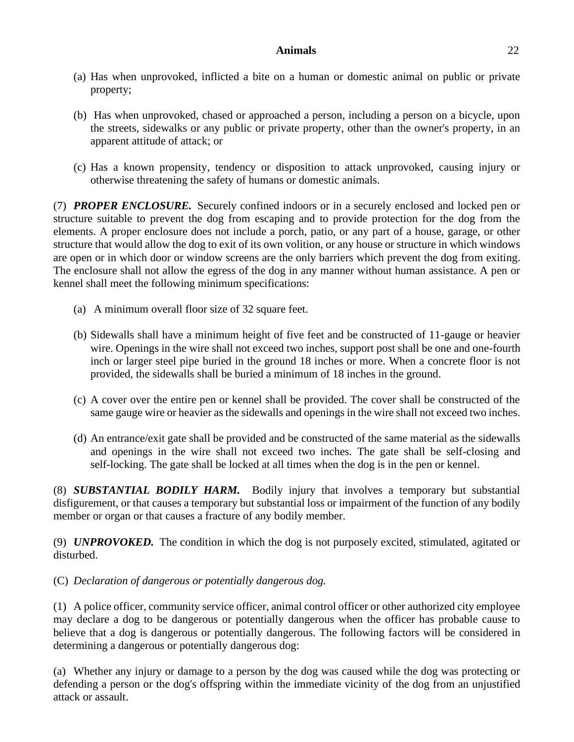- (a) Has when unprovoked, inflicted a bite on a human or domestic animal on public or private property;
- (b) Has when unprovoked, chased or approached a person, including a person on a bicycle, upon the streets, sidewalks or any public or private property, other than the owner's property, in an apparent attitude of attack; or
- (c) Has a known propensity, tendency or disposition to attack unprovoked, causing injury or otherwise threatening the safety of humans or domestic animals.

(7) *PROPER ENCLOSURE.* Securely confined indoors or in a securely enclosed and locked pen or structure suitable to prevent the dog from escaping and to provide protection for the dog from the elements. A proper enclosure does not include a porch, patio, or any part of a house, garage, or other structure that would allow the dog to exit of its own volition, or any house or structure in which windows are open or in which door or window screens are the only barriers which prevent the dog from exiting. The enclosure shall not allow the egress of the dog in any manner without human assistance. A pen or kennel shall meet the following minimum specifications:

- (a) A minimum overall floor size of 32 square feet.
- (b) Sidewalls shall have a minimum height of five feet and be constructed of 11-gauge or heavier wire. Openings in the wire shall not exceed two inches, support post shall be one and one-fourth inch or larger steel pipe buried in the ground 18 inches or more. When a concrete floor is not provided, the sidewalls shall be buried a minimum of 18 inches in the ground.
- (c) A cover over the entire pen or kennel shall be provided. The cover shall be constructed of the same gauge wire or heavier as the sidewalls and openings in the wire shall not exceed two inches.
- (d) An entrance/exit gate shall be provided and be constructed of the same material as the sidewalls and openings in the wire shall not exceed two inches. The gate shall be self-closing and self-locking. The gate shall be locked at all times when the dog is in the pen or kennel.

(8) *SUBSTANTIAL BODILY HARM.* Bodily injury that involves a temporary but substantial disfigurement, or that causes a temporary but substantial loss or impairment of the function of any bodily member or organ or that causes a fracture of any bodily member.

(9) *UNPROVOKED.* The condition in which the dog is not purposely excited, stimulated, agitated or disturbed.

# (C) *Declaration of dangerous or potentially dangerous dog.*

(1) A police officer, community service officer, animal control officer or other authorized city employee may declare a dog to be dangerous or potentially dangerous when the officer has probable cause to believe that a dog is dangerous or potentially dangerous. The following factors will be considered in determining a dangerous or potentially dangerous dog:

(a) Whether any injury or damage to a person by the dog was caused while the dog was protecting or defending a person or the dog's offspring within the immediate vicinity of the dog from an unjustified attack or assault.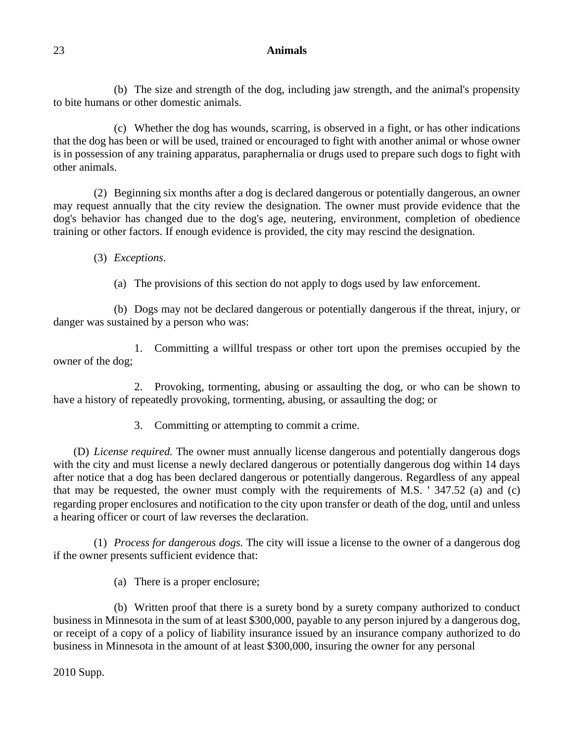(b) The size and strength of the dog, including jaw strength, and the animal's propensity to bite humans or other domestic animals.

(c) Whether the dog has wounds, scarring, is observed in a fight, or has other indications that the dog has been or will be used, trained or encouraged to fight with another animal or whose owner is in possession of any training apparatus, paraphernalia or drugs used to prepare such dogs to fight with other animals.

(2) Beginning six months after a dog is declared dangerous or potentially dangerous, an owner may request annually that the city review the designation. The owner must provide evidence that the dog's behavior has changed due to the dog's age, neutering, environment, completion of obedience training or other factors. If enough evidence is provided, the city may rescind the designation.

(3) *Exceptions*.

(a) The provisions of this section do not apply to dogs used by law enforcement.

(b) Dogs may not be declared dangerous or potentially dangerous if the threat, injury, or danger was sustained by a person who was:

1. Committing a willful trespass or other tort upon the premises occupied by the owner of the dog;

2. Provoking, tormenting, abusing or assaulting the dog, or who can be shown to have a history of repeatedly provoking, tormenting, abusing, or assaulting the dog; or

3. Committing or attempting to commit a crime.

(D) *License required.* The owner must annually license dangerous and potentially dangerous dogs with the city and must license a newly declared dangerous or potentially dangerous dog within 14 days after notice that a dog has been declared dangerous or potentially dangerous. Regardless of any appeal that may be requested, the owner must comply with the requirements of M.S. ' 347.52 (a) and (c) regarding proper enclosures and notification to the city upon transfer or death of the dog, until and unless a hearing officer or court of law reverses the declaration.

(1) *Process for dangerous dogs.* The city will issue a license to the owner of a dangerous dog if the owner presents sufficient evidence that:

(a) There is a proper enclosure;

(b) Written proof that there is a surety bond by a surety company authorized to conduct business in Minnesota in the sum of at least \$300,000, payable to any person injured by a dangerous dog, or receipt of a copy of a policy of liability insurance issued by an insurance company authorized to do business in Minnesota in the amount of at least \$300,000, insuring the owner for any personal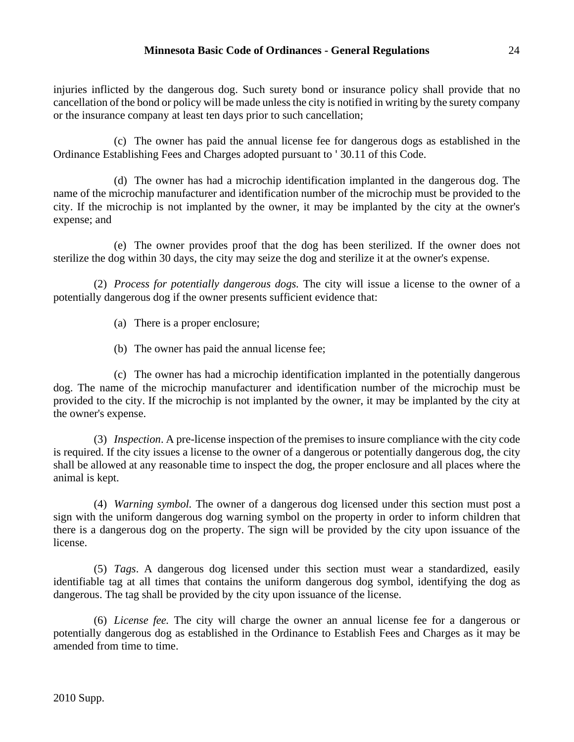injuries inflicted by the dangerous dog. Such surety bond or insurance policy shall provide that no cancellation of the bond or policy will be made unless the city is notified in writing by the surety company or the insurance company at least ten days prior to such cancellation;

(c) The owner has paid the annual license fee for dangerous dogs as established in the Ordinance Establishing Fees and Charges adopted pursuant to ' 30.11 of this Code.

(d) The owner has had a microchip identification implanted in the dangerous dog. The name of the microchip manufacturer and identification number of the microchip must be provided to the city. If the microchip is not implanted by the owner, it may be implanted by the city at the owner's expense; and

(e) The owner provides proof that the dog has been sterilized. If the owner does not sterilize the dog within 30 days, the city may seize the dog and sterilize it at the owner's expense.

(2) *Process for potentially dangerous dogs.* The city will issue a license to the owner of a potentially dangerous dog if the owner presents sufficient evidence that:

- (a) There is a proper enclosure;
- (b) The owner has paid the annual license fee;

(c) The owner has had a microchip identification implanted in the potentially dangerous dog. The name of the microchip manufacturer and identification number of the microchip must be provided to the city. If the microchip is not implanted by the owner, it may be implanted by the city at the owner's expense.

(3) *Inspection*. A pre-license inspection of the premises to insure compliance with the city code is required. If the city issues a license to the owner of a dangerous or potentially dangerous dog, the city shall be allowed at any reasonable time to inspect the dog, the proper enclosure and all places where the animal is kept.

(4) *Warning symbol.* The owner of a dangerous dog licensed under this section must post a sign with the uniform dangerous dog warning symbol on the property in order to inform children that there is a dangerous dog on the property. The sign will be provided by the city upon issuance of the license.

(5) *Tags*. A dangerous dog licensed under this section must wear a standardized, easily identifiable tag at all times that contains the uniform dangerous dog symbol, identifying the dog as dangerous. The tag shall be provided by the city upon issuance of the license.

(6) *License fee.* The city will charge the owner an annual license fee for a dangerous or potentially dangerous dog as established in the Ordinance to Establish Fees and Charges as it may be amended from time to time.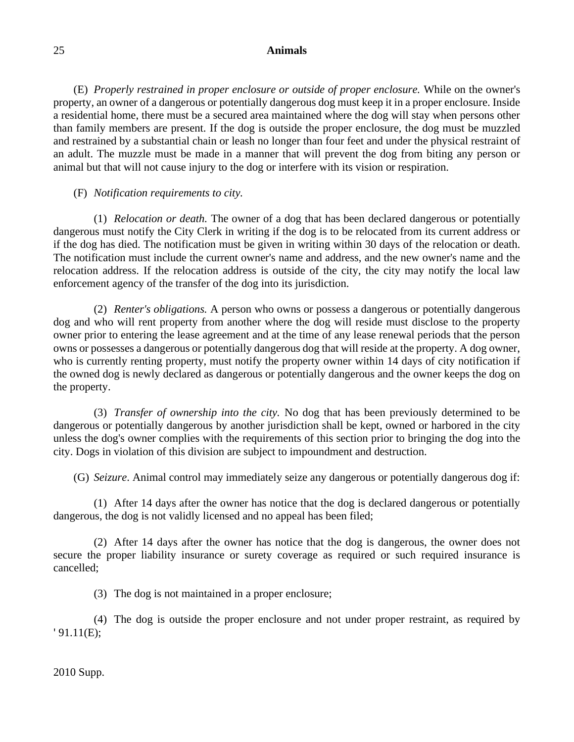(E) *Properly restrained in proper enclosure or outside of proper enclosure.* While on the owner's property, an owner of a dangerous or potentially dangerous dog must keep it in a proper enclosure. Inside a residential home, there must be a secured area maintained where the dog will stay when persons other than family members are present. If the dog is outside the proper enclosure, the dog must be muzzled and restrained by a substantial chain or leash no longer than four feet and under the physical restraint of an adult. The muzzle must be made in a manner that will prevent the dog from biting any person or animal but that will not cause injury to the dog or interfere with its vision or respiration.

## (F) *Notification requirements to city.*

(1) *Relocation or death.* The owner of a dog that has been declared dangerous or potentially dangerous must notify the City Clerk in writing if the dog is to be relocated from its current address or if the dog has died. The notification must be given in writing within 30 days of the relocation or death. The notification must include the current owner's name and address, and the new owner's name and the relocation address. If the relocation address is outside of the city, the city may notify the local law enforcement agency of the transfer of the dog into its jurisdiction.

(2) *Renter's obligations.* A person who owns or possess a dangerous or potentially dangerous dog and who will rent property from another where the dog will reside must disclose to the property owner prior to entering the lease agreement and at the time of any lease renewal periods that the person owns or possesses a dangerous or potentially dangerous dog that will reside at the property. A dog owner, who is currently renting property, must notify the property owner within 14 days of city notification if the owned dog is newly declared as dangerous or potentially dangerous and the owner keeps the dog on the property.

(3) *Transfer of ownership into the city.* No dog that has been previously determined to be dangerous or potentially dangerous by another jurisdiction shall be kept, owned or harbored in the city unless the dog's owner complies with the requirements of this section prior to bringing the dog into the city. Dogs in violation of this division are subject to impoundment and destruction.

(G) *Seizure*. Animal control may immediately seize any dangerous or potentially dangerous dog if:

(1) After 14 days after the owner has notice that the dog is declared dangerous or potentially dangerous, the dog is not validly licensed and no appeal has been filed;

(2) After 14 days after the owner has notice that the dog is dangerous, the owner does not secure the proper liability insurance or surety coverage as required or such required insurance is cancelled;

(3) The dog is not maintained in a proper enclosure;

(4) The dog is outside the proper enclosure and not under proper restraint, as required by ' 91.11(E);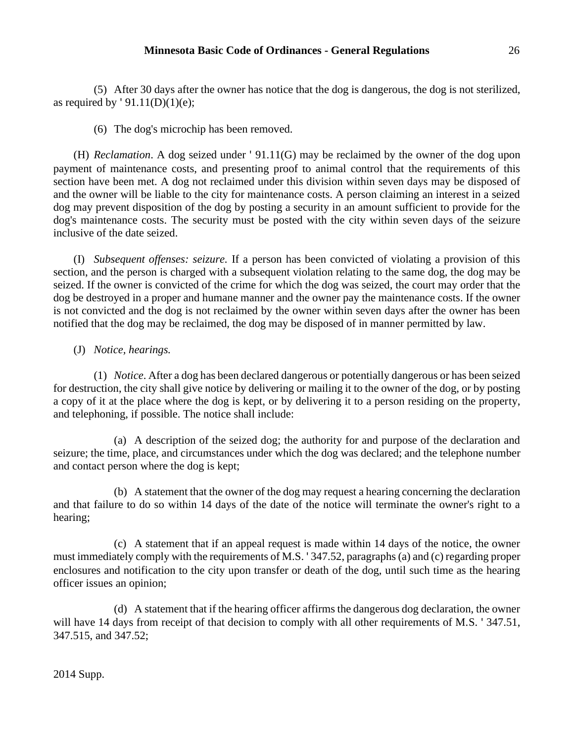(5) After 30 days after the owner has notice that the dog is dangerous, the dog is not sterilized, as required by  $'91.11(D)(1)(e);$ 

(6) The dog's microchip has been removed.

(H) *Reclamation*. A dog seized under ' 91.11(G) may be reclaimed by the owner of the dog upon payment of maintenance costs, and presenting proof to animal control that the requirements of this section have been met. A dog not reclaimed under this division within seven days may be disposed of and the owner will be liable to the city for maintenance costs. A person claiming an interest in a seized dog may prevent disposition of the dog by posting a security in an amount sufficient to provide for the dog's maintenance costs. The security must be posted with the city within seven days of the seizure inclusive of the date seized.

(I) *Subsequent offenses: seizure.* If a person has been convicted of violating a provision of this section, and the person is charged with a subsequent violation relating to the same dog, the dog may be seized. If the owner is convicted of the crime for which the dog was seized, the court may order that the dog be destroyed in a proper and humane manner and the owner pay the maintenance costs. If the owner is not convicted and the dog is not reclaimed by the owner within seven days after the owner has been notified that the dog may be reclaimed, the dog may be disposed of in manner permitted by law.

# (J) *Notice, hearings.*

(1) *Notice*. After a dog has been declared dangerous or potentially dangerous or has been seized for destruction, the city shall give notice by delivering or mailing it to the owner of the dog, or by posting a copy of it at the place where the dog is kept, or by delivering it to a person residing on the property, and telephoning, if possible. The notice shall include:

(a) A description of the seized dog; the authority for and purpose of the declaration and seizure; the time, place, and circumstances under which the dog was declared; and the telephone number and contact person where the dog is kept;

(b) A statement that the owner of the dog may request a hearing concerning the declaration and that failure to do so within 14 days of the date of the notice will terminate the owner's right to a hearing;

(c) A statement that if an appeal request is made within 14 days of the notice, the owner must immediately comply with the requirements of M.S. ' 347.52, paragraphs (a) and (c) regarding proper enclosures and notification to the city upon transfer or death of the dog, until such time as the hearing officer issues an opinion;

(d) A statement that if the hearing officer affirms the dangerous dog declaration, the owner will have 14 days from receipt of that decision to comply with all other requirements of M.S. '347.51, 347.515, and 347.52;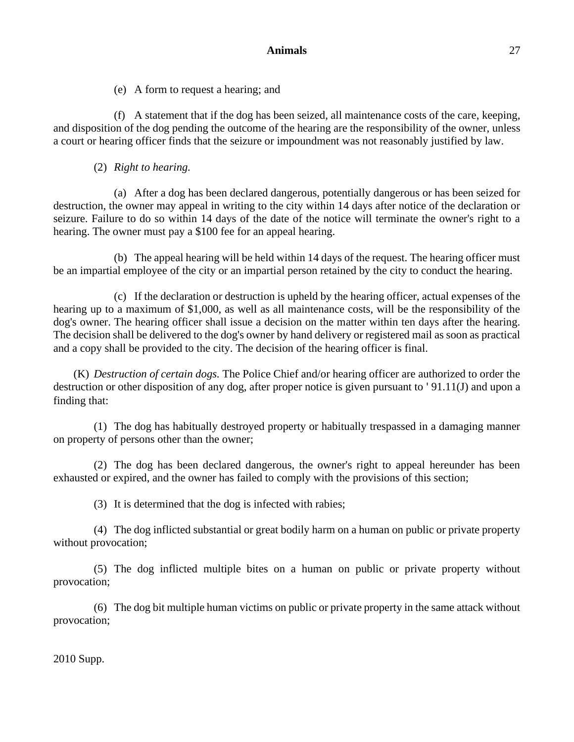(e) A form to request a hearing; and

(f) A statement that if the dog has been seized, all maintenance costs of the care, keeping, and disposition of the dog pending the outcome of the hearing are the responsibility of the owner, unless a court or hearing officer finds that the seizure or impoundment was not reasonably justified by law.

# (2) *Right to hearing.*

(a) After a dog has been declared dangerous, potentially dangerous or has been seized for destruction, the owner may appeal in writing to the city within 14 days after notice of the declaration or seizure. Failure to do so within 14 days of the date of the notice will terminate the owner's right to a hearing. The owner must pay a \$100 fee for an appeal hearing.

(b) The appeal hearing will be held within 14 days of the request. The hearing officer must be an impartial employee of the city or an impartial person retained by the city to conduct the hearing.

(c) If the declaration or destruction is upheld by the hearing officer, actual expenses of the hearing up to a maximum of \$1,000, as well as all maintenance costs, will be the responsibility of the dog's owner. The hearing officer shall issue a decision on the matter within ten days after the hearing. The decision shall be delivered to the dog's owner by hand delivery or registered mail as soon as practical and a copy shall be provided to the city. The decision of the hearing officer is final.

(K) *Destruction of certain dogs.* The Police Chief and/or hearing officer are authorized to order the destruction or other disposition of any dog, after proper notice is given pursuant to ' 91.11(J) and upon a finding that:

(1) The dog has habitually destroyed property or habitually trespassed in a damaging manner on property of persons other than the owner;

(2) The dog has been declared dangerous, the owner's right to appeal hereunder has been exhausted or expired, and the owner has failed to comply with the provisions of this section;

(3) It is determined that the dog is infected with rabies;

(4) The dog inflicted substantial or great bodily harm on a human on public or private property without provocation;

(5) The dog inflicted multiple bites on a human on public or private property without provocation;

(6) The dog bit multiple human victims on public or private property in the same attack without provocation;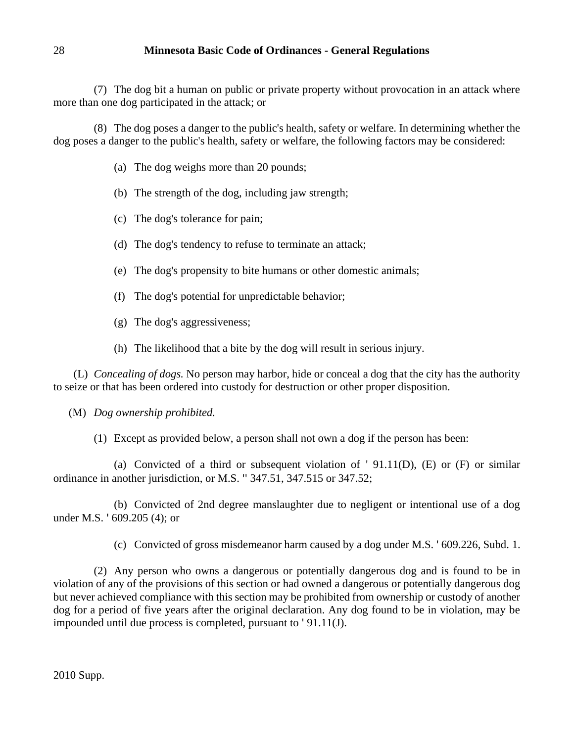(7) The dog bit a human on public or private property without provocation in an attack where more than one dog participated in the attack; or

(8) The dog poses a danger to the public's health, safety or welfare. In determining whether the dog poses a danger to the public's health, safety or welfare, the following factors may be considered:

- (a) The dog weighs more than 20 pounds;
- (b) The strength of the dog, including jaw strength;
- (c) The dog's tolerance for pain;
- (d) The dog's tendency to refuse to terminate an attack;
- (e) The dog's propensity to bite humans or other domestic animals;
- (f) The dog's potential for unpredictable behavior;
- (g) The dog's aggressiveness;
- (h) The likelihood that a bite by the dog will result in serious injury.

(L) *Concealing of dogs.* No person may harbor, hide or conceal a dog that the city has the authority to seize or that has been ordered into custody for destruction or other proper disposition.

# (M) *Dog ownership prohibited.*

(1) Except as provided below, a person shall not own a dog if the person has been:

(a) Convicted of a third or subsequent violation of  $'$  91.11(D), (E) or (F) or similar ordinance in another jurisdiction, or M.S. '' 347.51, 347.515 or 347.52;

(b) Convicted of 2nd degree manslaughter due to negligent or intentional use of a dog under M.S. ' 609.205 (4); or

(c) Convicted of gross misdemeanor harm caused by a dog under M.S. ' 609.226, Subd. 1.

(2) Any person who owns a dangerous or potentially dangerous dog and is found to be in violation of any of the provisions of this section or had owned a dangerous or potentially dangerous dog but never achieved compliance with this section may be prohibited from ownership or custody of another dog for a period of five years after the original declaration. Any dog found to be in violation, may be impounded until due process is completed, pursuant to ' 91.11(J).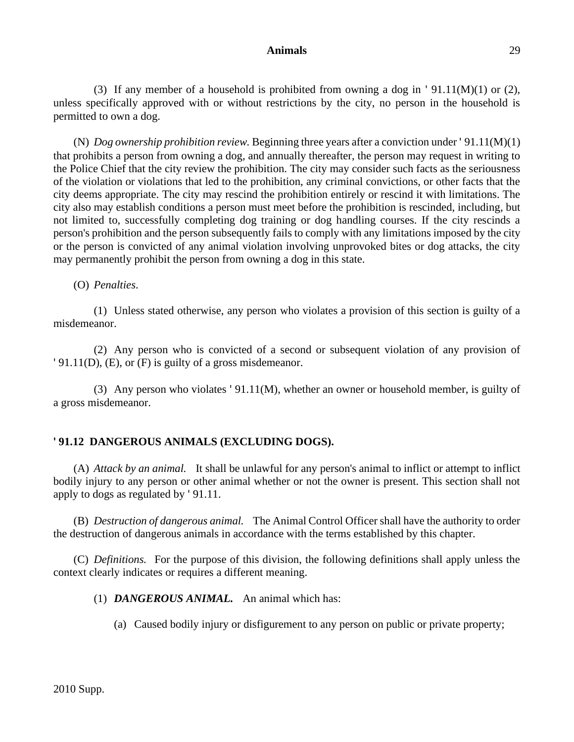(3) If any member of a household is prohibited from owning a dog in ' 91.11(M)(1) or (2), unless specifically approved with or without restrictions by the city, no person in the household is permitted to own a dog.

(N) *Dog ownership prohibition review.* Beginning three years after a conviction under ' 91.11(M)(1) that prohibits a person from owning a dog, and annually thereafter, the person may request in writing to the Police Chief that the city review the prohibition. The city may consider such facts as the seriousness of the violation or violations that led to the prohibition, any criminal convictions, or other facts that the city deems appropriate. The city may rescind the prohibition entirely or rescind it with limitations. The city also may establish conditions a person must meet before the prohibition is rescinded, including, but not limited to, successfully completing dog training or dog handling courses. If the city rescinds a person's prohibition and the person subsequently fails to comply with any limitations imposed by the city or the person is convicted of any animal violation involving unprovoked bites or dog attacks, the city may permanently prohibit the person from owning a dog in this state.

(O) *Penalties*.

(1) Unless stated otherwise, any person who violates a provision of this section is guilty of a misdemeanor.

(2) Any person who is convicted of a second or subsequent violation of any provision of ' 91.11(D), (E), or (F) is guilty of a gross misdemeanor.

(3) Any person who violates ' 91.11(M), whether an owner or household member, is guilty of a gross misdemeanor.

# **' 91.12 DANGEROUS ANIMALS (EXCLUDING DOGS).**

(A) *Attack by an animal.* It shall be unlawful for any person's animal to inflict or attempt to inflict bodily injury to any person or other animal whether or not the owner is present. This section shall not apply to dogs as regulated by ' 91.11.

(B) *Destruction of dangerous animal.* The Animal Control Officer shall have the authority to order the destruction of dangerous animals in accordance with the terms established by this chapter.

(C) *Definitions.* For the purpose of this division, the following definitions shall apply unless the context clearly indicates or requires a different meaning.

(1) *DANGEROUS ANIMAL.* An animal which has:

(a) Caused bodily injury or disfigurement to any person on public or private property;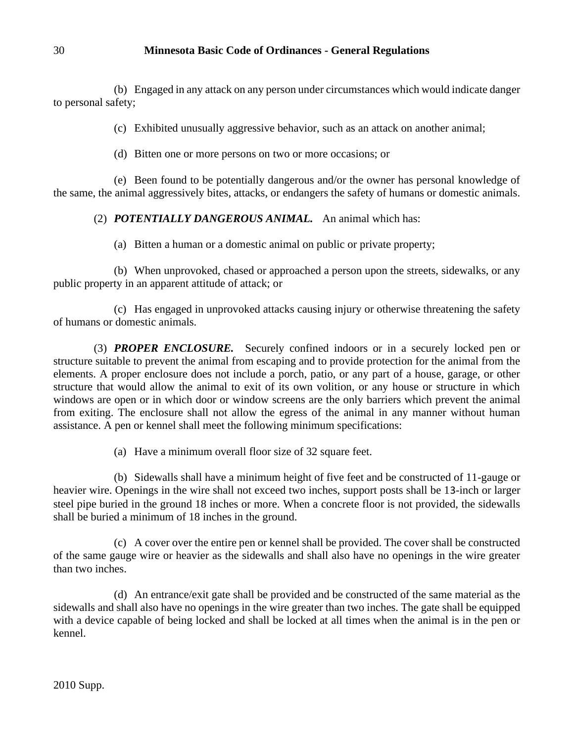(b) Engaged in any attack on any person under circumstances which would indicate danger to personal safety;

(c) Exhibited unusually aggressive behavior, such as an attack on another animal;

(d) Bitten one or more persons on two or more occasions; or

(e) Been found to be potentially dangerous and/or the owner has personal knowledge of the same, the animal aggressively bites, attacks, or endangers the safety of humans or domestic animals.

# (2) *POTENTIALLY DANGEROUS ANIMAL.* An animal which has:

(a) Bitten a human or a domestic animal on public or private property;

(b) When unprovoked, chased or approached a person upon the streets, sidewalks, or any public property in an apparent attitude of attack; or

(c) Has engaged in unprovoked attacks causing injury or otherwise threatening the safety of humans or domestic animals.

(3) *PROPER ENCLOSURE.* Securely confined indoors or in a securely locked pen or structure suitable to prevent the animal from escaping and to provide protection for the animal from the elements. A proper enclosure does not include a porch, patio, or any part of a house, garage, or other structure that would allow the animal to exit of its own volition, or any house or structure in which windows are open or in which door or window screens are the only barriers which prevent the animal from exiting. The enclosure shall not allow the egress of the animal in any manner without human assistance. A pen or kennel shall meet the following minimum specifications:

(a) Have a minimum overall floor size of 32 square feet.

(b) Sidewalls shall have a minimum height of five feet and be constructed of 11-gauge or heavier wire. Openings in the wire shall not exceed two inches, support posts shall be 13-inch or larger steel pipe buried in the ground 18 inches or more. When a concrete floor is not provided, the sidewalls shall be buried a minimum of 18 inches in the ground.

(c) A cover over the entire pen or kennel shall be provided. The cover shall be constructed of the same gauge wire or heavier as the sidewalls and shall also have no openings in the wire greater than two inches.

(d) An entrance/exit gate shall be provided and be constructed of the same material as the sidewalls and shall also have no openings in the wire greater than two inches. The gate shall be equipped with a device capable of being locked and shall be locked at all times when the animal is in the pen or kennel.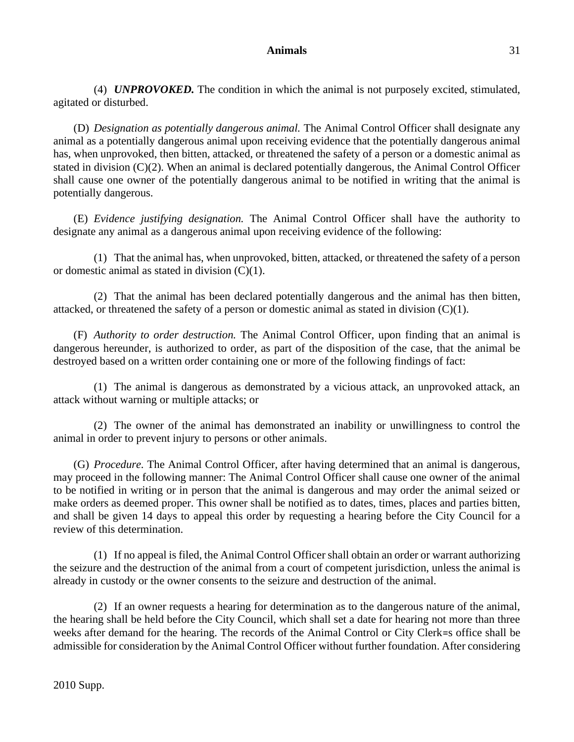(4) *UNPROVOKED.* The condition in which the animal is not purposely excited, stimulated, agitated or disturbed.

(D) *Designation as potentially dangerous animal.* The Animal Control Officer shall designate any animal as a potentially dangerous animal upon receiving evidence that the potentially dangerous animal has, when unprovoked, then bitten, attacked, or threatened the safety of a person or a domestic animal as stated in division (C)(2). When an animal is declared potentially dangerous, the Animal Control Officer shall cause one owner of the potentially dangerous animal to be notified in writing that the animal is potentially dangerous.

(E) *Evidence justifying designation.* The Animal Control Officer shall have the authority to designate any animal as a dangerous animal upon receiving evidence of the following:

(1) That the animal has, when unprovoked, bitten, attacked, or threatened the safety of a person or domestic animal as stated in division  $(C)(1)$ .

(2) That the animal has been declared potentially dangerous and the animal has then bitten, attacked, or threatened the safety of a person or domestic animal as stated in division  $(C)(1)$ .

(F) *Authority to order destruction.* The Animal Control Officer, upon finding that an animal is dangerous hereunder, is authorized to order, as part of the disposition of the case, that the animal be destroyed based on a written order containing one or more of the following findings of fact:

(1) The animal is dangerous as demonstrated by a vicious attack, an unprovoked attack, an attack without warning or multiple attacks; or

(2) The owner of the animal has demonstrated an inability or unwillingness to control the animal in order to prevent injury to persons or other animals.

(G) *Procedure.* The Animal Control Officer, after having determined that an animal is dangerous, may proceed in the following manner: The Animal Control Officer shall cause one owner of the animal to be notified in writing or in person that the animal is dangerous and may order the animal seized or make orders as deemed proper. This owner shall be notified as to dates, times, places and parties bitten, and shall be given 14 days to appeal this order by requesting a hearing before the City Council for a review of this determination.

(1) If no appeal is filed, the Animal Control Officer shall obtain an order or warrant authorizing the seizure and the destruction of the animal from a court of competent jurisdiction, unless the animal is already in custody or the owner consents to the seizure and destruction of the animal.

(2) If an owner requests a hearing for determination as to the dangerous nature of the animal, the hearing shall be held before the City Council, which shall set a date for hearing not more than three weeks after demand for the hearing. The records of the Animal Control or City Clerk=s office shall be admissible for consideration by the Animal Control Officer without further foundation. After considering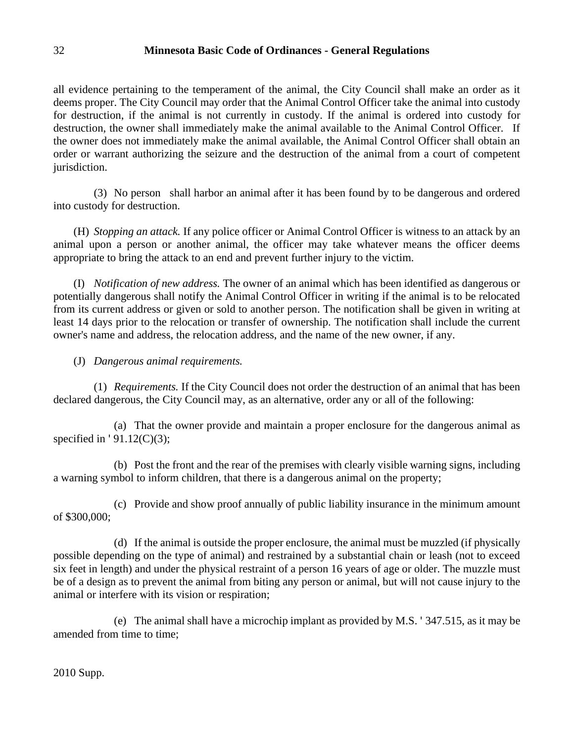all evidence pertaining to the temperament of the animal, the City Council shall make an order as it deems proper. The City Council may order that the Animal Control Officer take the animal into custody for destruction, if the animal is not currently in custody. If the animal is ordered into custody for destruction, the owner shall immediately make the animal available to the Animal Control Officer. If the owner does not immediately make the animal available, the Animal Control Officer shall obtain an order or warrant authorizing the seizure and the destruction of the animal from a court of competent jurisdiction.

(3) No person shall harbor an animal after it has been found by to be dangerous and ordered into custody for destruction.

(H) *Stopping an attack.* If any police officer or Animal Control Officer is witness to an attack by an animal upon a person or another animal, the officer may take whatever means the officer deems appropriate to bring the attack to an end and prevent further injury to the victim.

(I) *Notification of new address.* The owner of an animal which has been identified as dangerous or potentially dangerous shall notify the Animal Control Officer in writing if the animal is to be relocated from its current address or given or sold to another person. The notification shall be given in writing at least 14 days prior to the relocation or transfer of ownership. The notification shall include the current owner's name and address, the relocation address, and the name of the new owner, if any.

(J) *Dangerous animal requirements.*

(1) *Requirements.* If the City Council does not order the destruction of an animal that has been declared dangerous, the City Council may, as an alternative, order any or all of the following:

(a) That the owner provide and maintain a proper enclosure for the dangerous animal as specified in  $'91.12(C)(3)$ ;

(b) Post the front and the rear of the premises with clearly visible warning signs, including a warning symbol to inform children, that there is a dangerous animal on the property;

(c) Provide and show proof annually of public liability insurance in the minimum amount of \$300,000;

(d) If the animal is outside the proper enclosure, the animal must be muzzled (if physically possible depending on the type of animal) and restrained by a substantial chain or leash (not to exceed six feet in length) and under the physical restraint of a person 16 years of age or older. The muzzle must be of a design as to prevent the animal from biting any person or animal, but will not cause injury to the animal or interfere with its vision or respiration;

(e) The animal shall have a microchip implant as provided by M.S. ' 347.515, as it may be amended from time to time;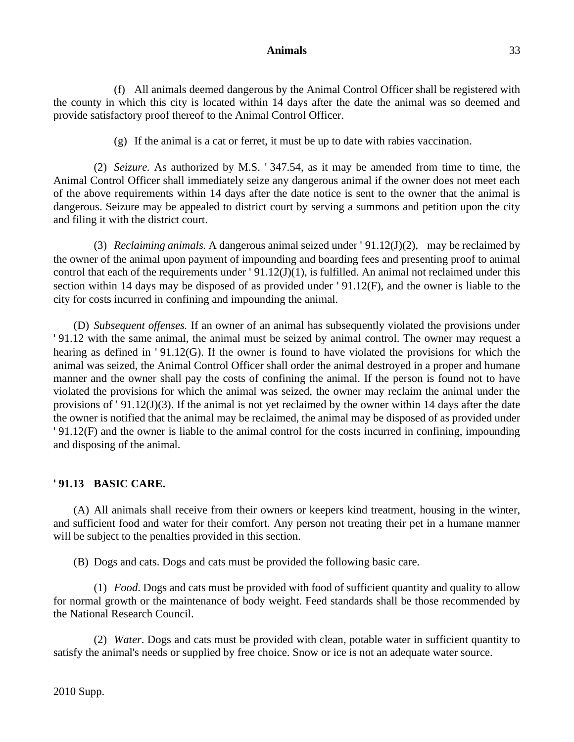(f) All animals deemed dangerous by the Animal Control Officer shall be registered with the county in which this city is located within 14 days after the date the animal was so deemed and provide satisfactory proof thereof to the Animal Control Officer.

(g) If the animal is a cat or ferret, it must be up to date with rabies vaccination.

(2) *Seizure.* As authorized by M.S. ' 347.54, as it may be amended from time to time, the Animal Control Officer shall immediately seize any dangerous animal if the owner does not meet each of the above requirements within 14 days after the date notice is sent to the owner that the animal is dangerous. Seizure may be appealed to district court by serving a summons and petition upon the city and filing it with the district court.

(3) *Reclaiming animals.* A dangerous animal seized under ' 91.12(J)(2), may be reclaimed by the owner of the animal upon payment of impounding and boarding fees and presenting proof to animal control that each of the requirements under '91.12(J)(1), is fulfilled. An animal not reclaimed under this section within 14 days may be disposed of as provided under ' 91.12(F), and the owner is liable to the city for costs incurred in confining and impounding the animal.

(D) *Subsequent offenses.* If an owner of an animal has subsequently violated the provisions under ' 91.12 with the same animal, the animal must be seized by animal control. The owner may request a hearing as defined in '91.12(G). If the owner is found to have violated the provisions for which the animal was seized, the Animal Control Officer shall order the animal destroyed in a proper and humane manner and the owner shall pay the costs of confining the animal. If the person is found not to have violated the provisions for which the animal was seized, the owner may reclaim the animal under the provisions of ' 91.12(J)(3). If the animal is not yet reclaimed by the owner within 14 days after the date the owner is notified that the animal may be reclaimed, the animal may be disposed of as provided under ' 91.12(F) and the owner is liable to the animal control for the costs incurred in confining, impounding and disposing of the animal.

# **' 91.13 BASIC CARE.**

(A) All animals shall receive from their owners or keepers kind treatment, housing in the winter, and sufficient food and water for their comfort. Any person not treating their pet in a humane manner will be subject to the penalties provided in this section.

(B) Dogs and cats. Dogs and cats must be provided the following basic care.

(1) *Food*. Dogs and cats must be provided with food of sufficient quantity and quality to allow for normal growth or the maintenance of body weight. Feed standards shall be those recommended by the National Research Council.

(2) *Water*. Dogs and cats must be provided with clean, potable water in sufficient quantity to satisfy the animal's needs or supplied by free choice. Snow or ice is not an adequate water source.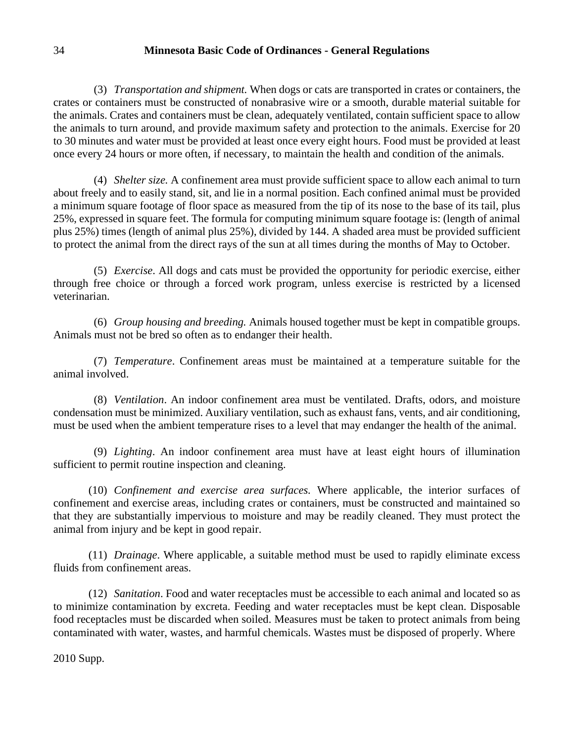(3) *Transportation and shipment.* When dogs or cats are transported in crates or containers, the crates or containers must be constructed of nonabrasive wire or a smooth, durable material suitable for the animals. Crates and containers must be clean, adequately ventilated, contain sufficient space to allow the animals to turn around, and provide maximum safety and protection to the animals. Exercise for 20 to 30 minutes and water must be provided at least once every eight hours. Food must be provided at least once every 24 hours or more often, if necessary, to maintain the health and condition of the animals.

(4) *Shelter size.* A confinement area must provide sufficient space to allow each animal to turn about freely and to easily stand, sit, and lie in a normal position. Each confined animal must be provided a minimum square footage of floor space as measured from the tip of its nose to the base of its tail, plus 25%, expressed in square feet. The formula for computing minimum square footage is: (length of animal plus 25%) times (length of animal plus 25%), divided by 144. A shaded area must be provided sufficient to protect the animal from the direct rays of the sun at all times during the months of May to October.

(5) *Exercise*. All dogs and cats must be provided the opportunity for periodic exercise, either through free choice or through a forced work program, unless exercise is restricted by a licensed veterinarian.

(6) *Group housing and breeding.* Animals housed together must be kept in compatible groups. Animals must not be bred so often as to endanger their health.

(7) *Temperature*. Confinement areas must be maintained at a temperature suitable for the animal involved.

(8) *Ventilation*. An indoor confinement area must be ventilated. Drafts, odors, and moisture condensation must be minimized. Auxiliary ventilation, such as exhaust fans, vents, and air conditioning, must be used when the ambient temperature rises to a level that may endanger the health of the animal.

(9) *Lighting*. An indoor confinement area must have at least eight hours of illumination sufficient to permit routine inspection and cleaning.

(10) *Confinement and exercise area surfaces.* Where applicable, the interior surfaces of confinement and exercise areas, including crates or containers, must be constructed and maintained so that they are substantially impervious to moisture and may be readily cleaned. They must protect the animal from injury and be kept in good repair.

(11) *Drainage*. Where applicable, a suitable method must be used to rapidly eliminate excess fluids from confinement areas.

(12) *Sanitation*. Food and water receptacles must be accessible to each animal and located so as to minimize contamination by excreta. Feeding and water receptacles must be kept clean. Disposable food receptacles must be discarded when soiled. Measures must be taken to protect animals from being contaminated with water, wastes, and harmful chemicals. Wastes must be disposed of properly. Where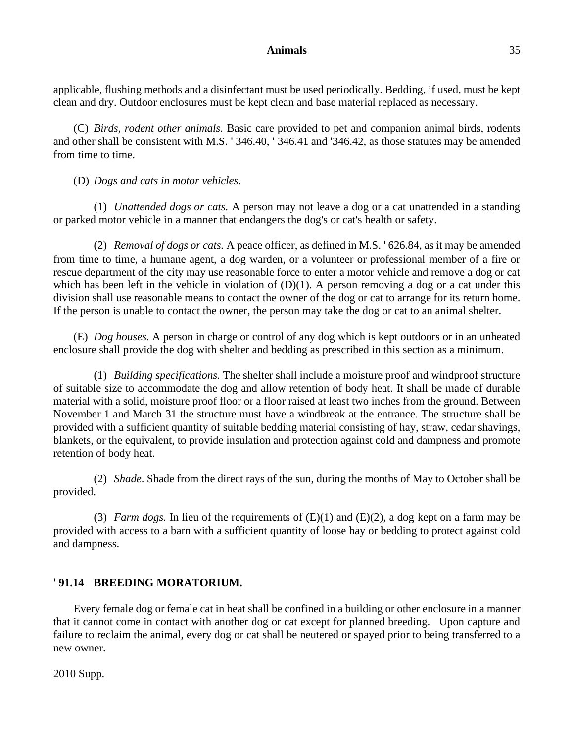applicable, flushing methods and a disinfectant must be used periodically. Bedding, if used, must be kept clean and dry. Outdoor enclosures must be kept clean and base material replaced as necessary.

(C) *Birds, rodent other animals.* Basic care provided to pet and companion animal birds, rodents and other shall be consistent with M.S. ' 346.40, ' 346.41 and '346.42, as those statutes may be amended from time to time.

(D) *Dogs and cats in motor vehicles.*

(1) *Unattended dogs or cats.* A person may not leave a dog or a cat unattended in a standing or parked motor vehicle in a manner that endangers the dog's or cat's health or safety.

(2) *Removal of dogs or cats.* A peace officer, as defined in M.S. ' 626.84, as it may be amended from time to time, a humane agent, a dog warden, or a volunteer or professional member of a fire or rescue department of the city may use reasonable force to enter a motor vehicle and remove a dog or cat which has been left in the vehicle in violation of  $(D)(1)$ . A person removing a dog or a cat under this division shall use reasonable means to contact the owner of the dog or cat to arrange for its return home. If the person is unable to contact the owner, the person may take the dog or cat to an animal shelter.

(E) *Dog houses.* A person in charge or control of any dog which is kept outdoors or in an unheated enclosure shall provide the dog with shelter and bedding as prescribed in this section as a minimum.

(1) *Building specifications.* The shelter shall include a moisture proof and windproof structure of suitable size to accommodate the dog and allow retention of body heat. It shall be made of durable material with a solid, moisture proof floor or a floor raised at least two inches from the ground. Between November 1 and March 31 the structure must have a windbreak at the entrance. The structure shall be provided with a sufficient quantity of suitable bedding material consisting of hay, straw, cedar shavings, blankets, or the equivalent, to provide insulation and protection against cold and dampness and promote retention of body heat.

(2) *Shade*. Shade from the direct rays of the sun, during the months of May to October shall be provided.

(3) *Farm dogs.* In lieu of the requirements of  $(E)(1)$  and  $(E)(2)$ , a dog kept on a farm may be provided with access to a barn with a sufficient quantity of loose hay or bedding to protect against cold and dampness.

# **' 91.14 BREEDING MORATORIUM.**

Every female dog or female cat in heat shall be confined in a building or other enclosure in a manner that it cannot come in contact with another dog or cat except for planned breeding. Upon capture and failure to reclaim the animal, every dog or cat shall be neutered or spayed prior to being transferred to a new owner.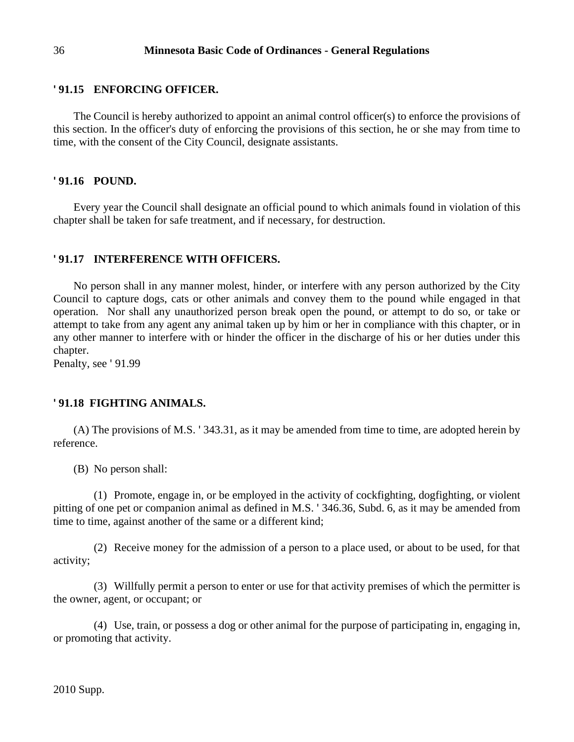## **' 91.15 ENFORCING OFFICER.**

The Council is hereby authorized to appoint an animal control officer(s) to enforce the provisions of this section. In the officer's duty of enforcing the provisions of this section, he or she may from time to time, with the consent of the City Council, designate assistants.

### **' 91.16 POUND.**

Every year the Council shall designate an official pound to which animals found in violation of this chapter shall be taken for safe treatment, and if necessary, for destruction.

#### **' 91.17 INTERFERENCE WITH OFFICERS.**

No person shall in any manner molest, hinder, or interfere with any person authorized by the City Council to capture dogs, cats or other animals and convey them to the pound while engaged in that operation. Nor shall any unauthorized person break open the pound, or attempt to do so, or take or attempt to take from any agent any animal taken up by him or her in compliance with this chapter, or in any other manner to interfere with or hinder the officer in the discharge of his or her duties under this chapter.

Penalty, see ' 91.99

### **' 91.18 FIGHTING ANIMALS.**

(A) The provisions of M.S. ' 343.31, as it may be amended from time to time, are adopted herein by reference.

(B) No person shall:

(1) Promote, engage in, or be employed in the activity of cockfighting, dogfighting, or violent pitting of one pet or companion animal as defined in M.S. ' 346.36, Subd. 6, as it may be amended from time to time, against another of the same or a different kind;

(2) Receive money for the admission of a person to a place used, or about to be used, for that activity;

(3) Willfully permit a person to enter or use for that activity premises of which the permitter is the owner, agent, or occupant; or

(4) Use, train, or possess a dog or other animal for the purpose of participating in, engaging in, or promoting that activity.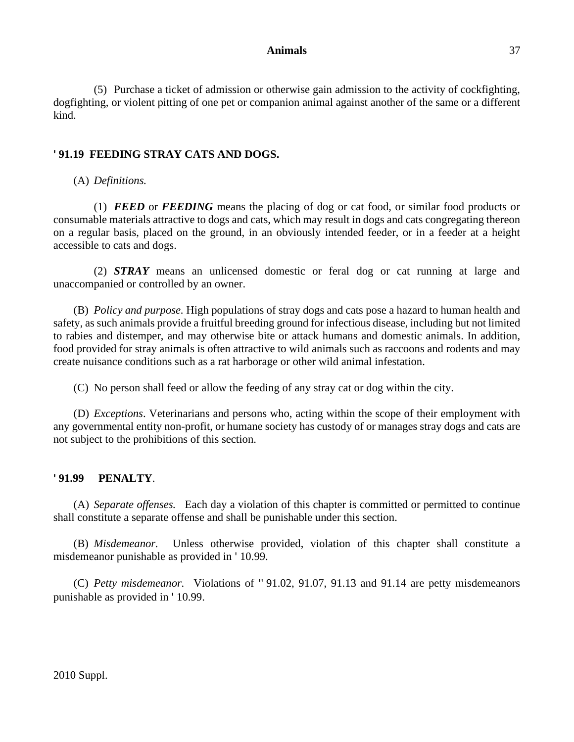#### **Animals** 37

(5) Purchase a ticket of admission or otherwise gain admission to the activity of cockfighting, dogfighting, or violent pitting of one pet or companion animal against another of the same or a different kind.

# **' 91.19 FEEDING STRAY CATS AND DOGS.**

(A) *Definitions.*

(1) *FEED* or *FEEDING* means the placing of dog or cat food, or similar food products or consumable materials attractive to dogs and cats, which may result in dogs and cats congregating thereon on a regular basis, placed on the ground, in an obviously intended feeder, or in a feeder at a height accessible to cats and dogs.

(2) *STRAY* means an unlicensed domestic or feral dog or cat running at large and unaccompanied or controlled by an owner.

(B) *Policy and purpose.* High populations of stray dogs and cats pose a hazard to human health and safety, as such animals provide a fruitful breeding ground for infectious disease, including but not limited to rabies and distemper, and may otherwise bite or attack humans and domestic animals. In addition, food provided for stray animals is often attractive to wild animals such as raccoons and rodents and may create nuisance conditions such as a rat harborage or other wild animal infestation.

(C) No person shall feed or allow the feeding of any stray cat or dog within the city.

(D) *Exceptions*. Veterinarians and persons who, acting within the scope of their employment with any governmental entity non-profit, or humane society has custody of or manages stray dogs and cats are not subject to the prohibitions of this section.

#### **'**PENALTY.

(A) *Separate offenses.* Each day a violation of this chapter is committed or permitted to continue shall constitute a separate offense and shall be punishable under this section.

(B) *Misdemeanor.* Unless otherwise provided, violation of this chapter shall constitute a misdemeanor punishable as provided in ' 10.99.

(C) *Petty misdemeanor.* Violations of '' 91.02, 91.07, 91.13 and 91.14 are petty misdemeanors punishable as provided in ' 10.99.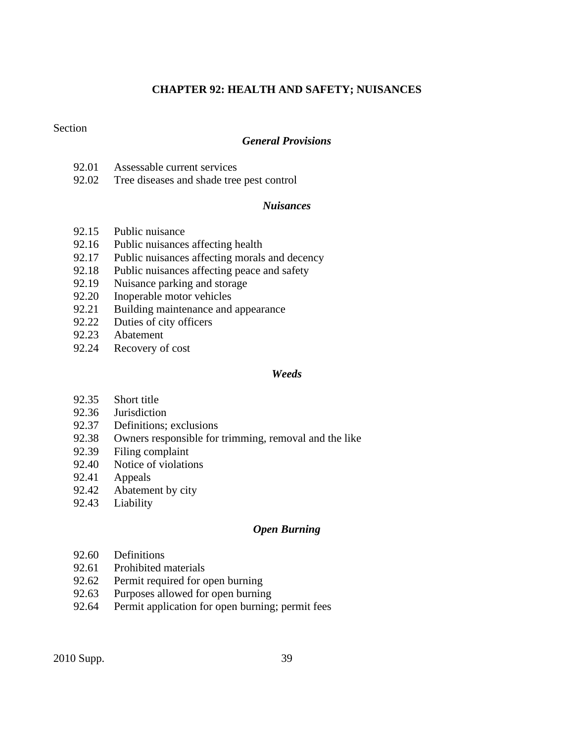# **CHAPTER 92: HEALTH AND SAFETY; NUISANCES**

### Section

# *General Provisions*

- 92.01 Assessable current services
- 92.02 Tree diseases and shade tree pest control

#### *Nuisances*

- 92.15 Public nuisance
- 92.16 Public nuisances affecting health
- 92.17 Public nuisances affecting morals and decency
- 92.18 Public nuisances affecting peace and safety
- 92.19 Nuisance parking and storage
- 92.20 Inoperable motor vehicles
- 92.21 Building maintenance and appearance
- 92.22 Duties of city officers
- 92.23 Abatement
- 92.24 Recovery of cost

#### *Weeds*

- 92.35 Short title
- 92.36 Jurisdiction
- 92.37 Definitions; exclusions
- 92.38 Owners responsible for trimming, removal and the like
- 92.39 Filing complaint
- 92.40 Notice of violations
- 92.41 Appeals
- 92.42 Abatement by city
- 92.43 Liability

### *Open Burning*

- 92.60 Definitions
- 92.61 Prohibited materials
- 92.62 Permit required for open burning
- 92.63 Purposes allowed for open burning
- 92.64 Permit application for open burning; permit fees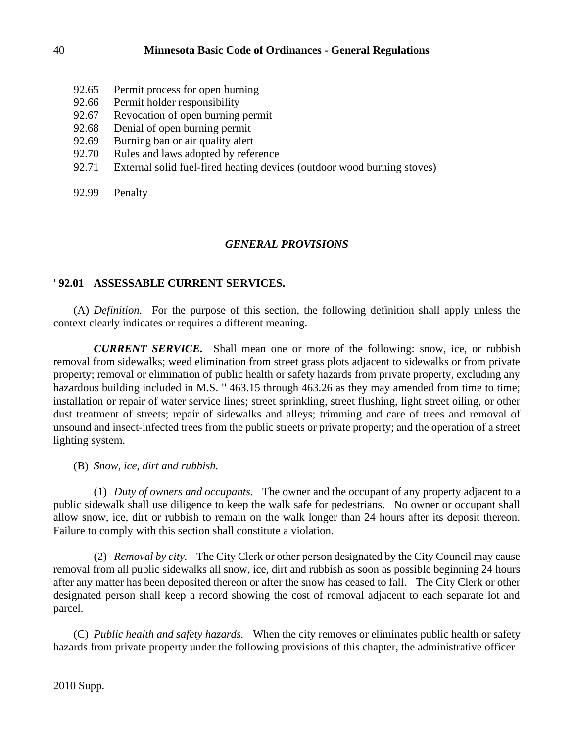- 92.65 Permit process for open burning
- 92.66 Permit holder responsibility
- 92.67 Revocation of open burning permit
- 92.68 Denial of open burning permit
- 92.69 Burning ban or air quality alert
- 92.70 Rules and laws adopted by reference
- 92.71 External solid fuel-fired heating devices (outdoor wood burning stoves)
- 92.99 Penalty

# *GENERAL PROVISIONS*

# **' 92.01 ASSESSABLE CURRENT SERVICES.**

(A) *Definition.* For the purpose of this section, the following definition shall apply unless the context clearly indicates or requires a different meaning.

*CURRENT SERVICE.* Shall mean one or more of the following: snow, ice, or rubbish removal from sidewalks; weed elimination from street grass plots adjacent to sidewalks or from private property; removal or elimination of public health or safety hazards from private property, excluding any hazardous building included in M.S. "463.15 through 463.26 as they may amended from time to time; installation or repair of water service lines; street sprinkling, street flushing, light street oiling, or other dust treatment of streets; repair of sidewalks and alleys; trimming and care of trees and removal of unsound and insect-infected trees from the public streets or private property; and the operation of a street lighting system.

(B) *Snow, ice, dirt and rubbish.*

(1) *Duty of owners and occupants.* The owner and the occupant of any property adjacent to a public sidewalk shall use diligence to keep the walk safe for pedestrians. No owner or occupant shall allow snow, ice, dirt or rubbish to remain on the walk longer than 24 hours after its deposit thereon. Failure to comply with this section shall constitute a violation.

(2) *Removal by city.* The City Clerk or other person designated by the City Council may cause removal from all public sidewalks all snow, ice, dirt and rubbish as soon as possible beginning 24 hours after any matter has been deposited thereon or after the snow has ceased to fall. The City Clerk or other designated person shall keep a record showing the cost of removal adjacent to each separate lot and parcel.

(C) *Public health and safety hazards.* When the city removes or eliminates public health or safety hazards from private property under the following provisions of this chapter, the administrative officer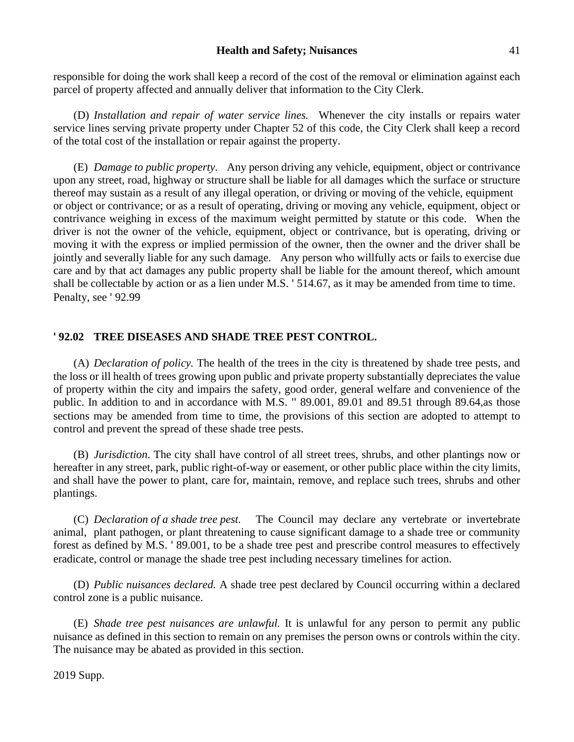#### **Health and Safety; Nuisances** 41

responsible for doing the work shall keep a record of the cost of the removal or elimination against each parcel of property affected and annually deliver that information to the City Clerk.

(D) *Installation and repair of water service lines.* Whenever the city installs or repairs water service lines serving private property under Chapter 52 of this code, the City Clerk shall keep a record of the total cost of the installation or repair against the property.

(E) *Damage to public property.* Any person driving any vehicle, equipment, object or contrivance upon any street, road, highway or structure shall be liable for all damages which the surface or structure thereof may sustain as a result of any illegal operation, or driving or moving of the vehicle, equipment or object or contrivance; or as a result of operating, driving or moving any vehicle, equipment, object or contrivance weighing in excess of the maximum weight permitted by statute or this code. When the driver is not the owner of the vehicle, equipment, object or contrivance, but is operating, driving or moving it with the express or implied permission of the owner, then the owner and the driver shall be jointly and severally liable for any such damage. Any person who willfully acts or fails to exercise due care and by that act damages any public property shall be liable for the amount thereof, which amount shall be collectable by action or as a lien under M.S. ' 514.67, as it may be amended from time to time. Penalty, see ' 92.99

### **' 92.02 TREE DISEASES AND SHADE TREE PEST CONTROL.**

(A) *Declaration of policy.* The health of the trees in the city is threatened by shade tree pests, and the loss or ill health of trees growing upon public and private property substantially depreciates the value of property within the city and impairs the safety, good order, general welfare and convenience of the public. In addition to and in accordance with M.S. '' 89.001, 89.01 and 89.51 through 89.64,as those sections may be amended from time to time, the provisions of this section are adopted to attempt to control and prevent the spread of these shade tree pests.

(B) *Jurisdiction*. The city shall have control of all street trees, shrubs, and other plantings now or hereafter in any street, park, public right-of-way or easement, or other public place within the city limits, and shall have the power to plant, care for, maintain, remove, and replace such trees, shrubs and other plantings.

(C) *Declaration of a shade tree pest.* The Council may declare any vertebrate or invertebrate animal, plant pathogen, or plant threatening to cause significant damage to a shade tree or community forest as defined by M.S. ' 89.001, to be a shade tree pest and prescribe control measures to effectively eradicate, control or manage the shade tree pest including necessary timelines for action.

(D) *Public nuisances declared.* A shade tree pest declared by Council occurring within a declared control zone is a public nuisance.

(E) *Shade tree pest nuisances are unlawful.* It is unlawful for any person to permit any public nuisance as defined in this section to remain on any premises the person owns or controls within the city. The nuisance may be abated as provided in this section.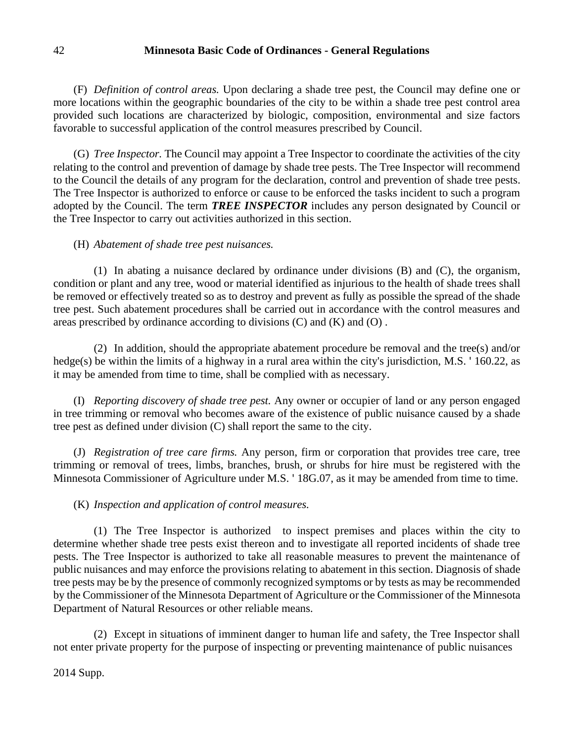(F) *Definition of control areas.* Upon declaring a shade tree pest, the Council may define one or more locations within the geographic boundaries of the city to be within a shade tree pest control area provided such locations are characterized by biologic, composition, environmental and size factors favorable to successful application of the control measures prescribed by Council.

(G) *Tree Inspector.* The Council may appoint a Tree Inspector to coordinate the activities of the city relating to the control and prevention of damage by shade tree pests. The Tree Inspector will recommend to the Council the details of any program for the declaration, control and prevention of shade tree pests. The Tree Inspector is authorized to enforce or cause to be enforced the tasks incident to such a program adopted by the Council. The term *TREE INSPECTOR* includes any person designated by Council or the Tree Inspector to carry out activities authorized in this section.

### (H) *Abatement of shade tree pest nuisances.*

(1) In abating a nuisance declared by ordinance under divisions (B) and (C), the organism, condition or plant and any tree, wood or material identified as injurious to the health of shade trees shall be removed or effectively treated so as to destroy and prevent as fully as possible the spread of the shade tree pest. Such abatement procedures shall be carried out in accordance with the control measures and areas prescribed by ordinance according to divisions  $(C)$  and  $(K)$  and  $(O)$ .

(2) In addition, should the appropriate abatement procedure be removal and the tree(s) and/or hedge(s) be within the limits of a highway in a rural area within the city's jurisdiction, M.S. ' 160.22, as it may be amended from time to time, shall be complied with as necessary.

(I) *Reporting discovery of shade tree pest.* Any owner or occupier of land or any person engaged in tree trimming or removal who becomes aware of the existence of public nuisance caused by a shade tree pest as defined under division (C) shall report the same to the city.

(J) *Registration of tree care firms.* Any person, firm or corporation that provides tree care, tree trimming or removal of trees, limbs, branches, brush, or shrubs for hire must be registered with the Minnesota Commissioner of Agriculture under M.S. ' 18G.07, as it may be amended from time to time.

# (K) *Inspection and application of control measures.*

(1) The Tree Inspector is authorized to inspect premises and places within the city to determine whether shade tree pests exist thereon and to investigate all reported incidents of shade tree pests. The Tree Inspector is authorized to take all reasonable measures to prevent the maintenance of public nuisances and may enforce the provisions relating to abatement in this section. Diagnosis of shade tree pests may be by the presence of commonly recognized symptoms or by tests as may be recommended by the Commissioner of the Minnesota Department of Agriculture or the Commissioner of the Minnesota Department of Natural Resources or other reliable means.

(2) Except in situations of imminent danger to human life and safety, the Tree Inspector shall not enter private property for the purpose of inspecting or preventing maintenance of public nuisances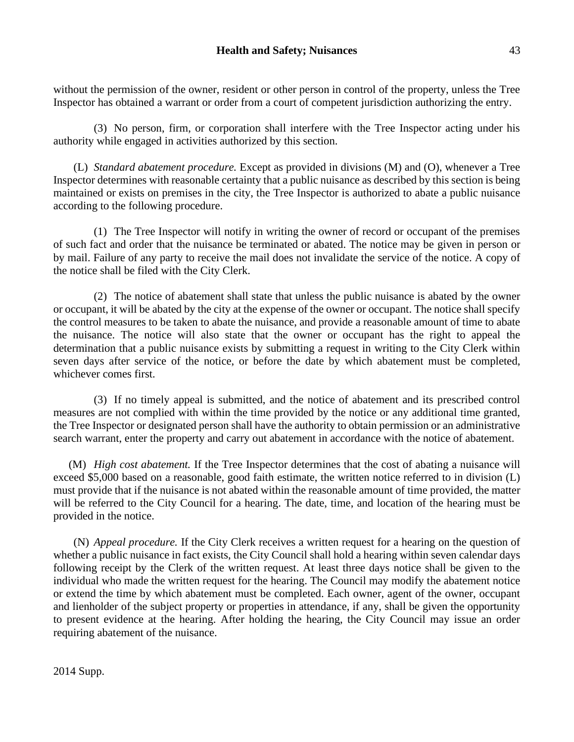without the permission of the owner, resident or other person in control of the property, unless the Tree Inspector has obtained a warrant or order from a court of competent jurisdiction authorizing the entry.

(3) No person, firm, or corporation shall interfere with the Tree Inspector acting under his authority while engaged in activities authorized by this section.

(L) *Standard abatement procedure.* Except as provided in divisions (M) and (O), whenever a Tree Inspector determines with reasonable certainty that a public nuisance as described by this section is being maintained or exists on premises in the city, the Tree Inspector is authorized to abate a public nuisance according to the following procedure.

(1) The Tree Inspector will notify in writing the owner of record or occupant of the premises of such fact and order that the nuisance be terminated or abated. The notice may be given in person or by mail. Failure of any party to receive the mail does not invalidate the service of the notice. A copy of the notice shall be filed with the City Clerk.

(2) The notice of abatement shall state that unless the public nuisance is abated by the owner or occupant, it will be abated by the city at the expense of the owner or occupant. The notice shall specify the control measures to be taken to abate the nuisance, and provide a reasonable amount of time to abate the nuisance. The notice will also state that the owner or occupant has the right to appeal the determination that a public nuisance exists by submitting a request in writing to the City Clerk within seven days after service of the notice, or before the date by which abatement must be completed, whichever comes first.

(3) If no timely appeal is submitted, and the notice of abatement and its prescribed control measures are not complied with within the time provided by the notice or any additional time granted, the Tree Inspector or designated person shall have the authority to obtain permission or an administrative search warrant, enter the property and carry out abatement in accordance with the notice of abatement.

(M) *High cost abatement.* If the Tree Inspector determines that the cost of abating a nuisance will exceed \$5,000 based on a reasonable, good faith estimate, the written notice referred to in division (L) must provide that if the nuisance is not abated within the reasonable amount of time provided, the matter will be referred to the City Council for a hearing. The date, time, and location of the hearing must be provided in the notice.

(N) *Appeal procedure.* If the City Clerk receives a written request for a hearing on the question of whether a public nuisance in fact exists, the City Council shall hold a hearing within seven calendar days following receipt by the Clerk of the written request. At least three days notice shall be given to the individual who made the written request for the hearing. The Council may modify the abatement notice or extend the time by which abatement must be completed. Each owner, agent of the owner, occupant and lienholder of the subject property or properties in attendance, if any, shall be given the opportunity to present evidence at the hearing. After holding the hearing, the City Council may issue an order requiring abatement of the nuisance.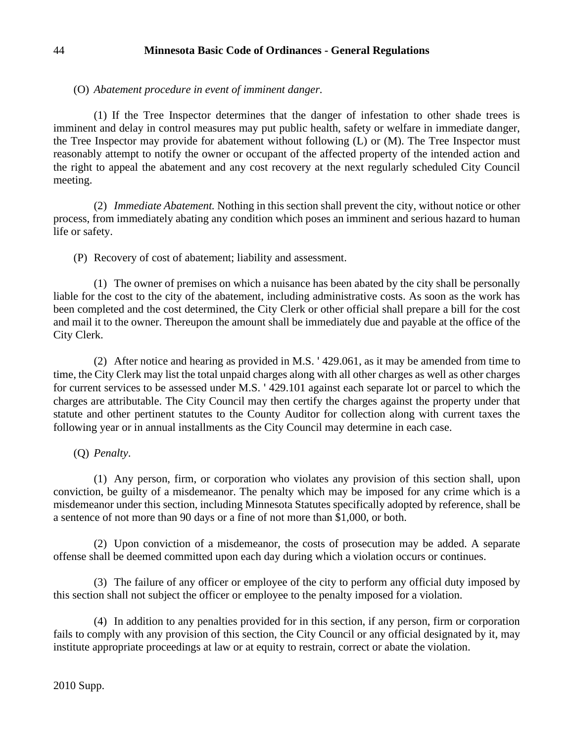(O) *Abatement procedure in event of imminent danger.*

(1) If the Tree Inspector determines that the danger of infestation to other shade trees is imminent and delay in control measures may put public health, safety or welfare in immediate danger, the Tree Inspector may provide for abatement without following (L) or (M). The Tree Inspector must reasonably attempt to notify the owner or occupant of the affected property of the intended action and the right to appeal the abatement and any cost recovery at the next regularly scheduled City Council meeting.

(2) *Immediate Abatement.* Nothing in this section shall prevent the city, without notice or other process, from immediately abating any condition which poses an imminent and serious hazard to human life or safety.

(P) Recovery of cost of abatement; liability and assessment.

(1) The owner of premises on which a nuisance has been abated by the city shall be personally liable for the cost to the city of the abatement, including administrative costs. As soon as the work has been completed and the cost determined, the City Clerk or other official shall prepare a bill for the cost and mail it to the owner. Thereupon the amount shall be immediately due and payable at the office of the City Clerk.

(2) After notice and hearing as provided in M.S. ' 429.061, as it may be amended from time to time, the City Clerk may list the total unpaid charges along with all other charges as well as other charges for current services to be assessed under M.S. ' 429.101 against each separate lot or parcel to which the charges are attributable. The City Council may then certify the charges against the property under that statute and other pertinent statutes to the County Auditor for collection along with current taxes the following year or in annual installments as the City Council may determine in each case.

(Q) *Penalty*.

(1) Any person, firm, or corporation who violates any provision of this section shall, upon conviction, be guilty of a misdemeanor. The penalty which may be imposed for any crime which is a misdemeanor under this section, including Minnesota Statutes specifically adopted by reference, shall be a sentence of not more than 90 days or a fine of not more than \$1,000, or both.

(2) Upon conviction of a misdemeanor, the costs of prosecution may be added. A separate offense shall be deemed committed upon each day during which a violation occurs or continues.

(3) The failure of any officer or employee of the city to perform any official duty imposed by this section shall not subject the officer or employee to the penalty imposed for a violation.

(4) In addition to any penalties provided for in this section, if any person, firm or corporation fails to comply with any provision of this section, the City Council or any official designated by it, may institute appropriate proceedings at law or at equity to restrain, correct or abate the violation.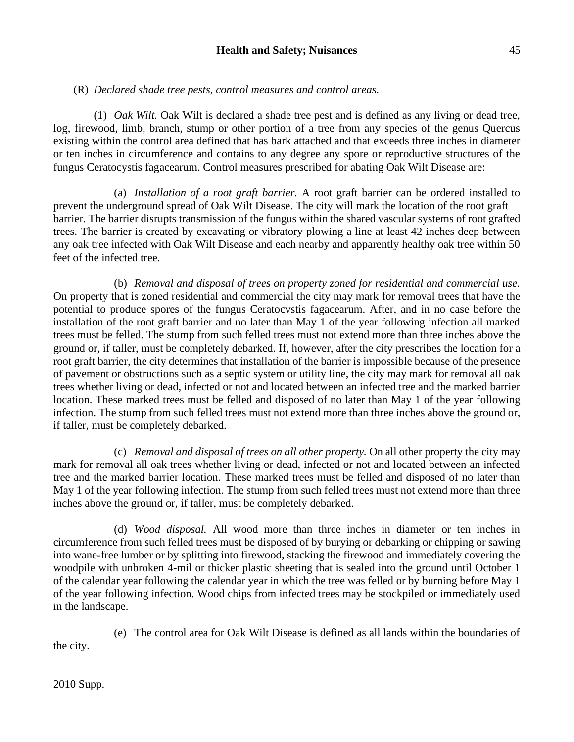### **Health and Safety; Nuisances** 45

# (R) *Declared shade tree pests, control measures and control areas.*

(1) *Oak Wilt.* Oak Wilt is declared a shade tree pest and is defined as any living or dead tree, log, firewood, limb, branch, stump or other portion of a tree from any species of the genus Quercus existing within the control area defined that has bark attached and that exceeds three inches in diameter or ten inches in circumference and contains to any degree any spore or reproductive structures of the fungus Ceratocystis fagacearum. Control measures prescribed for abating Oak Wilt Disease are:

(a) *Installation of a root graft barrier.* A root graft barrier can be ordered installed to prevent the underground spread of Oak Wilt Disease. The city will mark the location of the root graft barrier. The barrier disrupts transmission of the fungus within the shared vascular systems of root grafted trees. The barrier is created by excavating or vibratory plowing a line at least 42 inches deep between any oak tree infected with Oak Wilt Disease and each nearby and apparently healthy oak tree within 50 feet of the infected tree.

(b) *Removal and disposal of trees on property zoned for residential and commercial use.* On property that is zoned residential and commercial the city may mark for removal trees that have the potential to produce spores of the fungus Ceratocvstis fagacearum. After, and in no case before the installation of the root graft barrier and no later than May 1 of the year following infection all marked trees must be felled. The stump from such felled trees must not extend more than three inches above the ground or, if taller, must be completely debarked. If, however, after the city prescribes the location for a root graft barrier, the city determines that installation of the barrier is impossible because of the presence of pavement or obstructions such as a septic system or utility line, the city may mark for removal all oak trees whether living or dead, infected or not and located between an infected tree and the marked barrier location. These marked trees must be felled and disposed of no later than May 1 of the year following infection. The stump from such felled trees must not extend more than three inches above the ground or, if taller, must be completely debarked.

(c) *Removal and disposal of trees on all other property.* On all other property the city may mark for removal all oak trees whether living or dead, infected or not and located between an infected tree and the marked barrier location. These marked trees must be felled and disposed of no later than May 1 of the year following infection. The stump from such felled trees must not extend more than three inches above the ground or, if taller, must be completely debarked.

(d) *Wood disposal.* All wood more than three inches in diameter or ten inches in circumference from such felled trees must be disposed of by burying or debarking or chipping or sawing into wane-free lumber or by splitting into firewood, stacking the firewood and immediately covering the woodpile with unbroken 4-mil or thicker plastic sheeting that is sealed into the ground until October 1 of the calendar year following the calendar year in which the tree was felled or by burning before May 1 of the year following infection. Wood chips from infected trees may be stockpiled or immediately used in the landscape.

(e) The control area for Oak Wilt Disease is defined as all lands within the boundaries of

the city.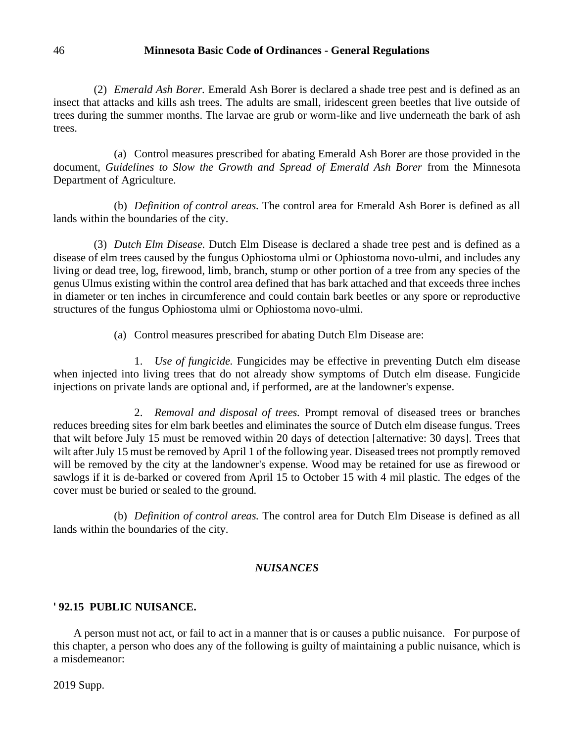(2) *Emerald Ash Borer.* Emerald Ash Borer is declared a shade tree pest and is defined as an insect that attacks and kills ash trees. The adults are small, iridescent green beetles that live outside of trees during the summer months. The larvae are grub or worm-like and live underneath the bark of ash trees.

(a) Control measures prescribed for abating Emerald Ash Borer are those provided in the document, *Guidelines to Slow the Growth and Spread of Emerald Ash Borer* from the Minnesota Department of Agriculture.

(b) *Definition of control areas.* The control area for Emerald Ash Borer is defined as all lands within the boundaries of the city.

(3) *Dutch Elm Disease.* Dutch Elm Disease is declared a shade tree pest and is defined as a disease of elm trees caused by the fungus Ophiostoma ulmi or Ophiostoma novo-ulmi, and includes any living or dead tree, log, firewood, limb, branch, stump or other portion of a tree from any species of the genus Ulmus existing within the control area defined that has bark attached and that exceeds three inches in diameter or ten inches in circumference and could contain bark beetles or any spore or reproductive structures of the fungus Ophiostoma ulmi or Ophiostoma novo-ulmi.

(a) Control measures prescribed for abating Dutch Elm Disease are:

1. *Use of fungicide.* Fungicides may be effective in preventing Dutch elm disease when injected into living trees that do not already show symptoms of Dutch elm disease. Fungicide injections on private lands are optional and, if performed, are at the landowner's expense.

2. *Removal and disposal of trees.* Prompt removal of diseased trees or branches reduces breeding sites for elm bark beetles and eliminates the source of Dutch elm disease fungus. Trees that wilt before July 15 must be removed within 20 days of detection [alternative: 30 days]. Trees that wilt after July 15 must be removed by April 1 of the following year. Diseased trees not promptly removed will be removed by the city at the landowner's expense. Wood may be retained for use as firewood or sawlogs if it is de-barked or covered from April 15 to October 15 with 4 mil plastic. The edges of the cover must be buried or sealed to the ground.

(b) *Definition of control areas.* The control area for Dutch Elm Disease is defined as all lands within the boundaries of the city.

# *NUISANCES*

# **' 92.15 PUBLIC NUISANCE.**

A person must not act, or fail to act in a manner that is or causes a public nuisance. For purpose of this chapter, a person who does any of the following is guilty of maintaining a public nuisance, which is a misdemeanor: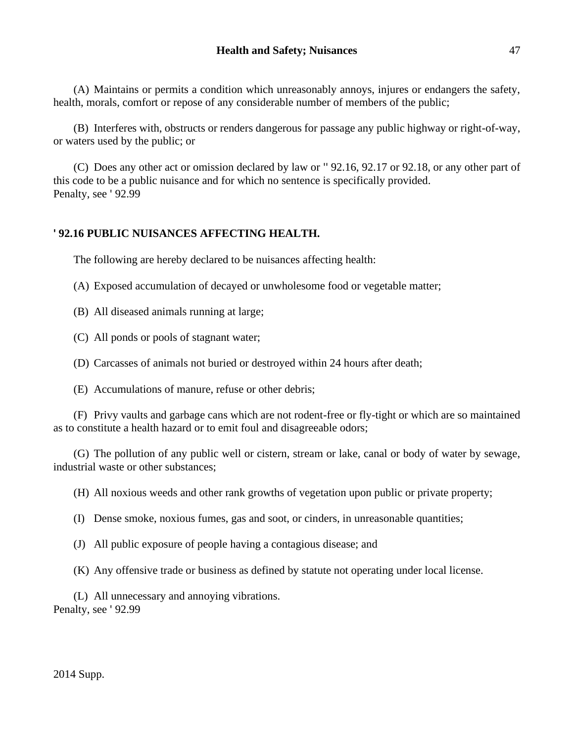(A) Maintains or permits a condition which unreasonably annoys, injures or endangers the safety, health, morals, comfort or repose of any considerable number of members of the public;

(B) Interferes with, obstructs or renders dangerous for passage any public highway or right-of-way, or waters used by the public; or

(C) Does any other act or omission declared by law or '' 92.16, 92.17 or 92.18, or any other part of this code to be a public nuisance and for which no sentence is specifically provided. Penalty, see ' 92.99

# **' 92.16 PUBLIC NUISANCES AFFECTING HEALTH.**

The following are hereby declared to be nuisances affecting health:

(A) Exposed accumulation of decayed or unwholesome food or vegetable matter;

(B) All diseased animals running at large;

(C) All ponds or pools of stagnant water;

(D) Carcasses of animals not buried or destroyed within 24 hours after death;

(E) Accumulations of manure, refuse or other debris;

(F) Privy vaults and garbage cans which are not rodent-free or fly-tight or which are so maintained as to constitute a health hazard or to emit foul and disagreeable odors;

(G) The pollution of any public well or cistern, stream or lake, canal or body of water by sewage, industrial waste or other substances;

(H) All noxious weeds and other rank growths of vegetation upon public or private property;

(I) Dense smoke, noxious fumes, gas and soot, or cinders, in unreasonable quantities;

(J) All public exposure of people having a contagious disease; and

(K) Any offensive trade or business as defined by statute not operating under local license.

(L) All unnecessary and annoying vibrations. Penalty, see ' 92.99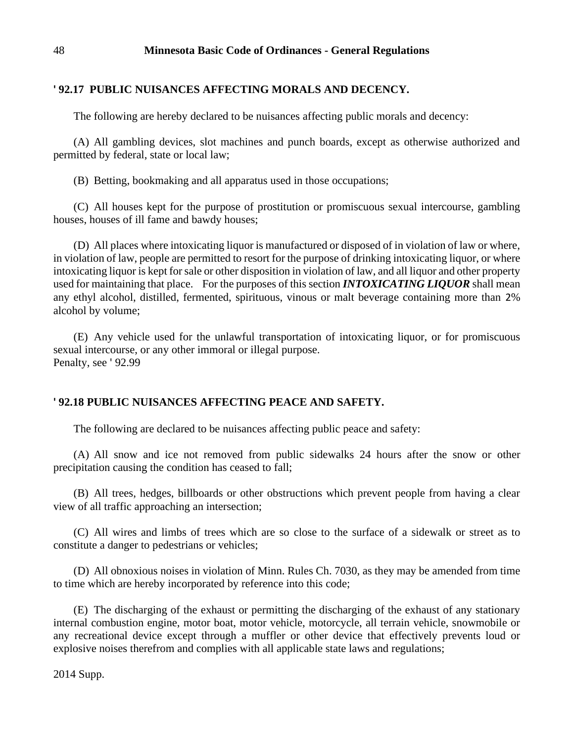# **' 92.17 PUBLIC NUISANCES AFFECTING MORALS AND DECENCY.**

The following are hereby declared to be nuisances affecting public morals and decency:

(A) All gambling devices, slot machines and punch boards, except as otherwise authorized and permitted by federal, state or local law;

(B) Betting, bookmaking and all apparatus used in those occupations;

(C) All houses kept for the purpose of prostitution or promiscuous sexual intercourse, gambling houses, houses of ill fame and bawdy houses;

(D) All places where intoxicating liquor is manufactured or disposed of in violation of law or where, in violation of law, people are permitted to resort for the purpose of drinking intoxicating liquor, or where intoxicating liquor is kept for sale or other disposition in violation of law, and all liquor and other property used for maintaining that place. For the purposes of this section *INTOXICATING LIQUOR* shall mean any ethyl alcohol, distilled, fermented, spirituous, vinous or malt beverage containing more than 2% alcohol by volume;

(E) Any vehicle used for the unlawful transportation of intoxicating liquor, or for promiscuous sexual intercourse, or any other immoral or illegal purpose. Penalty, see ' 92.99

# **' 92.18 PUBLIC NUISANCES AFFECTING PEACE AND SAFETY.**

The following are declared to be nuisances affecting public peace and safety:

(A) All snow and ice not removed from public sidewalks 24 hours after the snow or other precipitation causing the condition has ceased to fall;

(B) All trees, hedges, billboards or other obstructions which prevent people from having a clear view of all traffic approaching an intersection;

(C) All wires and limbs of trees which are so close to the surface of a sidewalk or street as to constitute a danger to pedestrians or vehicles;

(D) All obnoxious noises in violation of Minn. Rules Ch. 7030, as they may be amended from time to time which are hereby incorporated by reference into this code;

(E) The discharging of the exhaust or permitting the discharging of the exhaust of any stationary internal combustion engine, motor boat, motor vehicle, motorcycle, all terrain vehicle, snowmobile or any recreational device except through a muffler or other device that effectively prevents loud or explosive noises therefrom and complies with all applicable state laws and regulations;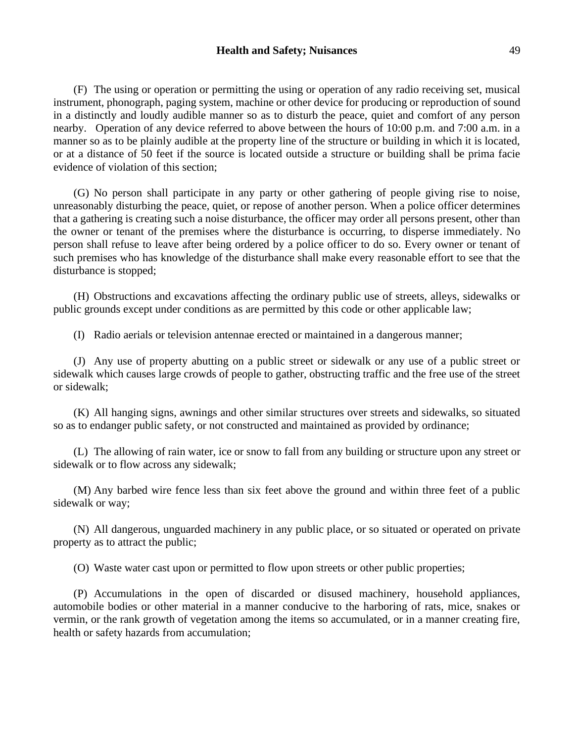#### **Health and Safety; Nuisances** 49

(F) The using or operation or permitting the using or operation of any radio receiving set, musical instrument, phonograph, paging system, machine or other device for producing or reproduction of sound in a distinctly and loudly audible manner so as to disturb the peace, quiet and comfort of any person nearby. Operation of any device referred to above between the hours of 10:00 p.m. and 7:00 a.m. in a manner so as to be plainly audible at the property line of the structure or building in which it is located, or at a distance of 50 feet if the source is located outside a structure or building shall be prima facie evidence of violation of this section;

(G) No person shall participate in any party or other gathering of people giving rise to noise, unreasonably disturbing the peace, quiet, or repose of another person. When a police officer determines that a gathering is creating such a noise disturbance, the officer may order all persons present, other than the owner or tenant of the premises where the disturbance is occurring, to disperse immediately. No person shall refuse to leave after being ordered by a police officer to do so. Every owner or tenant of such premises who has knowledge of the disturbance shall make every reasonable effort to see that the disturbance is stopped;

(H) Obstructions and excavations affecting the ordinary public use of streets, alleys, sidewalks or public grounds except under conditions as are permitted by this code or other applicable law;

(I) Radio aerials or television antennae erected or maintained in a dangerous manner;

(J) Any use of property abutting on a public street or sidewalk or any use of a public street or sidewalk which causes large crowds of people to gather, obstructing traffic and the free use of the street or sidewalk;

(K) All hanging signs, awnings and other similar structures over streets and sidewalks, so situated so as to endanger public safety, or not constructed and maintained as provided by ordinance;

(L) The allowing of rain water, ice or snow to fall from any building or structure upon any street or sidewalk or to flow across any sidewalk;

(M) Any barbed wire fence less than six feet above the ground and within three feet of a public sidewalk or way;

(N) All dangerous, unguarded machinery in any public place, or so situated or operated on private property as to attract the public;

(O) Waste water cast upon or permitted to flow upon streets or other public properties;

(P) Accumulations in the open of discarded or disused machinery, household appliances, automobile bodies or other material in a manner conducive to the harboring of rats, mice, snakes or vermin, or the rank growth of vegetation among the items so accumulated, or in a manner creating fire, health or safety hazards from accumulation;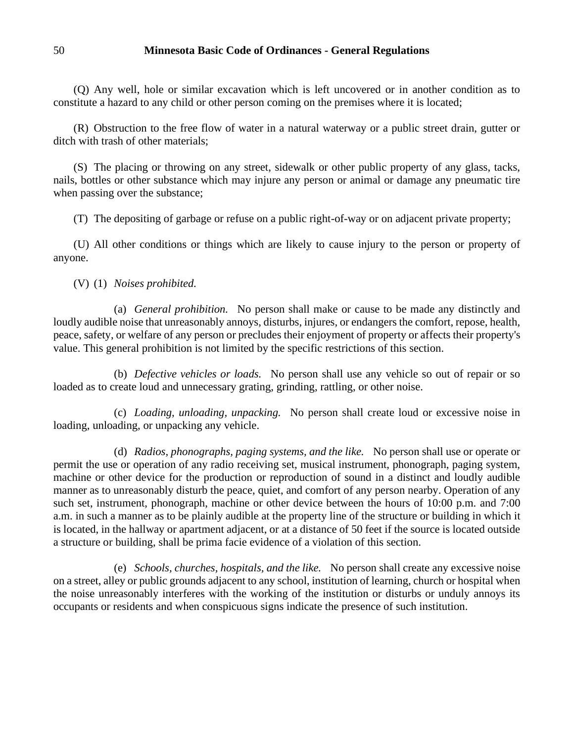(Q) Any well, hole or similar excavation which is left uncovered or in another condition as to constitute a hazard to any child or other person coming on the premises where it is located;

(R) Obstruction to the free flow of water in a natural waterway or a public street drain, gutter or ditch with trash of other materials;

(S) The placing or throwing on any street, sidewalk or other public property of any glass, tacks, nails, bottles or other substance which may injure any person or animal or damage any pneumatic tire when passing over the substance;

(T) The depositing of garbage or refuse on a public right-of-way or on adjacent private property;

(U) All other conditions or things which are likely to cause injury to the person or property of anyone.

(V) (1) *Noises prohibited.*

(a) *General prohibition.* No person shall make or cause to be made any distinctly and loudly audible noise that unreasonably annoys, disturbs, injures, or endangers the comfort, repose, health, peace, safety, or welfare of any person or precludes their enjoyment of property or affects their property's value. This general prohibition is not limited by the specific restrictions of this section.

(b) *Defective vehicles or loads.* No person shall use any vehicle so out of repair or so loaded as to create loud and unnecessary grating, grinding, rattling, or other noise.

(c) *Loading, unloading, unpacking.* No person shall create loud or excessive noise in loading, unloading, or unpacking any vehicle.

(d) *Radios, phonographs, paging systems, and the like.* No person shall use or operate or permit the use or operation of any radio receiving set, musical instrument, phonograph, paging system, machine or other device for the production or reproduction of sound in a distinct and loudly audible manner as to unreasonably disturb the peace, quiet, and comfort of any person nearby. Operation of any such set, instrument, phonograph, machine or other device between the hours of 10:00 p.m. and 7:00 a.m. in such a manner as to be plainly audible at the property line of the structure or building in which it is located, in the hallway or apartment adjacent, or at a distance of 50 feet if the source is located outside a structure or building, shall be prima facie evidence of a violation of this section.

(e) *Schools, churches, hospitals, and the like.* No person shall create any excessive noise on a street, alley or public grounds adjacent to any school, institution of learning, church or hospital when the noise unreasonably interferes with the working of the institution or disturbs or unduly annoys its occupants or residents and when conspicuous signs indicate the presence of such institution.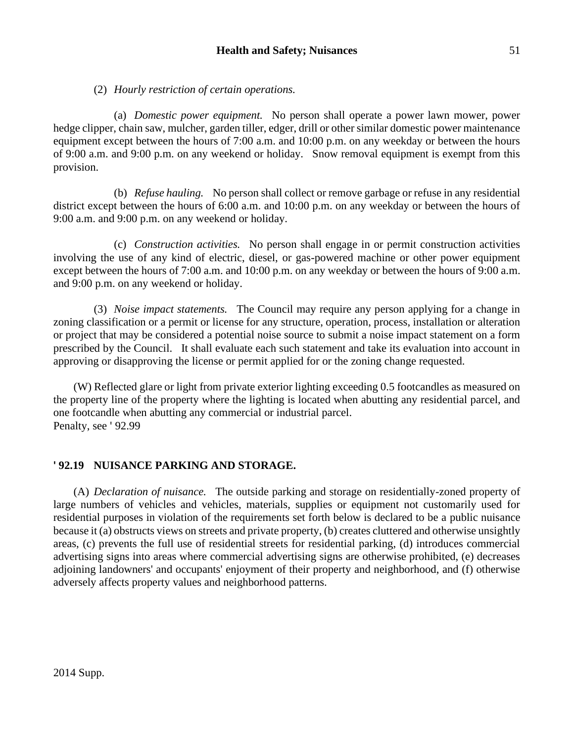# (2) *Hourly restriction of certain operations.*

(a) *Domestic power equipment.* No person shall operate a power lawn mower, power hedge clipper, chain saw, mulcher, garden tiller, edger, drill or other similar domestic power maintenance equipment except between the hours of 7:00 a.m. and 10:00 p.m. on any weekday or between the hours of 9:00 a.m. and 9:00 p.m. on any weekend or holiday. Snow removal equipment is exempt from this provision.

(b) *Refuse hauling.* No person shall collect or remove garbage or refuse in any residential district except between the hours of 6:00 a.m. and 10:00 p.m. on any weekday or between the hours of 9:00 a.m. and 9:00 p.m. on any weekend or holiday.

(c) *Construction activities.* No person shall engage in or permit construction activities involving the use of any kind of electric, diesel, or gas-powered machine or other power equipment except between the hours of 7:00 a.m. and 10:00 p.m. on any weekday or between the hours of 9:00 a.m. and 9:00 p.m. on any weekend or holiday.

(3) *Noise impact statements.* The Council may require any person applying for a change in zoning classification or a permit or license for any structure, operation, process, installation or alteration or project that may be considered a potential noise source to submit a noise impact statement on a form prescribed by the Council. It shall evaluate each such statement and take its evaluation into account in approving or disapproving the license or permit applied for or the zoning change requested.

(W) Reflected glare or light from private exterior lighting exceeding 0.5 footcandles as measured on the property line of the property where the lighting is located when abutting any residential parcel, and one footcandle when abutting any commercial or industrial parcel. Penalty, see ' 92.99

# **' 92.19 NUISANCE PARKING AND STORAGE.**

(A) *Declaration of nuisance.* The outside parking and storage on residentially-zoned property of large numbers of vehicles and vehicles, materials, supplies or equipment not customarily used for residential purposes in violation of the requirements set forth below is declared to be a public nuisance because it (a) obstructs views on streets and private property, (b) creates cluttered and otherwise unsightly areas, (c) prevents the full use of residential streets for residential parking, (d) introduces commercial advertising signs into areas where commercial advertising signs are otherwise prohibited, (e) decreases adjoining landowners' and occupants' enjoyment of their property and neighborhood, and (f) otherwise adversely affects property values and neighborhood patterns.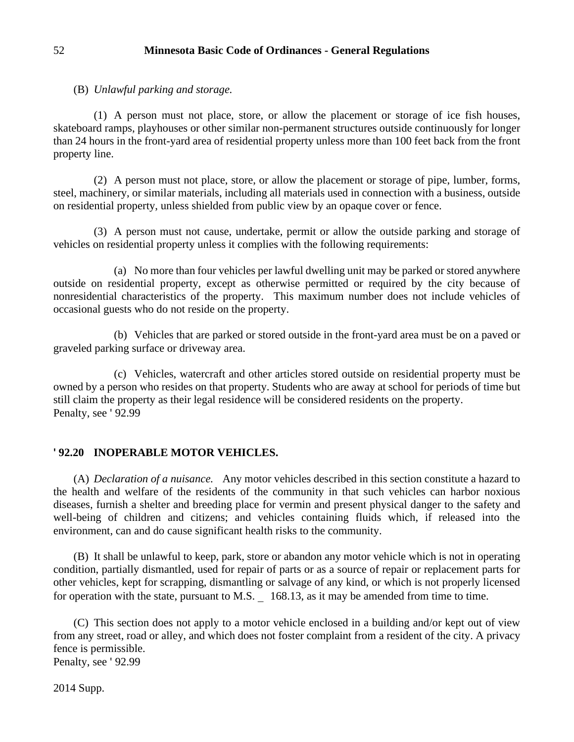(B) *Unlawful parking and storage.*

(1) A person must not place, store, or allow the placement or storage of ice fish houses, skateboard ramps, playhouses or other similar non-permanent structures outside continuously for longer than 24 hours in the front-yard area of residential property unless more than 100 feet back from the front property line.

(2) A person must not place, store, or allow the placement or storage of pipe, lumber, forms, steel, machinery, or similar materials, including all materials used in connection with a business, outside on residential property, unless shielded from public view by an opaque cover or fence.

(3) A person must not cause, undertake, permit or allow the outside parking and storage of vehicles on residential property unless it complies with the following requirements:

(a) No more than four vehicles per lawful dwelling unit may be parked or stored anywhere outside on residential property, except as otherwise permitted or required by the city because of nonresidential characteristics of the property. This maximum number does not include vehicles of occasional guests who do not reside on the property.

(b) Vehicles that are parked or stored outside in the front-yard area must be on a paved or graveled parking surface or driveway area.

(c) Vehicles, watercraft and other articles stored outside on residential property must be owned by a person who resides on that property. Students who are away at school for periods of time but still claim the property as their legal residence will be considered residents on the property. Penalty, see ' 92.99

# **' 92.20 INOPERABLE MOTOR VEHICLES.**

(A) *Declaration of a nuisance.* Any motor vehicles described in this section constitute a hazard to the health and welfare of the residents of the community in that such vehicles can harbor noxious diseases, furnish a shelter and breeding place for vermin and present physical danger to the safety and well-being of children and citizens; and vehicles containing fluids which, if released into the environment, can and do cause significant health risks to the community.

(B) It shall be unlawful to keep, park, store or abandon any motor vehicle which is not in operating condition, partially dismantled, used for repair of parts or as a source of repair or replacement parts for other vehicles, kept for scrapping, dismantling or salvage of any kind, or which is not properly licensed for operation with the state, pursuant to M.S.  $\overline{\phantom{0}}$  168.13, as it may be amended from time to time.

(C) This section does not apply to a motor vehicle enclosed in a building and/or kept out of view from any street, road or alley, and which does not foster complaint from a resident of the city. A privacy fence is permissible. Penalty, see ' 92.99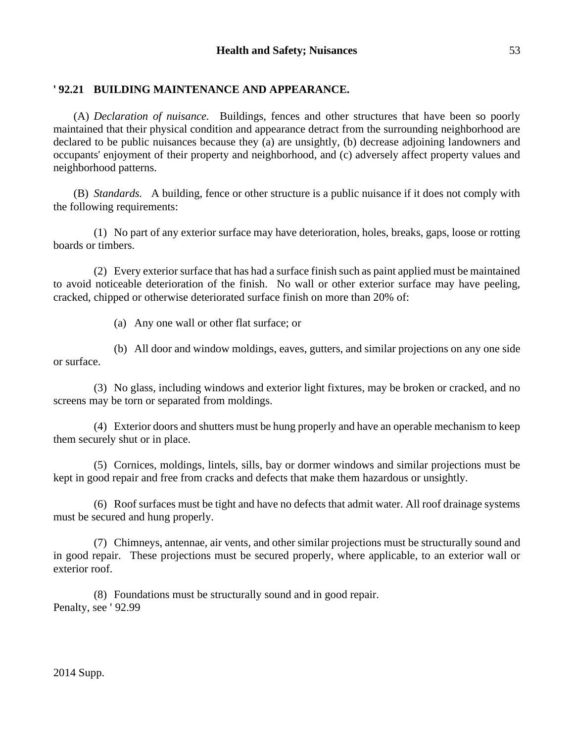# **' 92.21 BUILDING MAINTENANCE AND APPEARANCE.**

(A) *Declaration of nuisance.* Buildings, fences and other structures that have been so poorly maintained that their physical condition and appearance detract from the surrounding neighborhood are declared to be public nuisances because they (a) are unsightly, (b) decrease adjoining landowners and occupants' enjoyment of their property and neighborhood, and (c) adversely affect property values and neighborhood patterns.

(B) *Standards.* A building, fence or other structure is a public nuisance if it does not comply with the following requirements:

(1) No part of any exterior surface may have deterioration, holes, breaks, gaps, loose or rotting boards or timbers.

(2) Every exterior surface that has had a surface finish such as paint applied must be maintained to avoid noticeable deterioration of the finish. No wall or other exterior surface may have peeling, cracked, chipped or otherwise deteriorated surface finish on more than 20% of:

(a) Any one wall or other flat surface; or

(b) All door and window moldings, eaves, gutters, and similar projections on any one side or surface.

(3) No glass, including windows and exterior light fixtures, may be broken or cracked, and no screens may be torn or separated from moldings.

(4) Exterior doors and shutters must be hung properly and have an operable mechanism to keep them securely shut or in place.

(5) Cornices, moldings, lintels, sills, bay or dormer windows and similar projections must be kept in good repair and free from cracks and defects that make them hazardous or unsightly.

(6) Roof surfaces must be tight and have no defects that admit water. All roof drainage systems must be secured and hung properly.

(7) Chimneys, antennae, air vents, and other similar projections must be structurally sound and in good repair. These projections must be secured properly, where applicable, to an exterior wall or exterior roof.

(8) Foundations must be structurally sound and in good repair. Penalty, see ' 92.99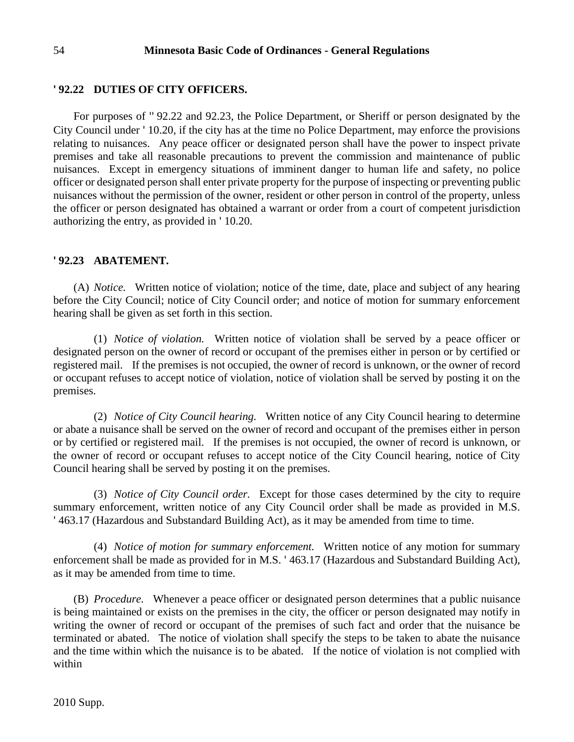#### **' 92.22 DUTIES OF CITY OFFICERS.**

For purposes of '' 92.22 and 92.23, the Police Department, or Sheriff or person designated by the City Council under ' 10.20, if the city has at the time no Police Department, may enforce the provisions relating to nuisances. Any peace officer or designated person shall have the power to inspect private premises and take all reasonable precautions to prevent the commission and maintenance of public nuisances. Except in emergency situations of imminent danger to human life and safety, no police officer or designated person shall enter private property for the purpose of inspecting or preventing public nuisances without the permission of the owner, resident or other person in control of the property, unless the officer or person designated has obtained a warrant or order from a court of competent jurisdiction authorizing the entry, as provided in ' 10.20.

#### **' 92.23 ABATEMENT.**

(A) *Notice.* Written notice of violation; notice of the time, date, place and subject of any hearing before the City Council; notice of City Council order; and notice of motion for summary enforcement hearing shall be given as set forth in this section.

(1) *Notice of violation.* Written notice of violation shall be served by a peace officer or designated person on the owner of record or occupant of the premises either in person or by certified or registered mail. If the premises is not occupied, the owner of record is unknown, or the owner of record or occupant refuses to accept notice of violation, notice of violation shall be served by posting it on the premises.

(2) *Notice of City Council hearing.* Written notice of any City Council hearing to determine or abate a nuisance shall be served on the owner of record and occupant of the premises either in person or by certified or registered mail. If the premises is not occupied, the owner of record is unknown, or the owner of record or occupant refuses to accept notice of the City Council hearing, notice of City Council hearing shall be served by posting it on the premises.

(3) *Notice of City Council order.* Except for those cases determined by the city to require summary enforcement, written notice of any City Council order shall be made as provided in M.S. ' 463.17 (Hazardous and Substandard Building Act), as it may be amended from time to time.

(4) *Notice of motion for summary enforcement.* Written notice of any motion for summary enforcement shall be made as provided for in M.S. ' 463.17 (Hazardous and Substandard Building Act), as it may be amended from time to time.

(B) *Procedure.* Whenever a peace officer or designated person determines that a public nuisance is being maintained or exists on the premises in the city, the officer or person designated may notify in writing the owner of record or occupant of the premises of such fact and order that the nuisance be terminated or abated. The notice of violation shall specify the steps to be taken to abate the nuisance and the time within which the nuisance is to be abated. If the notice of violation is not complied with within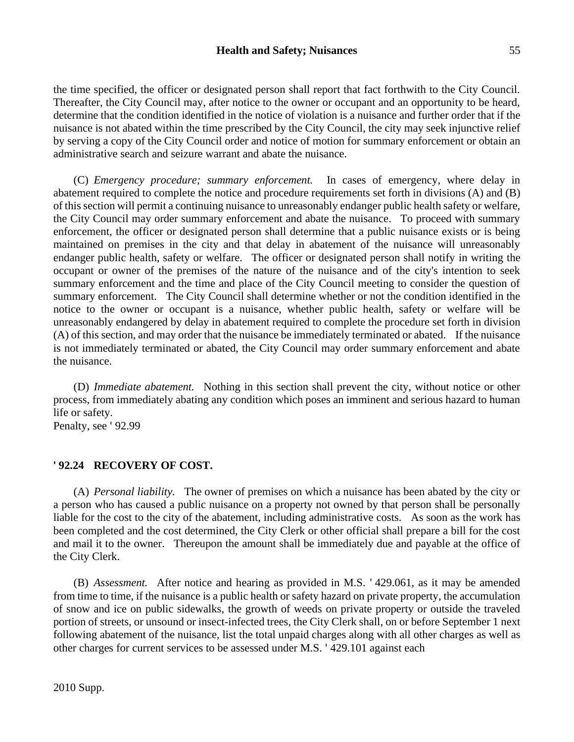the time specified, the officer or designated person shall report that fact forthwith to the City Council. Thereafter, the City Council may, after notice to the owner or occupant and an opportunity to be heard, determine that the condition identified in the notice of violation is a nuisance and further order that if the nuisance is not abated within the time prescribed by the City Council, the city may seek injunctive relief by serving a copy of the City Council order and notice of motion for summary enforcement or obtain an administrative search and seizure warrant and abate the nuisance.

(C) *Emergency procedure; summary enforcement.* In cases of emergency, where delay in abatement required to complete the notice and procedure requirements set forth in divisions (A) and (B) of this section will permit a continuing nuisance to unreasonably endanger public health safety or welfare, the City Council may order summary enforcement and abate the nuisance. To proceed with summary enforcement, the officer or designated person shall determine that a public nuisance exists or is being maintained on premises in the city and that delay in abatement of the nuisance will unreasonably endanger public health, safety or welfare. The officer or designated person shall notify in writing the occupant or owner of the premises of the nature of the nuisance and of the city's intention to seek summary enforcement and the time and place of the City Council meeting to consider the question of summary enforcement. The City Council shall determine whether or not the condition identified in the notice to the owner or occupant is a nuisance, whether public health, safety or welfare will be unreasonably endangered by delay in abatement required to complete the procedure set forth in division (A) of this section, and may order that the nuisance be immediately terminated or abated. If the nuisance is not immediately terminated or abated, the City Council may order summary enforcement and abate the nuisance.

(D) *Immediate abatement.* Nothing in this section shall prevent the city, without notice or other process, from immediately abating any condition which poses an imminent and serious hazard to human life or safety.

Penalty, see ' 92.99

# **' 92.24 RECOVERY OF COST.**

(A) *Personal liability.* The owner of premises on which a nuisance has been abated by the city or a person who has caused a public nuisance on a property not owned by that person shall be personally liable for the cost to the city of the abatement, including administrative costs. As soon as the work has been completed and the cost determined, the City Clerk or other official shall prepare a bill for the cost and mail it to the owner. Thereupon the amount shall be immediately due and payable at the office of the City Clerk.

(B) *Assessment.* After notice and hearing as provided in M.S. ' 429.061, as it may be amended from time to time, if the nuisance is a public health or safety hazard on private property, the accumulation of snow and ice on public sidewalks, the growth of weeds on private property or outside the traveled portion of streets, or unsound or insect-infected trees, the City Clerk shall, on or before September 1 next following abatement of the nuisance, list the total unpaid charges along with all other charges as well as other charges for current services to be assessed under M.S. ' 429.101 against each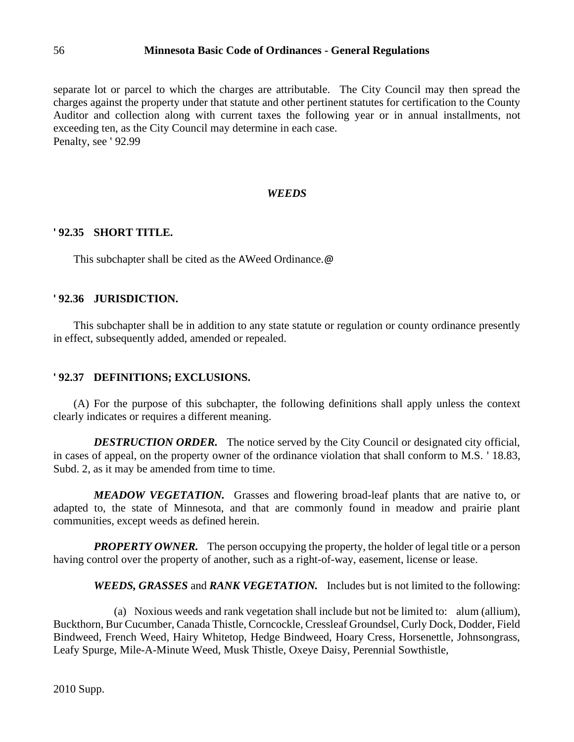separate lot or parcel to which the charges are attributable. The City Council may then spread the charges against the property under that statute and other pertinent statutes for certification to the County Auditor and collection along with current taxes the following year or in annual installments, not exceeding ten, as the City Council may determine in each case. Penalty, see ' 92.99

### *WEEDS*

# **' 92.35 SHORT TITLE.**

This subchapter shall be cited as the AWeed Ordinance. @

### **' 92.36 JURISDICTION.**

This subchapter shall be in addition to any state statute or regulation or county ordinance presently in effect, subsequently added, amended or repealed.

# **' 92.37 DEFINITIONS; EXCLUSIONS.**

(A) For the purpose of this subchapter, the following definitions shall apply unless the context clearly indicates or requires a different meaning.

**DESTRUCTION ORDER.** The notice served by the City Council or designated city official, in cases of appeal, on the property owner of the ordinance violation that shall conform to M.S. ' 18.83, Subd. 2, as it may be amended from time to time.

*MEADOW VEGETATION.* Grasses and flowering broad-leaf plants that are native to, or adapted to, the state of Minnesota, and that are commonly found in meadow and prairie plant communities, except weeds as defined herein.

*PROPERTY OWNER.* The person occupying the property, the holder of legal title or a person having control over the property of another, such as a right-of-way, easement, license or lease.

*WEEDS, GRASSES* and *RANK VEGETATION.* Includes but is not limited to the following:

(a) Noxious weeds and rank vegetation shall include but not be limited to: alum (allium), Buckthorn, Bur Cucumber, Canada Thistle, Corncockle, Cressleaf Groundsel, Curly Dock, Dodder, Field Bindweed, French Weed, Hairy Whitetop, Hedge Bindweed, Hoary Cress, Horsenettle, Johnsongrass, Leafy Spurge, Mile-A-Minute Weed, Musk Thistle, Oxeye Daisy, Perennial Sowthistle,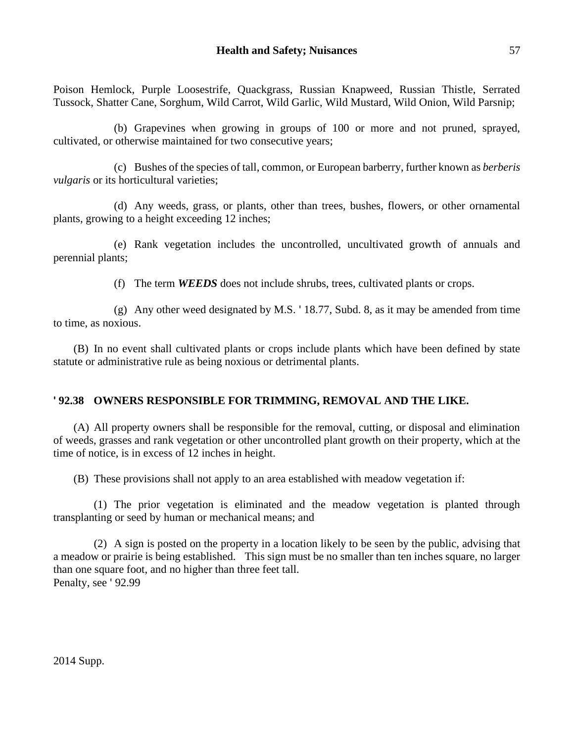Poison Hemlock, Purple Loosestrife, Quackgrass, Russian Knapweed, Russian Thistle, Serrated Tussock, Shatter Cane, Sorghum, Wild Carrot, Wild Garlic, Wild Mustard, Wild Onion, Wild Parsnip;

(b) Grapevines when growing in groups of 100 or more and not pruned, sprayed, cultivated, or otherwise maintained for two consecutive years;

(c) Bushes of the species of tall, common, or European barberry, further known as *berberis vulgaris* or its horticultural varieties;

(d) Any weeds, grass, or plants, other than trees, bushes, flowers, or other ornamental plants, growing to a height exceeding 12 inches;

(e) Rank vegetation includes the uncontrolled, uncultivated growth of annuals and perennial plants;

(f) The term *WEEDS* does not include shrubs, trees, cultivated plants or crops.

(g) Any other weed designated by M.S. ' 18.77, Subd. 8, as it may be amended from time to time, as noxious.

(B) In no event shall cultivated plants or crops include plants which have been defined by state statute or administrative rule as being noxious or detrimental plants.

### **' 92.38 OWNERS RESPONSIBLE FOR TRIMMING, REMOVAL AND THE LIKE.**

(A) All property owners shall be responsible for the removal, cutting, or disposal and elimination of weeds, grasses and rank vegetation or other uncontrolled plant growth on their property, which at the time of notice, is in excess of 12 inches in height.

(B) These provisions shall not apply to an area established with meadow vegetation if:

(1) The prior vegetation is eliminated and the meadow vegetation is planted through transplanting or seed by human or mechanical means; and

(2) A sign is posted on the property in a location likely to be seen by the public, advising that a meadow or prairie is being established. This sign must be no smaller than ten inches square, no larger than one square foot, and no higher than three feet tall. Penalty, see ' 92.99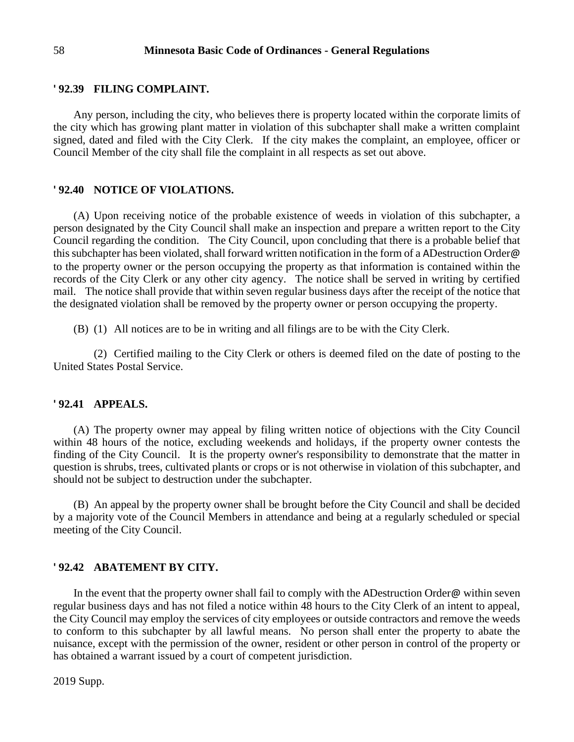#### **' 92.39 FILING COMPLAINT.**

Any person, including the city, who believes there is property located within the corporate limits of the city which has growing plant matter in violation of this subchapter shall make a written complaint signed, dated and filed with the City Clerk. If the city makes the complaint, an employee, officer or Council Member of the city shall file the complaint in all respects as set out above.

#### **' 92.40 NOTICE OF VIOLATIONS.**

(A) Upon receiving notice of the probable existence of weeds in violation of this subchapter, a person designated by the City Council shall make an inspection and prepare a written report to the City Council regarding the condition. The City Council, upon concluding that there is a probable belief that this subchapter has been violated, shall forward written notification in the form of a ADestruction Order@ to the property owner or the person occupying the property as that information is contained within the records of the City Clerk or any other city agency. The notice shall be served in writing by certified mail. The notice shall provide that within seven regular business days after the receipt of the notice that the designated violation shall be removed by the property owner or person occupying the property.

(B) (1) All notices are to be in writing and all filings are to be with the City Clerk.

(2) Certified mailing to the City Clerk or others is deemed filed on the date of posting to the United States Postal Service.

#### **' 92.41 APPEALS.**

(A) The property owner may appeal by filing written notice of objections with the City Council within 48 hours of the notice, excluding weekends and holidays, if the property owner contests the finding of the City Council. It is the property owner's responsibility to demonstrate that the matter in question is shrubs, trees, cultivated plants or crops or is not otherwise in violation of this subchapter, and should not be subject to destruction under the subchapter.

(B) An appeal by the property owner shall be brought before the City Council and shall be decided by a majority vote of the Council Members in attendance and being at a regularly scheduled or special meeting of the City Council.

#### **' 92.42 ABATEMENT BY CITY.**

In the event that the property owner shall fail to comply with the ADestruction Order@ within seven regular business days and has not filed a notice within 48 hours to the City Clerk of an intent to appeal, the City Council may employ the services of city employees or outside contractors and remove the weeds to conform to this subchapter by all lawful means. No person shall enter the property to abate the nuisance, except with the permission of the owner, resident or other person in control of the property or has obtained a warrant issued by a court of competent jurisdiction.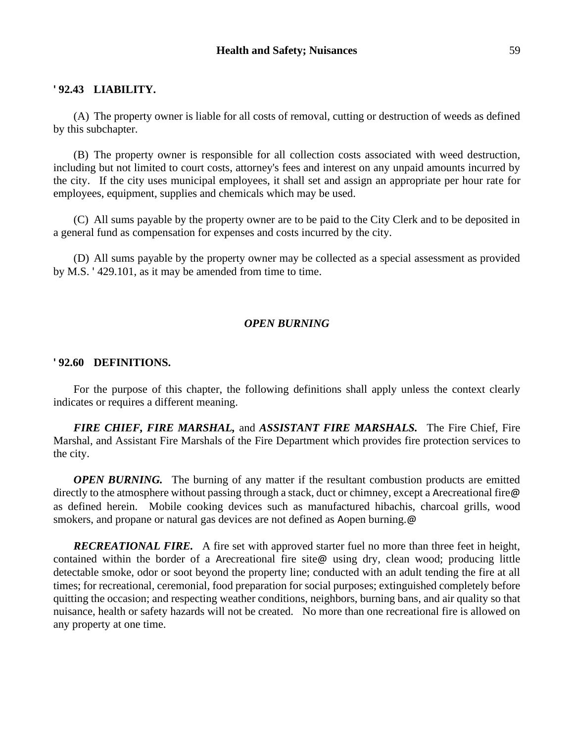#### **' 92.43 LIABILITY.**

(A) The property owner is liable for all costs of removal, cutting or destruction of weeds as defined by this subchapter.

(B) The property owner is responsible for all collection costs associated with weed destruction, including but not limited to court costs, attorney's fees and interest on any unpaid amounts incurred by the city. If the city uses municipal employees, it shall set and assign an appropriate per hour rate for employees, equipment, supplies and chemicals which may be used.

(C) All sums payable by the property owner are to be paid to the City Clerk and to be deposited in a general fund as compensation for expenses and costs incurred by the city.

(D) All sums payable by the property owner may be collected as a special assessment as provided by M.S. ' 429.101, as it may be amended from time to time.

### *OPEN BURNING*

#### **' 92.60 DEFINITIONS.**

For the purpose of this chapter, the following definitions shall apply unless the context clearly indicates or requires a different meaning.

*FIRE CHIEF, FIRE MARSHAL,* and *ASSISTANT FIRE MARSHALS.* The Fire Chief, Fire Marshal, and Assistant Fire Marshals of the Fire Department which provides fire protection services to the city.

*OPEN BURNING.* The burning of any matter if the resultant combustion products are emitted directly to the atmosphere without passing through a stack, duct or chimney, except a Arecreational fire@ as defined herein. Mobile cooking devices such as manufactured hibachis, charcoal grills, wood smokers, and propane or natural gas devices are not defined as Aopen burning. @

*RECREATIONAL FIRE.* A fire set with approved starter fuel no more than three feet in height, contained within the border of a Arecreational fire site@ using dry, clean wood; producing little detectable smoke, odor or soot beyond the property line; conducted with an adult tending the fire at all times; for recreational, ceremonial, food preparation for social purposes; extinguished completely before quitting the occasion; and respecting weather conditions, neighbors, burning bans, and air quality so that nuisance, health or safety hazards will not be created. No more than one recreational fire is allowed on any property at one time.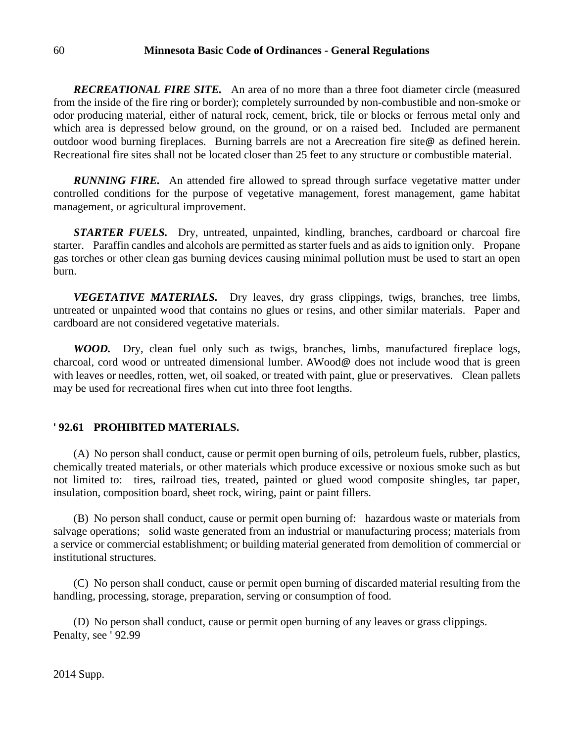*RECREATIONAL FIRE SITE.* An area of no more than a three foot diameter circle (measured from the inside of the fire ring or border); completely surrounded by non-combustible and non-smoke or odor producing material, either of natural rock, cement, brick, tile or blocks or ferrous metal only and which area is depressed below ground, on the ground, or on a raised bed. Included are permanent outdoor wood burning fireplaces. Burning barrels are not a Arecreation fire site@ as defined herein. Recreational fire sites shall not be located closer than 25 feet to any structure or combustible material.

*RUNNING FIRE.* An attended fire allowed to spread through surface vegetative matter under controlled conditions for the purpose of vegetative management, forest management, game habitat management, or agricultural improvement.

*STARTER FUELS.* Dry, untreated, unpainted, kindling, branches, cardboard or charcoal fire starter. Paraffin candles and alcohols are permitted as starter fuels and as aids to ignition only. Propane gas torches or other clean gas burning devices causing minimal pollution must be used to start an open burn.

**VEGETATIVE MATERIALS.** Dry leaves, dry grass clippings, twigs, branches, tree limbs, untreated or unpainted wood that contains no glues or resins, and other similar materials. Paper and cardboard are not considered vegetative materials.

*WOOD.* Dry, clean fuel only such as twigs, branches, limbs, manufactured fireplace logs, charcoal, cord wood or untreated dimensional lumber. AWood@ does not include wood that is green with leaves or needles, rotten, wet, oil soaked, or treated with paint, glue or preservatives. Clean pallets may be used for recreational fires when cut into three foot lengths.

#### **' 92.61 PROHIBITED MATERIALS.**

(A) No person shall conduct, cause or permit open burning of oils, petroleum fuels, rubber, plastics, chemically treated materials, or other materials which produce excessive or noxious smoke such as but not limited to: tires, railroad ties, treated, painted or glued wood composite shingles, tar paper, insulation, composition board, sheet rock, wiring, paint or paint fillers.

(B) No person shall conduct, cause or permit open burning of: hazardous waste or materials from salvage operations; solid waste generated from an industrial or manufacturing process; materials from a service or commercial establishment; or building material generated from demolition of commercial or institutional structures.

(C) No person shall conduct, cause or permit open burning of discarded material resulting from the handling, processing, storage, preparation, serving or consumption of food.

(D) No person shall conduct, cause or permit open burning of any leaves or grass clippings. Penalty, see ' 92.99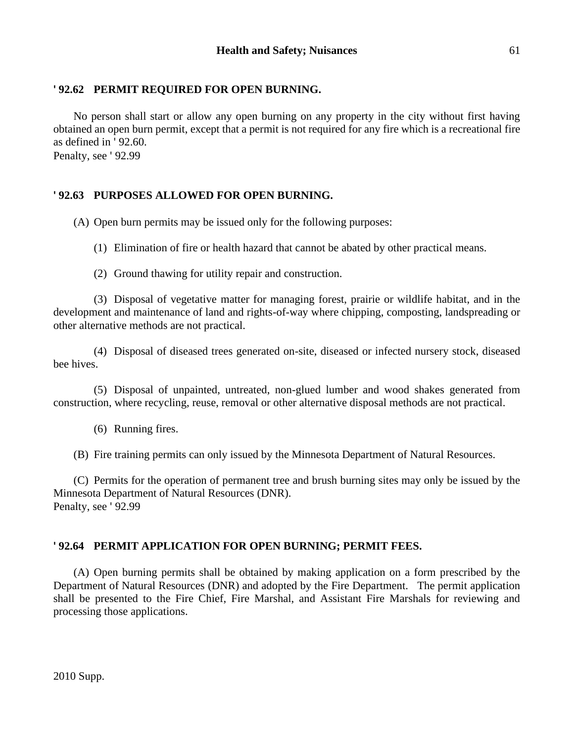# **' 92.62 PERMIT REQUIRED FOR OPEN BURNING.**

No person shall start or allow any open burning on any property in the city without first having obtained an open burn permit, except that a permit is not required for any fire which is a recreational fire as defined in ' 92.60.

Penalty, see ' 92.99

# **' 92.63 PURPOSES ALLOWED FOR OPEN BURNING.**

(A) Open burn permits may be issued only for the following purposes:

- (1) Elimination of fire or health hazard that cannot be abated by other practical means.
- (2) Ground thawing for utility repair and construction.

(3) Disposal of vegetative matter for managing forest, prairie or wildlife habitat, and in the development and maintenance of land and rights-of-way where chipping, composting, landspreading or other alternative methods are not practical.

(4) Disposal of diseased trees generated on-site, diseased or infected nursery stock, diseased bee hives.

(5) Disposal of unpainted, untreated, non-glued lumber and wood shakes generated from construction, where recycling, reuse, removal or other alternative disposal methods are not practical.

(6) Running fires.

(B) Fire training permits can only issued by the Minnesota Department of Natural Resources.

(C) Permits for the operation of permanent tree and brush burning sites may only be issued by the Minnesota Department of Natural Resources (DNR). Penalty, see ' 92.99

# **' 92.64 PERMIT APPLICATION FOR OPEN BURNING; PERMIT FEES.**

(A) Open burning permits shall be obtained by making application on a form prescribed by the Department of Natural Resources (DNR) and adopted by the Fire Department. The permit application shall be presented to the Fire Chief, Fire Marshal, and Assistant Fire Marshals for reviewing and processing those applications.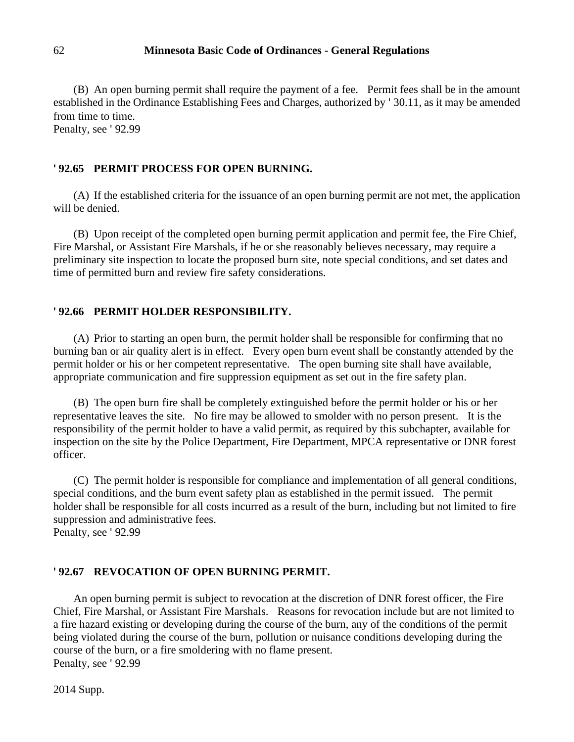(B) An open burning permit shall require the payment of a fee. Permit fees shall be in the amount established in the Ordinance Establishing Fees and Charges, authorized by ' 30.11, as it may be amended from time to time.

Penalty, see ' 92.99

#### **' 92.65 PERMIT PROCESS FOR OPEN BURNING.**

(A) If the established criteria for the issuance of an open burning permit are not met, the application will be denied.

(B) Upon receipt of the completed open burning permit application and permit fee, the Fire Chief, Fire Marshal, or Assistant Fire Marshals, if he or she reasonably believes necessary, may require a preliminary site inspection to locate the proposed burn site, note special conditions, and set dates and time of permitted burn and review fire safety considerations.

#### **' 92.66 PERMIT HOLDER RESPONSIBILITY.**

(A) Prior to starting an open burn, the permit holder shall be responsible for confirming that no burning ban or air quality alert is in effect. Every open burn event shall be constantly attended by the permit holder or his or her competent representative. The open burning site shall have available, appropriate communication and fire suppression equipment as set out in the fire safety plan.

(B) The open burn fire shall be completely extinguished before the permit holder or his or her representative leaves the site. No fire may be allowed to smolder with no person present. It is the responsibility of the permit holder to have a valid permit, as required by this subchapter, available for inspection on the site by the Police Department, Fire Department, MPCA representative or DNR forest officer.

(C) The permit holder is responsible for compliance and implementation of all general conditions, special conditions, and the burn event safety plan as established in the permit issued. The permit holder shall be responsible for all costs incurred as a result of the burn, including but not limited to fire suppression and administrative fees.

Penalty, see ' 92.99

#### **' 92.67 REVOCATION OF OPEN BURNING PERMIT.**

An open burning permit is subject to revocation at the discretion of DNR forest officer, the Fire Chief, Fire Marshal, or Assistant Fire Marshals. Reasons for revocation include but are not limited to a fire hazard existing or developing during the course of the burn, any of the conditions of the permit being violated during the course of the burn, pollution or nuisance conditions developing during the course of the burn, or a fire smoldering with no flame present. Penalty, see ' 92.99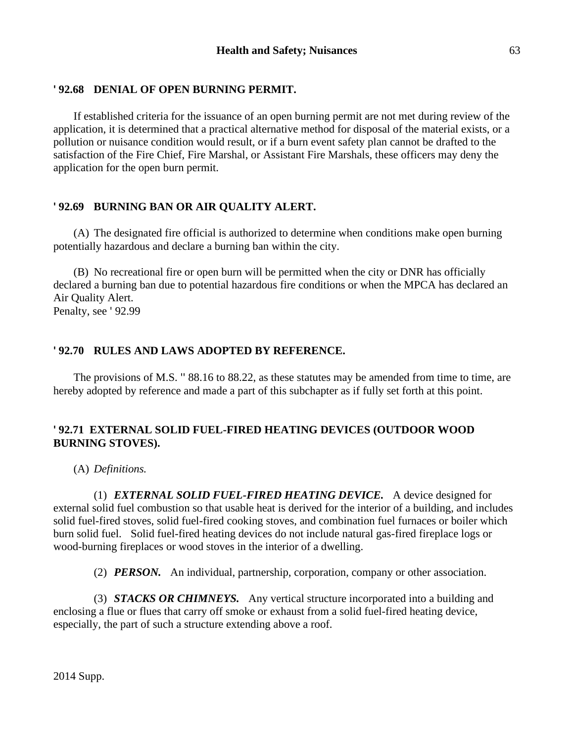# **' 92.68 DENIAL OF OPEN BURNING PERMIT.**

If established criteria for the issuance of an open burning permit are not met during review of the application, it is determined that a practical alternative method for disposal of the material exists, or a pollution or nuisance condition would result, or if a burn event safety plan cannot be drafted to the satisfaction of the Fire Chief, Fire Marshal, or Assistant Fire Marshals, these officers may deny the application for the open burn permit.

# **' 92.69 BURNING BAN OR AIR QUALITY ALERT.**

(A) The designated fire official is authorized to determine when conditions make open burning potentially hazardous and declare a burning ban within the city.

(B) No recreational fire or open burn will be permitted when the city or DNR has officially declared a burning ban due to potential hazardous fire conditions or when the MPCA has declared an Air Quality Alert. Penalty, see ' 92.99

# **' 92.70 RULES AND LAWS ADOPTED BY REFERENCE.**

The provisions of M.S. '' 88.16 to 88.22, as these statutes may be amended from time to time, are hereby adopted by reference and made a part of this subchapter as if fully set forth at this point.

# **' 92.71 EXTERNAL SOLID FUEL-FIRED HEATING DEVICES (OUTDOOR WOOD BURNING STOVES).**

(A) *Definitions.*

(1) *EXTERNAL SOLID FUEL-FIRED HEATING DEVICE.* A device designed for external solid fuel combustion so that usable heat is derived for the interior of a building, and includes solid fuel-fired stoves, solid fuel-fired cooking stoves, and combination fuel furnaces or boiler which burn solid fuel. Solid fuel-fired heating devices do not include natural gas-fired fireplace logs or wood-burning fireplaces or wood stoves in the interior of a dwelling.

(2) *PERSON.* An individual, partnership, corporation, company or other association.

(3) *STACKS OR CHIMNEYS.* Any vertical structure incorporated into a building and enclosing a flue or flues that carry off smoke or exhaust from a solid fuel-fired heating device, especially, the part of such a structure extending above a roof.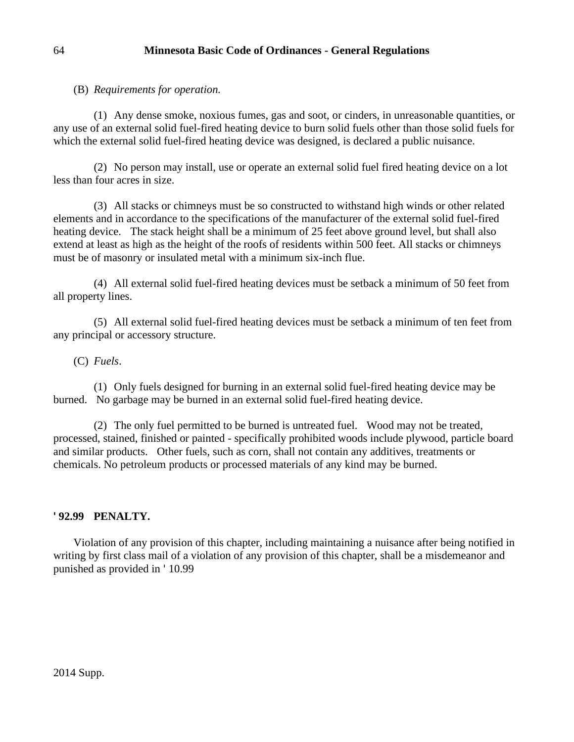(B) *Requirements for operation.*

(1) Any dense smoke, noxious fumes, gas and soot, or cinders, in unreasonable quantities, or any use of an external solid fuel-fired heating device to burn solid fuels other than those solid fuels for which the external solid fuel-fired heating device was designed, is declared a public nuisance.

(2) No person may install, use or operate an external solid fuel fired heating device on a lot less than four acres in size.

(3) All stacks or chimneys must be so constructed to withstand high winds or other related elements and in accordance to the specifications of the manufacturer of the external solid fuel-fired heating device. The stack height shall be a minimum of 25 feet above ground level, but shall also extend at least as high as the height of the roofs of residents within 500 feet. All stacks or chimneys must be of masonry or insulated metal with a minimum six-inch flue.

(4) All external solid fuel-fired heating devices must be setback a minimum of 50 feet from all property lines.

(5) All external solid fuel-fired heating devices must be setback a minimum of ten feet from any principal or accessory structure.

(C) *Fuels*.

(1) Only fuels designed for burning in an external solid fuel-fired heating device may be burned. No garbage may be burned in an external solid fuel-fired heating device.

(2) The only fuel permitted to be burned is untreated fuel. Wood may not be treated, processed, stained, finished or painted - specifically prohibited woods include plywood, particle board and similar products. Other fuels, such as corn, shall not contain any additives, treatments or chemicals. No petroleum products or processed materials of any kind may be burned.

### **' 92.99 PENALTY.**

Violation of any provision of this chapter, including maintaining a nuisance after being notified in writing by first class mail of a violation of any provision of this chapter, shall be a misdemeanor and punished as provided in ' 10.99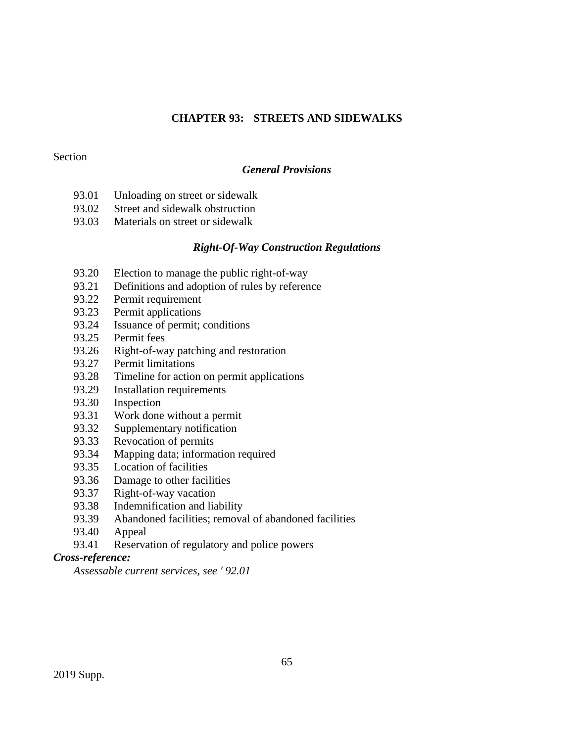# **CHAPTER 93: STREETS AND SIDEWALKS**

### Section

# *General Provisions*

- 93.01 Unloading on street or sidewalk
- 93.02 Street and sidewalk obstruction
- 93.03 Materials on street or sidewalk

### *Right-Of-Way Construction Regulations*

- 93.20 Election to manage the public right-of-way
- 93.21 Definitions and adoption of rules by reference
- 93.22 Permit requirement
- 93.23 Permit applications
- 93.24 Issuance of permit; conditions
- 93.25 Permit fees
- 93.26 Right-of-way patching and restoration
- 93.27 Permit limitations
- 93.28 Timeline for action on permit applications
- 93.29 Installation requirements
- 93.30 Inspection
- 93.31 Work done without a permit
- 93.32 Supplementary notification
- 93.33 Revocation of permits
- 93.34 Mapping data; information required
- 93.35 Location of facilities
- 93.36 Damage to other facilities
- 93.37 Right-of-way vacation
- 93.38 Indemnification and liability
- 93.39 Abandoned facilities; removal of abandoned facilities
- 93.40 Appeal
- 93.41 Reservation of regulatory and police powers

# *Cross-reference:*

*Assessable current services, see ' 92.01*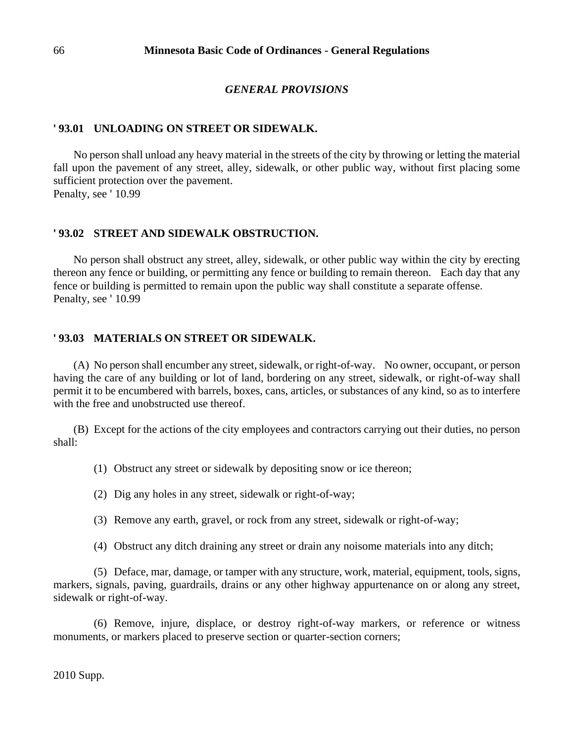#### *GENERAL PROVISIONS*

#### **' 93.01 UNLOADING ON STREET OR SIDEWALK.**

No person shall unload any heavy material in the streets of the city by throwing or letting the material fall upon the pavement of any street, alley, sidewalk, or other public way, without first placing some sufficient protection over the pavement. Penalty, see '10.99

#### **' 93.02 STREET AND SIDEWALK OBSTRUCTION.**

No person shall obstruct any street, alley, sidewalk, or other public way within the city by erecting thereon any fence or building, or permitting any fence or building to remain thereon. Each day that any fence or building is permitted to remain upon the public way shall constitute a separate offense. Penalty, see '10.99

#### **' 93.03 MATERIALS ON STREET OR SIDEWALK.**

(A) No person shall encumber any street, sidewalk, or right-of-way. No owner, occupant, or person having the care of any building or lot of land, bordering on any street, sidewalk, or right-of-way shall permit it to be encumbered with barrels, boxes, cans, articles, or substances of any kind, so as to interfere with the free and unobstructed use thereof.

(B) Except for the actions of the city employees and contractors carrying out their duties, no person shall:

(1) Obstruct any street or sidewalk by depositing snow or ice thereon;

(2) Dig any holes in any street, sidewalk or right-of-way;

(3) Remove any earth, gravel, or rock from any street, sidewalk or right-of-way;

(4) Obstruct any ditch draining any street or drain any noisome materials into any ditch;

(5) Deface, mar, damage, or tamper with any structure, work, material, equipment, tools, signs, markers, signals, paving, guardrails, drains or any other highway appurtenance on or along any street, sidewalk or right-of-way.

(6) Remove, injure, displace, or destroy right-of-way markers, or reference or witness monuments, or markers placed to preserve section or quarter-section corners;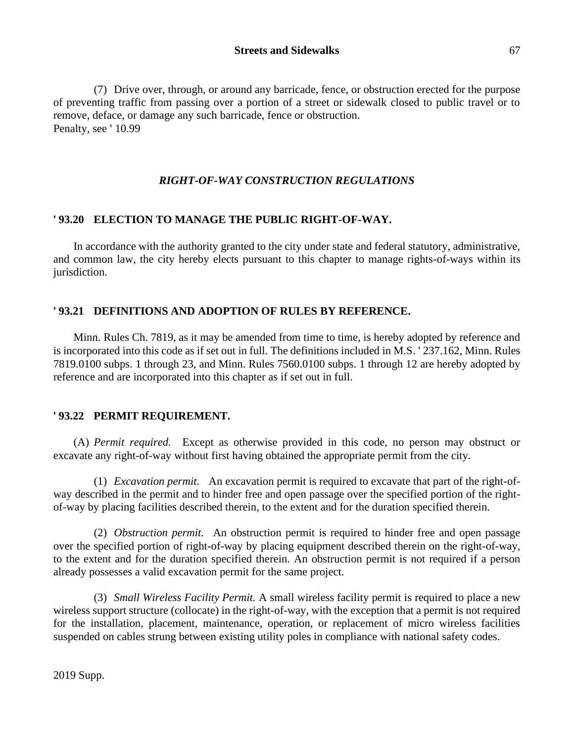(7) Drive over, through, or around any barricade, fence, or obstruction erected for the purpose of preventing traffic from passing over a portion of a street or sidewalk closed to public travel or to remove, deface, or damage any such barricade, fence or obstruction. Penalty, see '10.99

# *RIGHT-OF-WAY CONSTRUCTION REGULATIONS*

### **' 93.20 ELECTION TO MANAGE THE PUBLIC RIGHT-OF-WAY.**

In accordance with the authority granted to the city under state and federal statutory, administrative, and common law, the city hereby elects pursuant to this chapter to manage rights-of-ways within its jurisdiction.

# **' 93.21 DEFINITIONS AND ADOPTION OF RULES BY REFERENCE.**

Minn. Rules Ch. 7819, as it may be amended from time to time, is hereby adopted by reference and is incorporated into this code as if set out in full. The definitions included in M.S. ' 237.162, Minn. Rules 7819.0100 subps. 1 through 23, and Minn. Rules 7560.0100 subps. 1 through 12 are hereby adopted by reference and are incorporated into this chapter as if set out in full.

### **' 93.22 PERMIT REQUIREMENT.**

(A) *Permit required.* Except as otherwise provided in this code, no person may obstruct or excavate any right-of-way without first having obtained the appropriate permit from the city.

(1) *Excavation permit.* An excavation permit is required to excavate that part of the right-ofway described in the permit and to hinder free and open passage over the specified portion of the rightof-way by placing facilities described therein, to the extent and for the duration specified therein.

(2) *Obstruction permit.* An obstruction permit is required to hinder free and open passage over the specified portion of right-of-way by placing equipment described therein on the right-of-way, to the extent and for the duration specified therein. An obstruction permit is not required if a person already possesses a valid excavation permit for the same project.

(3) *Small Wireless Facility Permit.* A small wireless facility permit is required to place a new wireless support structure (collocate) in the right-of-way, with the exception that a permit is not required for the installation, placement, maintenance, operation, or replacement of micro wireless facilities suspended on cables strung between existing utility poles in compliance with national safety codes.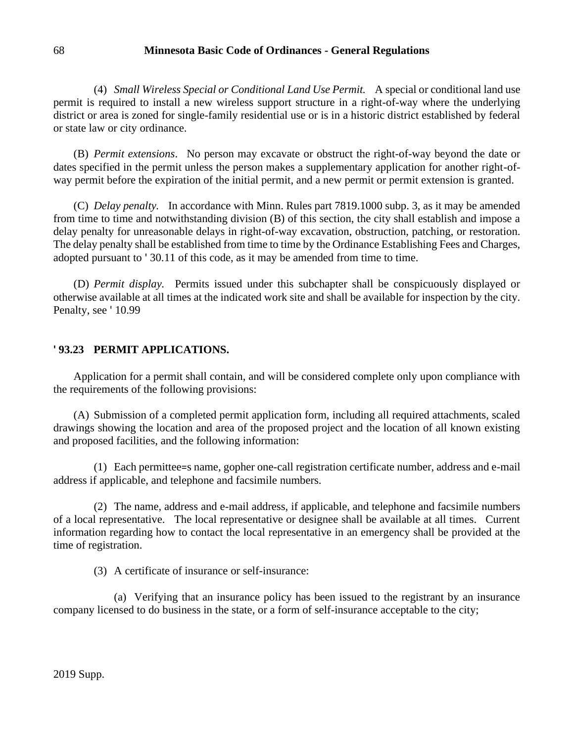(4) *Small Wireless Special or Conditional Land Use Permit.* A special or conditional land use permit is required to install a new wireless support structure in a right-of-way where the underlying district or area is zoned for single-family residential use or is in a historic district established by federal or state law or city ordinance.

(B) *Permit extensions*. No person may excavate or obstruct the right-of-way beyond the date or dates specified in the permit unless the person makes a supplementary application for another right-ofway permit before the expiration of the initial permit, and a new permit or permit extension is granted.

(C) *Delay penalty.* In accordance with Minn. Rules part 7819.1000 subp. 3, as it may be amended from time to time and notwithstanding division (B) of this section, the city shall establish and impose a delay penalty for unreasonable delays in right-of-way excavation, obstruction, patching, or restoration. The delay penalty shall be established from time to time by the Ordinance Establishing Fees and Charges, adopted pursuant to ' 30.11 of this code, as it may be amended from time to time.

(D) *Permit display.* Permits issued under this subchapter shall be conspicuously displayed or otherwise available at all times at the indicated work site and shall be available for inspection by the city. Penalty, see ' 10.99

### **' 93.23 PERMIT APPLICATIONS.**

Application for a permit shall contain, and will be considered complete only upon compliance with the requirements of the following provisions:

(A) Submission of a completed permit application form, including all required attachments, scaled drawings showing the location and area of the proposed project and the location of all known existing and proposed facilities, and the following information:

(1) Each permittee=s name, gopher one-call registration certificate number, address and e-mail address if applicable, and telephone and facsimile numbers.

(2) The name, address and e-mail address, if applicable, and telephone and facsimile numbers of a local representative. The local representative or designee shall be available at all times. Current information regarding how to contact the local representative in an emergency shall be provided at the time of registration.

(3) A certificate of insurance or self-insurance:

(a) Verifying that an insurance policy has been issued to the registrant by an insurance company licensed to do business in the state, or a form of self-insurance acceptable to the city;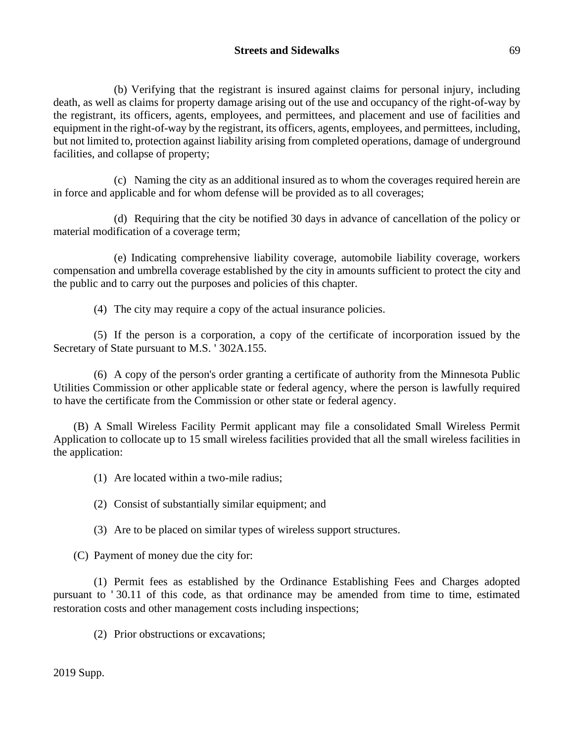# **Streets and Sidewalks** 69

(b) Verifying that the registrant is insured against claims for personal injury, including death, as well as claims for property damage arising out of the use and occupancy of the right-of-way by the registrant, its officers, agents, employees, and permittees, and placement and use of facilities and equipment in the right-of-way by the registrant, its officers, agents, employees, and permittees, including, but not limited to, protection against liability arising from completed operations, damage of underground facilities, and collapse of property;

(c) Naming the city as an additional insured as to whom the coverages required herein are in force and applicable and for whom defense will be provided as to all coverages;

(d) Requiring that the city be notified 30 days in advance of cancellation of the policy or material modification of a coverage term;

(e) Indicating comprehensive liability coverage, automobile liability coverage, workers compensation and umbrella coverage established by the city in amounts sufficient to protect the city and the public and to carry out the purposes and policies of this chapter.

(4) The city may require a copy of the actual insurance policies.

(5) If the person is a corporation, a copy of the certificate of incorporation issued by the Secretary of State pursuant to M.S. ' 302A.155.

(6) A copy of the person's order granting a certificate of authority from the Minnesota Public Utilities Commission or other applicable state or federal agency, where the person is lawfully required to have the certificate from the Commission or other state or federal agency.

(B) A Small Wireless Facility Permit applicant may file a consolidated Small Wireless Permit Application to collocate up to 15 small wireless facilities provided that all the small wireless facilities in the application:

(1) Are located within a two-mile radius;

(2) Consist of substantially similar equipment; and

(3) Are to be placed on similar types of wireless support structures.

(C) Payment of money due the city for:

(1) Permit fees as established by the Ordinance Establishing Fees and Charges adopted pursuant to ' 30.11 of this code, as that ordinance may be amended from time to time, estimated restoration costs and other management costs including inspections;

(2) Prior obstructions or excavations;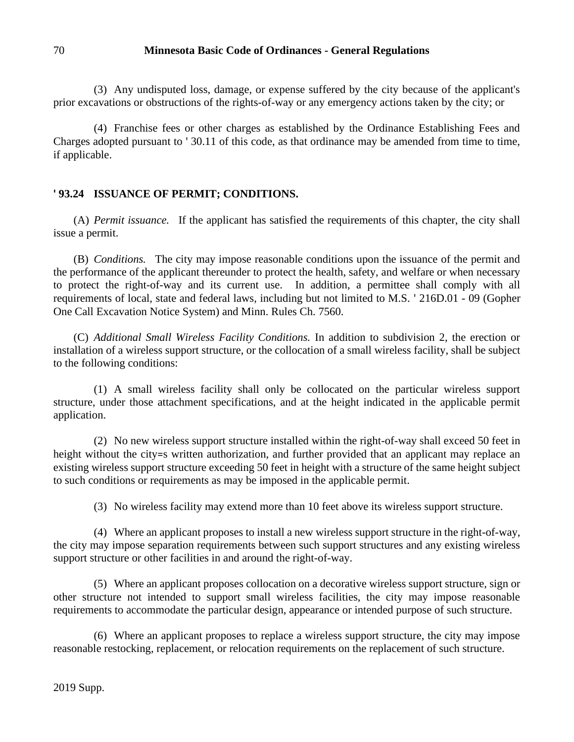(3) Any undisputed loss, damage, or expense suffered by the city because of the applicant's prior excavations or obstructions of the rights-of-way or any emergency actions taken by the city; or

(4) Franchise fees or other charges as established by the Ordinance Establishing Fees and Charges adopted pursuant to ' 30.11 of this code, as that ordinance may be amended from time to time, if applicable.

# **' 93.24 ISSUANCE OF PERMIT; CONDITIONS.**

(A) *Permit issuance.* If the applicant has satisfied the requirements of this chapter, the city shall issue a permit.

(B) *Conditions.* The city may impose reasonable conditions upon the issuance of the permit and the performance of the applicant thereunder to protect the health, safety, and welfare or when necessary to protect the right-of-way and its current use. In addition, a permittee shall comply with all requirements of local, state and federal laws, including but not limited to M.S. ' 216D.01 - 09 (Gopher One Call Excavation Notice System) and Minn. Rules Ch. 7560.

(C) *Additional Small Wireless Facility Conditions.* In addition to subdivision 2, the erection or installation of a wireless support structure, or the collocation of a small wireless facility, shall be subject to the following conditions:

(1) A small wireless facility shall only be collocated on the particular wireless support structure, under those attachment specifications, and at the height indicated in the applicable permit application.

(2) No new wireless support structure installed within the right-of-way shall exceed 50 feet in height without the city=s written authorization, and further provided that an applicant may replace an existing wireless support structure exceeding 50 feet in height with a structure of the same height subject to such conditions or requirements as may be imposed in the applicable permit.

(3) No wireless facility may extend more than 10 feet above its wireless support structure.

(4) Where an applicant proposes to install a new wireless support structure in the right-of-way, the city may impose separation requirements between such support structures and any existing wireless support structure or other facilities in and around the right-of-way.

(5) Where an applicant proposes collocation on a decorative wireless support structure, sign or other structure not intended to support small wireless facilities, the city may impose reasonable requirements to accommodate the particular design, appearance or intended purpose of such structure.

(6) Where an applicant proposes to replace a wireless support structure, the city may impose reasonable restocking, replacement, or relocation requirements on the replacement of such structure.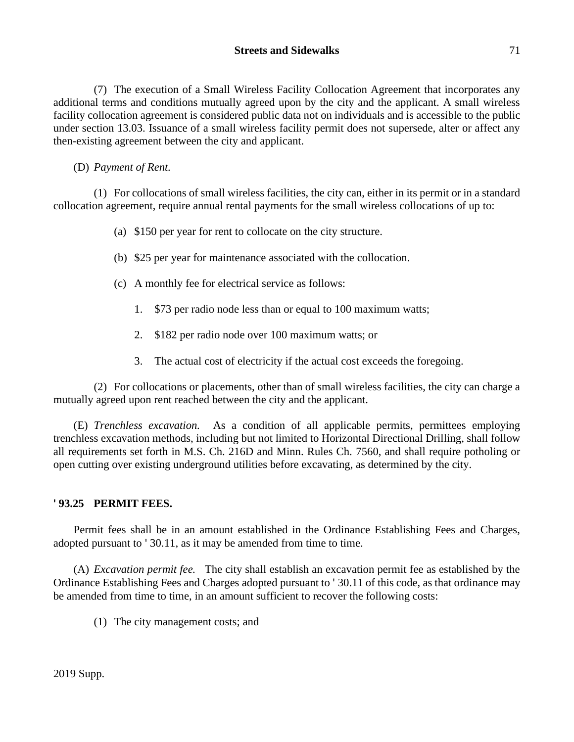(7) The execution of a Small Wireless Facility Collocation Agreement that incorporates any additional terms and conditions mutually agreed upon by the city and the applicant. A small wireless facility collocation agreement is considered public data not on individuals and is accessible to the public under section 13.03. Issuance of a small wireless facility permit does not supersede, alter or affect any then-existing agreement between the city and applicant.

(D) *Payment of Rent.*

(1) For collocations of small wireless facilities, the city can, either in its permit or in a standard collocation agreement, require annual rental payments for the small wireless collocations of up to:

- (a) \$150 per year for rent to collocate on the city structure.
- (b) \$25 per year for maintenance associated with the collocation.
- (c) A monthly fee for electrical service as follows:
	- 1. \$73 per radio node less than or equal to 100 maximum watts;
	- 2. \$182 per radio node over 100 maximum watts; or
	- 3. The actual cost of electricity if the actual cost exceeds the foregoing.

(2) For collocations or placements, other than of small wireless facilities, the city can charge a mutually agreed upon rent reached between the city and the applicant.

(E) *Trenchless excavation.* As a condition of all applicable permits, permittees employing trenchless excavation methods, including but not limited to Horizontal Directional Drilling, shall follow all requirements set forth in M.S. Ch. 216D and Minn. Rules Ch. 7560, and shall require potholing or open cutting over existing underground utilities before excavating, as determined by the city.

# **' 93.25 PERMIT FEES.**

Permit fees shall be in an amount established in the Ordinance Establishing Fees and Charges, adopted pursuant to ' 30.11, as it may be amended from time to time.

(A) *Excavation permit fee.* The city shall establish an excavation permit fee as established by the Ordinance Establishing Fees and Charges adopted pursuant to ' 30.11 of this code, as that ordinance may be amended from time to time, in an amount sufficient to recover the following costs:

(1) The city management costs; and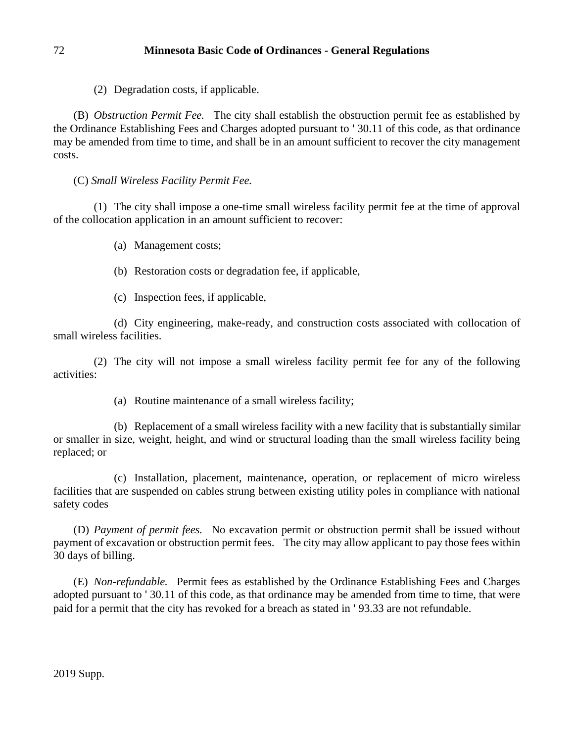(2) Degradation costs, if applicable.

(B) *Obstruction Permit Fee.* The city shall establish the obstruction permit fee as established by the Ordinance Establishing Fees and Charges adopted pursuant to ' 30.11 of this code, as that ordinance may be amended from time to time, and shall be in an amount sufficient to recover the city management costs.

(C) *Small Wireless Facility Permit Fee.*

(1) The city shall impose a one-time small wireless facility permit fee at the time of approval of the collocation application in an amount sufficient to recover:

- (a) Management costs;
- (b) Restoration costs or degradation fee, if applicable,
- (c) Inspection fees, if applicable,

(d) City engineering, make-ready, and construction costs associated with collocation of small wireless facilities.

(2) The city will not impose a small wireless facility permit fee for any of the following activities:

(a) Routine maintenance of a small wireless facility;

(b) Replacement of a small wireless facility with a new facility that is substantially similar or smaller in size, weight, height, and wind or structural loading than the small wireless facility being replaced; or

(c) Installation, placement, maintenance, operation, or replacement of micro wireless facilities that are suspended on cables strung between existing utility poles in compliance with national safety codes

(D) *Payment of permit fees.* No excavation permit or obstruction permit shall be issued without payment of excavation or obstruction permit fees. The city may allow applicant to pay those fees within 30 days of billing.

(E) *Non-refundable.* Permit fees as established by the Ordinance Establishing Fees and Charges adopted pursuant to ' 30.11 of this code, as that ordinance may be amended from time to time, that were paid for a permit that the city has revoked for a breach as stated in ' 93.33 are not refundable.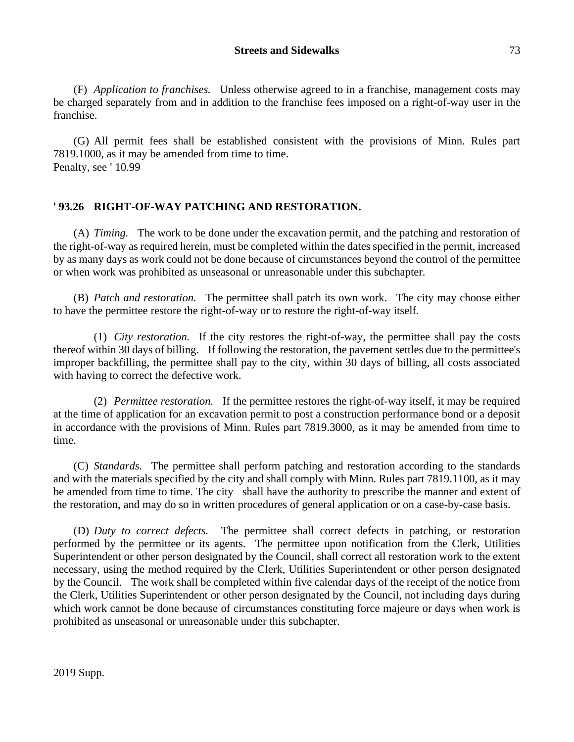(F) *Application to franchises.* Unless otherwise agreed to in a franchise, management costs may be charged separately from and in addition to the franchise fees imposed on a right-of-way user in the franchise.

(G) All permit fees shall be established consistent with the provisions of Minn. Rules part 7819.1000, as it may be amended from time to time. Penalty, see '10.99

# **' 93.26 RIGHT-OF-WAY PATCHING AND RESTORATION.**

(A) *Timing.* The work to be done under the excavation permit, and the patching and restoration of the right-of-way as required herein, must be completed within the dates specified in the permit, increased by as many days as work could not be done because of circumstances beyond the control of the permittee or when work was prohibited as unseasonal or unreasonable under this subchapter.

(B) *Patch and restoration.* The permittee shall patch its own work. The city may choose either to have the permittee restore the right-of-way or to restore the right-of-way itself.

(1) *City restoration.* If the city restores the right-of-way, the permittee shall pay the costs thereof within 30 days of billing. If following the restoration, the pavement settles due to the permittee's improper backfilling, the permittee shall pay to the city, within 30 days of billing, all costs associated with having to correct the defective work.

(2) *Permittee restoration.* If the permittee restores the right-of-way itself, it may be required at the time of application for an excavation permit to post a construction performance bond or a deposit in accordance with the provisions of Minn. Rules part 7819.3000, as it may be amended from time to time.

(C) *Standards.* The permittee shall perform patching and restoration according to the standards and with the materials specified by the city and shall comply with Minn. Rules part 7819.1100, as it may be amended from time to time. The city shall have the authority to prescribe the manner and extent of the restoration, and may do so in written procedures of general application or on a case-by-case basis.

(D) *Duty to correct defects.* The permittee shall correct defects in patching, or restoration performed by the permittee or its agents. The permittee upon notification from the Clerk, Utilities Superintendent or other person designated by the Council, shall correct all restoration work to the extent necessary, using the method required by the Clerk, Utilities Superintendent or other person designated by the Council. The work shall be completed within five calendar days of the receipt of the notice from the Clerk, Utilities Superintendent or other person designated by the Council, not including days during which work cannot be done because of circumstances constituting force majeure or days when work is prohibited as unseasonal or unreasonable under this subchapter.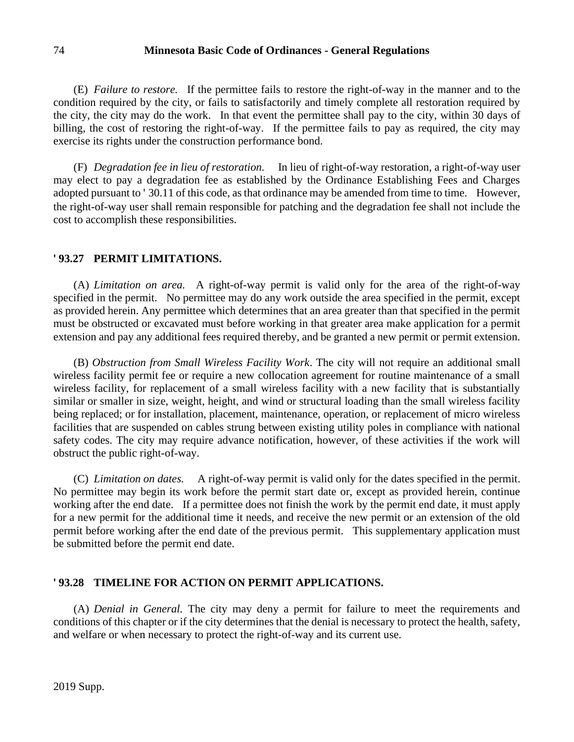#### 74 **Minnesota Basic Code of Ordinances - General Regulations**

(E) *Failure to restore.* If the permittee fails to restore the right-of-way in the manner and to the condition required by the city, or fails to satisfactorily and timely complete all restoration required by the city, the city may do the work. In that event the permittee shall pay to the city, within 30 days of billing, the cost of restoring the right-of-way. If the permittee fails to pay as required, the city may exercise its rights under the construction performance bond.

(F) *Degradation fee in lieu of restoration.* In lieu of right-of-way restoration, a right-of-way user may elect to pay a degradation fee as established by the Ordinance Establishing Fees and Charges adopted pursuant to ' 30.11 of this code, as that ordinance may be amended from time to time. However, the right-of-way user shall remain responsible for patching and the degradation fee shall not include the cost to accomplish these responsibilities.

#### **' 93.27 PERMIT LIMITATIONS.**

(A) *Limitation on area.* A right-of-way permit is valid only for the area of the right-of-way specified in the permit. No permittee may do any work outside the area specified in the permit, except as provided herein. Any permittee which determines that an area greater than that specified in the permit must be obstructed or excavated must before working in that greater area make application for a permit extension and pay any additional fees required thereby, and be granted a new permit or permit extension.

(B) *Obstruction from Small Wireless Facility Work*. The city will not require an additional small wireless facility permit fee or require a new collocation agreement for routine maintenance of a small wireless facility, for replacement of a small wireless facility with a new facility that is substantially similar or smaller in size, weight, height, and wind or structural loading than the small wireless facility being replaced; or for installation, placement, maintenance, operation, or replacement of micro wireless facilities that are suspended on cables strung between existing utility poles in compliance with national safety codes. The city may require advance notification, however, of these activities if the work will obstruct the public right-of-way.

(C) *Limitation on dates.* A right-of-way permit is valid only for the dates specified in the permit. No permittee may begin its work before the permit start date or, except as provided herein, continue working after the end date. If a permittee does not finish the work by the permit end date, it must apply for a new permit for the additional time it needs, and receive the new permit or an extension of the old permit before working after the end date of the previous permit. This supplementary application must be submitted before the permit end date.

#### **' 93.28 TIMELINE FOR ACTION ON PERMIT APPLICATIONS.**

(A) *Denial in General.* The city may deny a permit for failure to meet the requirements and conditions of this chapter or if the city determines that the denial is necessary to protect the health, safety, and welfare or when necessary to protect the right-of-way and its current use.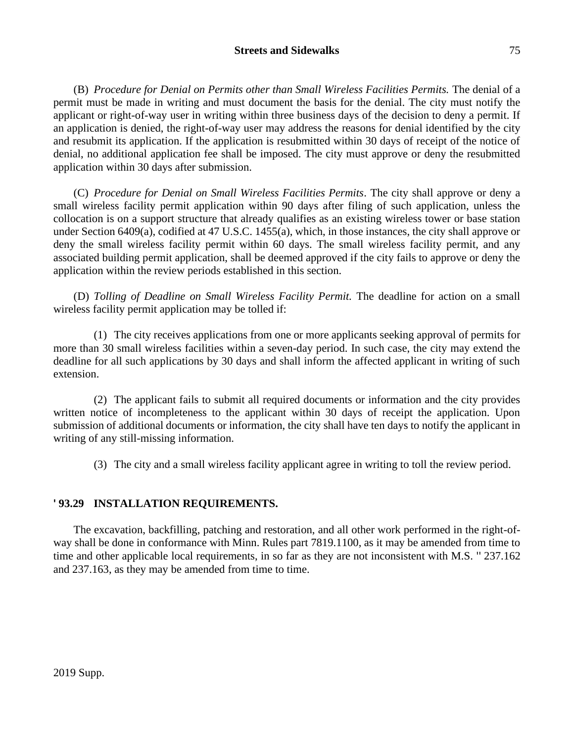### **Streets and Sidewalks** 75

(B) *Procedure for Denial on Permits other than Small Wireless Facilities Permits.* The denial of a permit must be made in writing and must document the basis for the denial. The city must notify the applicant or right-of-way user in writing within three business days of the decision to deny a permit. If an application is denied, the right-of-way user may address the reasons for denial identified by the city and resubmit its application. If the application is resubmitted within 30 days of receipt of the notice of denial, no additional application fee shall be imposed. The city must approve or deny the resubmitted application within 30 days after submission.

(C) *Procedure for Denial on Small Wireless Facilities Permits*. The city shall approve or deny a small wireless facility permit application within 90 days after filing of such application, unless the collocation is on a support structure that already qualifies as an existing wireless tower or base station under Section 6409(a), codified at 47 U.S.C. 1455(a), which, in those instances, the city shall approve or deny the small wireless facility permit within 60 days. The small wireless facility permit, and any associated building permit application, shall be deemed approved if the city fails to approve or deny the application within the review periods established in this section.

(D) *Tolling of Deadline on Small Wireless Facility Permit.* The deadline for action on a small wireless facility permit application may be tolled if:

(1) The city receives applications from one or more applicants seeking approval of permits for more than 30 small wireless facilities within a seven-day period. In such case, the city may extend the deadline for all such applications by 30 days and shall inform the affected applicant in writing of such extension.

(2) The applicant fails to submit all required documents or information and the city provides written notice of incompleteness to the applicant within 30 days of receipt the application. Upon submission of additional documents or information, the city shall have ten days to notify the applicant in writing of any still-missing information.

(3) The city and a small wireless facility applicant agree in writing to toll the review period.

# **' 93.29 INSTALLATION REQUIREMENTS.**

The excavation, backfilling, patching and restoration, and all other work performed in the right-ofway shall be done in conformance with Minn. Rules part 7819.1100, as it may be amended from time to time and other applicable local requirements, in so far as they are not inconsistent with M.S. '' 237.162 and 237.163, as they may be amended from time to time.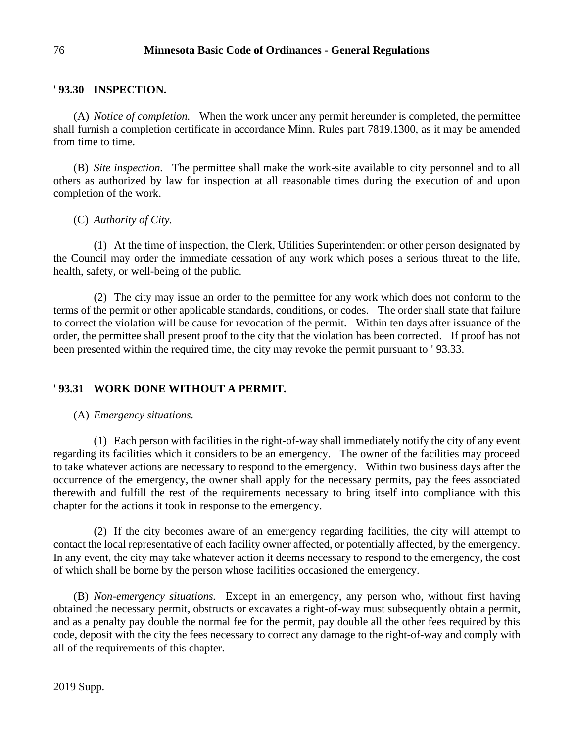## **' 93.30 INSPECTION.**

(A) *Notice of completion.* When the work under any permit hereunder is completed, the permittee shall furnish a completion certificate in accordance Minn. Rules part 7819.1300, as it may be amended from time to time.

(B) *Site inspection.* The permittee shall make the work-site available to city personnel and to all others as authorized by law for inspection at all reasonable times during the execution of and upon completion of the work.

(C) *Authority of City.*

(1) At the time of inspection, the Clerk, Utilities Superintendent or other person designated by the Council may order the immediate cessation of any work which poses a serious threat to the life, health, safety, or well-being of the public.

(2) The city may issue an order to the permittee for any work which does not conform to the terms of the permit or other applicable standards, conditions, or codes. The order shall state that failure to correct the violation will be cause for revocation of the permit. Within ten days after issuance of the order, the permittee shall present proof to the city that the violation has been corrected. If proof has not been presented within the required time, the city may revoke the permit pursuant to ' 93.33.

# **' 93.31 WORK DONE WITHOUT A PERMIT.**

### (A) *Emergency situations.*

(1) Each person with facilities in the right-of-way shall immediately notify the city of any event regarding its facilities which it considers to be an emergency. The owner of the facilities may proceed to take whatever actions are necessary to respond to the emergency. Within two business days after the occurrence of the emergency, the owner shall apply for the necessary permits, pay the fees associated therewith and fulfill the rest of the requirements necessary to bring itself into compliance with this chapter for the actions it took in response to the emergency.

(2) If the city becomes aware of an emergency regarding facilities, the city will attempt to contact the local representative of each facility owner affected, or potentially affected, by the emergency. In any event, the city may take whatever action it deems necessary to respond to the emergency, the cost of which shall be borne by the person whose facilities occasioned the emergency.

(B) *Non-emergency situations.* Except in an emergency, any person who, without first having obtained the necessary permit, obstructs or excavates a right-of-way must subsequently obtain a permit, and as a penalty pay double the normal fee for the permit, pay double all the other fees required by this code, deposit with the city the fees necessary to correct any damage to the right-of-way and comply with all of the requirements of this chapter.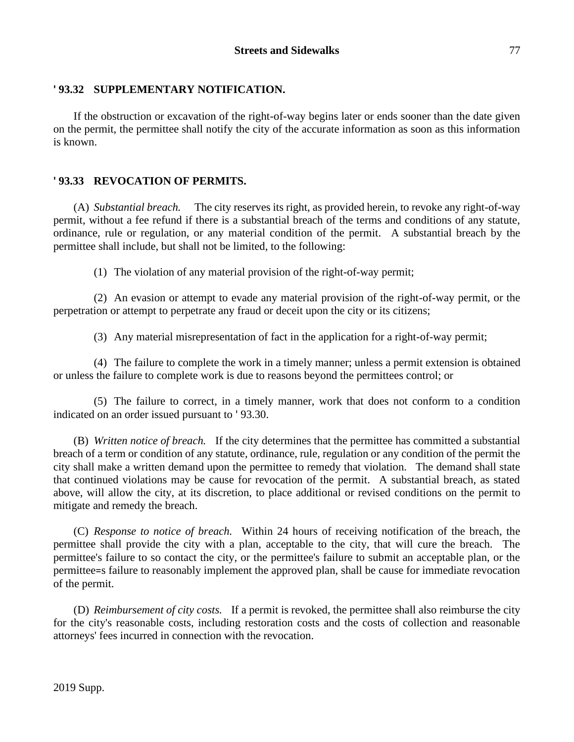## **' 93.32 SUPPLEMENTARY NOTIFICATION.**

If the obstruction or excavation of the right-of-way begins later or ends sooner than the date given on the permit, the permittee shall notify the city of the accurate information as soon as this information is known.

## **' 93.33 REVOCATION OF PERMITS.**

(A) *Substantial breach.* The city reserves its right, as provided herein, to revoke any right-of-way permit, without a fee refund if there is a substantial breach of the terms and conditions of any statute, ordinance, rule or regulation, or any material condition of the permit. A substantial breach by the permittee shall include, but shall not be limited, to the following:

(1) The violation of any material provision of the right-of-way permit;

(2) An evasion or attempt to evade any material provision of the right-of-way permit, or the perpetration or attempt to perpetrate any fraud or deceit upon the city or its citizens;

(3) Any material misrepresentation of fact in the application for a right-of-way permit;

(4) The failure to complete the work in a timely manner; unless a permit extension is obtained or unless the failure to complete work is due to reasons beyond the permittees control; or

(5) The failure to correct, in a timely manner, work that does not conform to a condition indicated on an order issued pursuant to ' 93.30.

(B) *Written notice of breach.* If the city determines that the permittee has committed a substantial breach of a term or condition of any statute, ordinance, rule, regulation or any condition of the permit the city shall make a written demand upon the permittee to remedy that violation. The demand shall state that continued violations may be cause for revocation of the permit. A substantial breach, as stated above, will allow the city, at its discretion, to place additional or revised conditions on the permit to mitigate and remedy the breach.

(C) *Response to notice of breach.* Within 24 hours of receiving notification of the breach, the permittee shall provide the city with a plan, acceptable to the city, that will cure the breach. The permittee's failure to so contact the city, or the permittee's failure to submit an acceptable plan, or the permittee=s failure to reasonably implement the approved plan, shall be cause for immediate revocation of the permit.

(D) *Reimbursement of city costs.* If a permit is revoked, the permittee shall also reimburse the city for the city's reasonable costs, including restoration costs and the costs of collection and reasonable attorneys' fees incurred in connection with the revocation.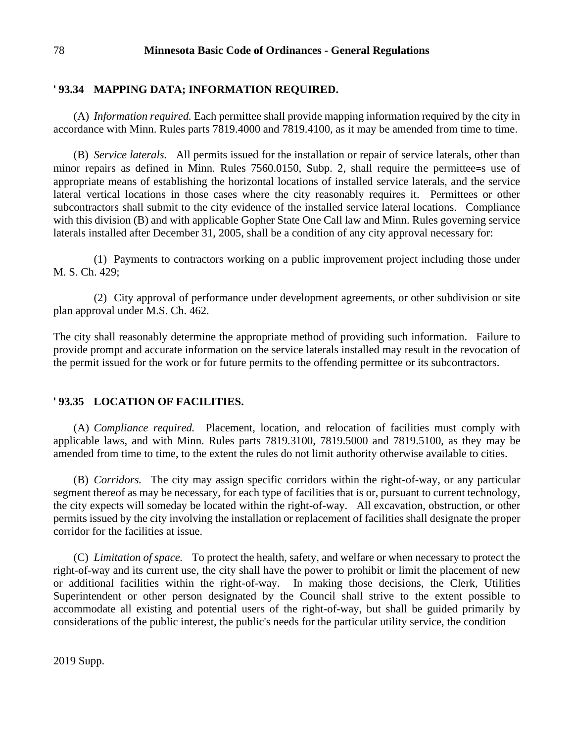#### 78 **Minnesota Basic Code of Ordinances - General Regulations**

### **' 93.34 MAPPING DATA; INFORMATION REQUIRED.**

(A) *Information required.* Each permittee shall provide mapping information required by the city in accordance with Minn. Rules parts 7819.4000 and 7819.4100, as it may be amended from time to time.

(B) *Service laterals.* All permits issued for the installation or repair of service laterals, other than minor repairs as defined in Minn. Rules 7560.0150, Subp. 2, shall require the permittee=s use of appropriate means of establishing the horizontal locations of installed service laterals, and the service lateral vertical locations in those cases where the city reasonably requires it. Permittees or other subcontractors shall submit to the city evidence of the installed service lateral locations. Compliance with this division (B) and with applicable Gopher State One Call law and Minn. Rules governing service laterals installed after December 31, 2005, shall be a condition of any city approval necessary for:

(1) Payments to contractors working on a public improvement project including those under M. S. Ch. 429;

(2) City approval of performance under development agreements, or other subdivision or site plan approval under M.S. Ch. 462.

The city shall reasonably determine the appropriate method of providing such information. Failure to provide prompt and accurate information on the service laterals installed may result in the revocation of the permit issued for the work or for future permits to the offending permittee or its subcontractors.

### **' 93.35 LOCATION OF FACILITIES.**

(A) *Compliance required.* Placement, location, and relocation of facilities must comply with applicable laws, and with Minn. Rules parts 7819.3100, 7819.5000 and 7819.5100, as they may be amended from time to time, to the extent the rules do not limit authority otherwise available to cities.

(B) *Corridors.* The city may assign specific corridors within the right-of-way, or any particular segment thereof as may be necessary, for each type of facilities that is or, pursuant to current technology, the city expects will someday be located within the right-of-way. All excavation, obstruction, or other permits issued by the city involving the installation or replacement of facilities shall designate the proper corridor for the facilities at issue.

(C) *Limitation of space.* To protect the health, safety, and welfare or when necessary to protect the right-of-way and its current use, the city shall have the power to prohibit or limit the placement of new or additional facilities within the right-of-way. In making those decisions, the Clerk, Utilities Superintendent or other person designated by the Council shall strive to the extent possible to accommodate all existing and potential users of the right-of-way, but shall be guided primarily by considerations of the public interest, the public's needs for the particular utility service, the condition

2019 Supp.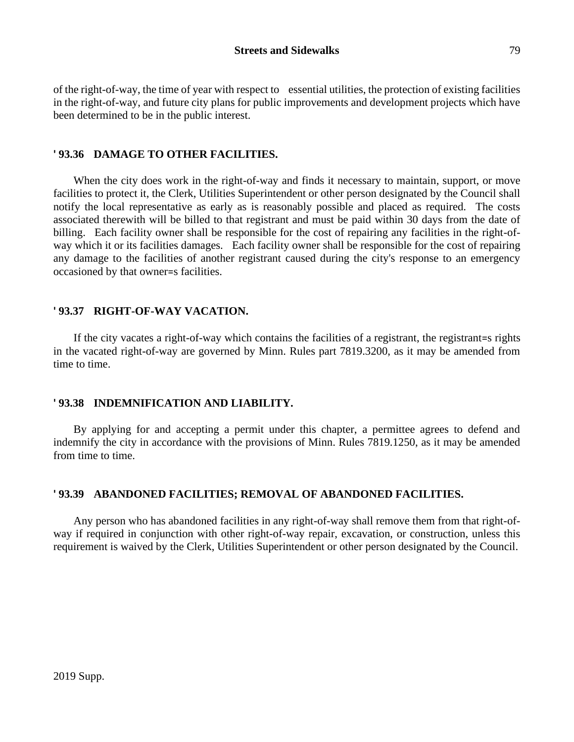of the right-of-way, the time of year with respect to essential utilities, the protection of existing facilities in the right-of-way, and future city plans for public improvements and development projects which have been determined to be in the public interest.

## **' 93.36 DAMAGE TO OTHER FACILITIES.**

When the city does work in the right-of-way and finds it necessary to maintain, support, or move facilities to protect it, the Clerk, Utilities Superintendent or other person designated by the Council shall notify the local representative as early as is reasonably possible and placed as required. The costs associated therewith will be billed to that registrant and must be paid within 30 days from the date of billing. Each facility owner shall be responsible for the cost of repairing any facilities in the right-ofway which it or its facilities damages. Each facility owner shall be responsible for the cost of repairing any damage to the facilities of another registrant caused during the city's response to an emergency occasioned by that owner=s facilities.

## **' 93.37 RIGHT-OF-WAY VACATION.**

If the city vacates a right-of-way which contains the facilities of a registrant, the registrant=s rights in the vacated right-of-way are governed by Minn. Rules part 7819.3200, as it may be amended from time to time.

# **' 93.38 INDEMNIFICATION AND LIABILITY.**

By applying for and accepting a permit under this chapter, a permittee agrees to defend and indemnify the city in accordance with the provisions of Minn. Rules 7819.1250, as it may be amended from time to time.

# **' 93.39 ABANDONED FACILITIES; REMOVAL OF ABANDONED FACILITIES.**

Any person who has abandoned facilities in any right-of-way shall remove them from that right-ofway if required in conjunction with other right-of-way repair, excavation, or construction, unless this requirement is waived by the Clerk, Utilities Superintendent or other person designated by the Council.